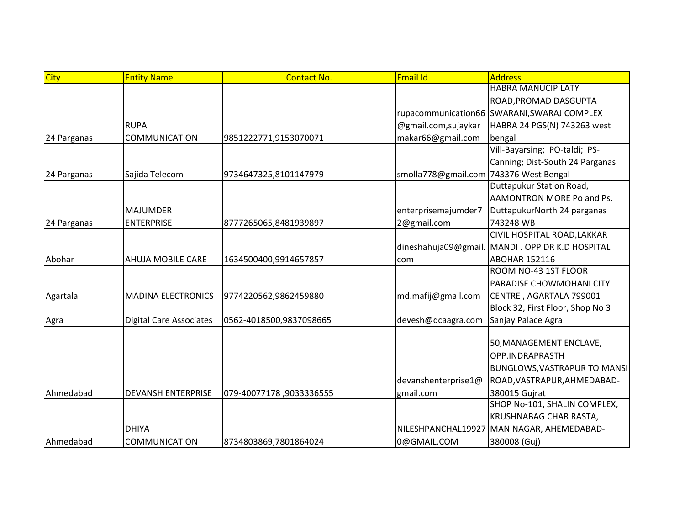| <b>City</b> | <b>Entity Name</b>             | <b>Contact No.</b>      | Email Id                               | <b>Address</b>                                  |
|-------------|--------------------------------|-------------------------|----------------------------------------|-------------------------------------------------|
|             |                                |                         |                                        | <b>HABRA MANUCIPILATY</b>                       |
|             |                                |                         |                                        | ROAD, PROMAD DASGUPTA                           |
|             |                                |                         |                                        | rupacommunication66 SWARANI, SWARAJ COMPLEX     |
|             | <b>RUPA</b>                    |                         | @gmail.com,sujaykar                    | HABRA 24 PGS(N) 743263 west                     |
| 24 Parganas | COMMUNICATION                  | 9851222771,9153070071   | makar66@gmail.com                      | bengal                                          |
|             |                                |                         |                                        | Vill-Bayarsing; PO-taldi; PS-                   |
|             |                                |                         |                                        | Canning; Dist-South 24 Parganas                 |
| 24 Parganas | Sajida Telecom                 | 9734647325,8101147979   | smolla778@gmail.com 743376 West Bengal |                                                 |
|             |                                |                         |                                        | Duttapukur Station Road,                        |
|             |                                |                         |                                        | AAMONTRON MORE Po and Ps.                       |
|             | <b>MAJUMDER</b>                |                         | enterprisemajumder7                    | DuttapukurNorth 24 parganas                     |
| 24 Parganas | <b>ENTERPRISE</b>              | 8777265065,8481939897   | 2@gmail.com                            | 743248 WB                                       |
|             |                                |                         |                                        | CIVIL HOSPITAL ROAD, LAKKAR                     |
|             |                                |                         |                                        | dineshahuja09@gmail. MANDI. OPP DR K.D HOSPITAL |
| Abohar      | <b>AHUJA MOBILE CARE</b>       | 1634500400,9914657857   | com                                    | <b>ABOHAR 152116</b>                            |
|             |                                |                         |                                        | ROOM NO-43 1ST FLOOR                            |
|             |                                |                         |                                        | PARADISE CHOWMOHANI CITY                        |
| Agartala    | <b>MADINA ELECTRONICS</b>      | 9774220562,9862459880   | md.mafij@gmail.com                     | CENTRE, AGARTALA 799001                         |
|             |                                |                         |                                        | Block 32, First Floor, Shop No 3                |
| Agra        | <b>Digital Care Associates</b> | 0562-4018500,9837098665 | devesh@dcaagra.com                     | Sanjay Palace Agra                              |
|             |                                |                         |                                        |                                                 |
|             |                                |                         |                                        | 50, MANAGEMENT ENCLAVE,                         |
|             |                                |                         |                                        | OPP.INDRAPRASTH                                 |
|             |                                |                         |                                        | <b>BUNGLOWS, VASTRAPUR TO MANSI</b>             |
|             |                                |                         | devanshenterprise1@                    | ROAD, VASTRAPUR, AHMEDABAD-                     |
| Ahmedabad   | <b>DEVANSH ENTERPRISE</b>      | 079-40077178,9033336555 | gmail.com                              | 380015 Gujrat                                   |
|             |                                |                         |                                        | SHOP No-101, SHALIN COMPLEX,                    |
|             |                                |                         |                                        | KRUSHNABAG CHAR RASTA,                          |
|             | <b>DHIYA</b>                   |                         | NILESHPANCHAL19927                     | MANINAGAR, AHEMEDABAD-                          |
| Ahmedabad   | <b>COMMUNICATION</b>           | 8734803869,7801864024   | 0@GMAIL.COM                            | 380008 (Guj)                                    |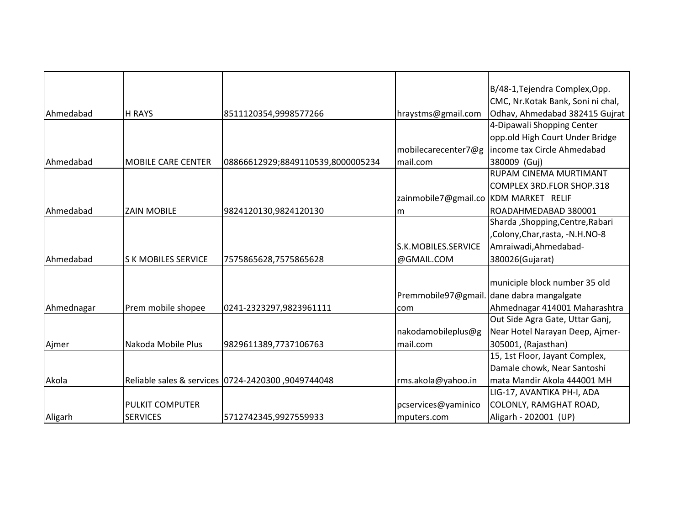|                  |                            |                                                    |                                       | B/48-1, Tejendra Complex, Opp.            |
|------------------|----------------------------|----------------------------------------------------|---------------------------------------|-------------------------------------------|
|                  |                            |                                                    |                                       | CMC, Nr.Kotak Bank, Soni ni chal,         |
| Ahmedabad        | <b>H RAYS</b>              | 8511120354,9998577266                              | hraystms@gmail.com                    | Odhav, Ahmedabad 382415 Gujrat            |
|                  |                            |                                                    |                                       | 4-Dipawali Shopping Center                |
|                  |                            |                                                    |                                       | opp.old High Court Under Bridge           |
|                  |                            |                                                    | mobilecarecenter7@g                   | income tax Circle Ahmedabad               |
| Ahmedabad        | <b>MOBILE CARE CENTER</b>  | 08866612929;8849110539,8000005234                  | mail.com                              | 380009 (Guj)                              |
|                  |                            |                                                    |                                       | RUPAM CINEMA MURTIMANT                    |
|                  |                            |                                                    |                                       | COMPLEX 3RD.FLOR SHOP.318                 |
|                  |                            |                                                    | zainmobile7@gmail.co KDM MARKET RELIF |                                           |
| Ahmedabad        | <b>ZAIN MOBILE</b>         | 9824120130,9824120130                              | lm                                    | ROADAHMEDABAD 380001                      |
|                  |                            |                                                    |                                       | Sharda, Shopping, Centre, Rabari          |
|                  |                            |                                                    |                                       | Colony, Char, rasta, -N.H.NO-8            |
|                  |                            |                                                    | S.K.MOBILES.SERVICE                   | Amraiwadi, Ahmedabad-                     |
| <b>Ahmedabad</b> | <b>S K MOBILES SERVICE</b> | 7575865628,7575865628                              | @GMAIL.COM                            | 380026(Gujarat)                           |
|                  |                            |                                                    |                                       |                                           |
|                  |                            |                                                    |                                       | municiple block number 35 old             |
|                  |                            |                                                    |                                       | Premmobile97@gmail. dane dabra mangalgate |
| Ahmednagar       | Prem mobile shopee         | 0241-2323297,9823961111                            | com                                   | Ahmednagar 414001 Maharashtra             |
|                  |                            |                                                    |                                       | Out Side Agra Gate, Uttar Ganj,           |
|                  |                            |                                                    | nakodamobileplus@g                    | Near Hotel Narayan Deep, Ajmer-           |
| Ajmer            | Nakoda Mobile Plus         | 9829611389,7737106763                              | mail.com                              | 305001, (Rajasthan)                       |
|                  |                            |                                                    |                                       | 15, 1st Floor, Jayant Complex,            |
|                  |                            |                                                    |                                       | Damale chowk, Near Santoshi               |
| Akola            |                            | 8049744048, Reliable sales & services 0724-2420300 | rms.akola@yahoo.in                    | mata Mandir Akola 444001 MH               |
|                  |                            |                                                    |                                       | LIG-17, AVANTIKA PH-I, ADA                |
|                  | <b>PULKIT COMPUTER</b>     |                                                    | pcservices@yaminico                   | COLONLY, RAMGHAT ROAD,                    |
| Aligarh          | <b>SERVICES</b>            | 5712742345,9927559933                              | mputers.com                           | Aligarh - 202001 (UP)                     |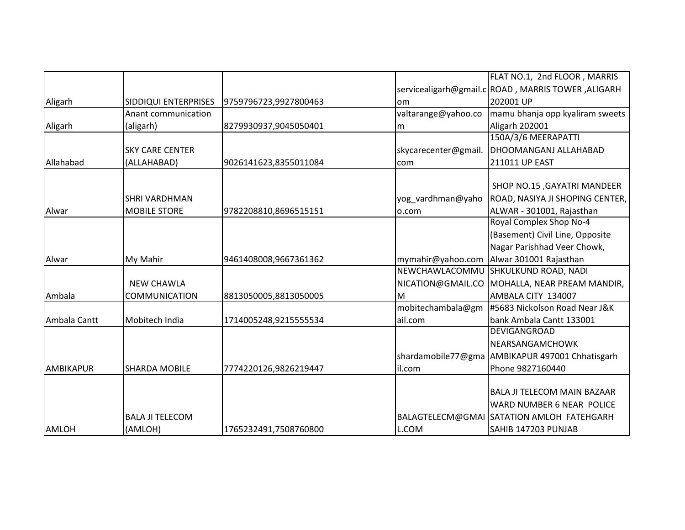|                  |                             |                       |                      | FLAT NO.1, 2nd FLOOR, MARRIS                       |
|------------------|-----------------------------|-----------------------|----------------------|----------------------------------------------------|
|                  |                             |                       |                      | servicealigarh@gmail.c ROAD, MARRIS TOWER, ALIGARH |
| Aligarh          | <b>SIDDIQUI ENTERPRISES</b> | 9759796723,9927800463 | lom                  | 202001 UP                                          |
|                  | Anant communication         |                       | valtarange@yahoo.co  | mamu bhanja opp kyaliram sweets                    |
| Aligarh          | (aligarh)                   | 8279930937,9045050401 | m                    | Aligarh 202001                                     |
|                  |                             |                       |                      | 150A/3/6 MEERAPATTI                                |
|                  | <b>SKY CARE CENTER</b>      |                       | skycarecenter@gmail. | DHOOMANGANJ ALLAHABAD                              |
| Allahabad        | (ALLAHABAD)                 | 9026141623,8355011084 | com                  | 211011 UP EAST                                     |
|                  |                             |                       |                      |                                                    |
|                  |                             |                       |                      | SHOP NO.15, GAYATRI MANDEER                        |
|                  | <b>SHRI VARDHMAN</b>        |                       | yog_vardhman@yaho    | ROAD, NASIYA JI SHOPING CENTER,                    |
| Alwar            | <b>MOBILE STORE</b>         | 9782208810,8696515151 | o.com                | ALWAR - 301001, Rajasthan                          |
|                  |                             |                       |                      | Royal Complex Shop No-4                            |
|                  |                             |                       |                      | (Basement) Civil Line, Opposite                    |
|                  |                             |                       |                      | Nagar Parishhad Veer Chowk,                        |
| Alwar            | My Mahir                    | 9461408008,9667361362 | mymahir@yahoo.com    | Alwar 301001 Rajasthan                             |
|                  |                             |                       | NEWCHAWLACOMMU       | SHKULKUND ROAD, NADI                               |
|                  | <b>NEW CHAWLA</b>           |                       | NICATION@GMAIL.CO    | MOHALLA, NEAR PREAM MANDIR,                        |
| Ambala           | <b>COMMUNICATION</b>        | 8813050005,8813050005 | M                    | AMBALA CITY 134007                                 |
|                  |                             |                       | mobitechambala@gm    | #5683 Nickolson Road Near J&K                      |
| Ambala Cantt     | Mobitech India              | 1714005248,9215555534 | ail.com              | bank Ambala Cantt 133001                           |
|                  |                             |                       |                      | DEVIGANGROAD                                       |
|                  |                             |                       |                      | NEARSANGAMCHOWK                                    |
|                  |                             |                       |                      | shardamobile77@gma AMBIKAPUR 497001 Chhatisgarh    |
| <b>AMBIKAPUR</b> | <b>SHARDA MOBILE</b>        | 7774220126,9826219447 | il.com               | Phone 9827160440                                   |
|                  |                             |                       |                      |                                                    |
|                  |                             |                       |                      | <b>BALA JI TELECOM MAIN BAZAAR</b>                 |
|                  |                             |                       |                      | WARD NUMBER 6 NEAR POLICE                          |
|                  | <b>BALA JI TELECOM</b>      |                       |                      | BALAGTELECM@GMAI SATATION AMLOH FATEHGARH          |
| <b>AMLOH</b>     | (AMLOH)                     | 1765232491,7508760800 | L.COM                | SAHIB 147203 PUNJAB                                |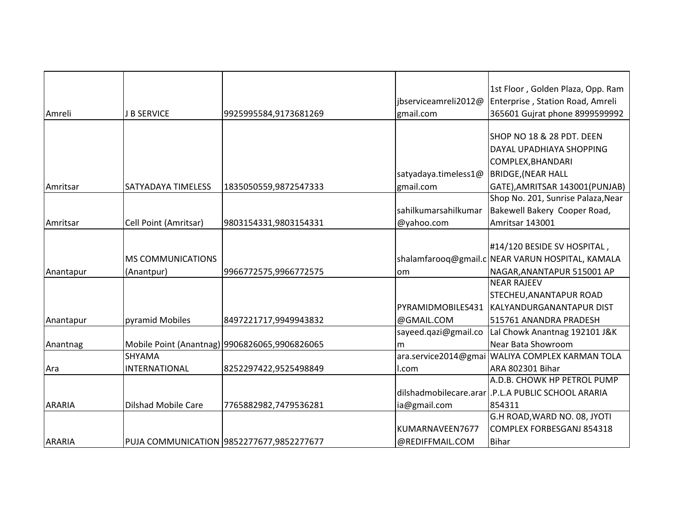| Amreli        | <b>B SERVICE</b>           | 9925995584,9173681269                         | jbserviceamreli2012@<br>gmail.com | 1st Floor, Golden Plaza, Opp. Ram<br>Enterprise, Station Road, Amreli<br>365601 Gujrat phone 8999599992 |
|---------------|----------------------------|-----------------------------------------------|-----------------------------------|---------------------------------------------------------------------------------------------------------|
|               |                            |                                               |                                   |                                                                                                         |
|               |                            |                                               |                                   | SHOP NO 18 & 28 PDT. DEEN                                                                               |
|               |                            |                                               |                                   | DAYAL UPADHIAYA SHOPPING                                                                                |
|               |                            |                                               |                                   | COMPLEX, BHANDARI                                                                                       |
|               |                            |                                               | satyadaya.timeless1@              | <b>BRIDGE, (NEAR HALL</b>                                                                               |
| Amritsar      | <b>SATYADAYA TIMELESS</b>  | 1835050559,9872547333                         | gmail.com                         | GATE), AMRITSAR 143001 (PUNJAB)                                                                         |
|               |                            |                                               |                                   | Shop No. 201, Sunrise Palaza, Near                                                                      |
|               |                            |                                               | sahilkumarsahilkumar              | Bakewell Bakery Cooper Road,                                                                            |
| Amritsar      | Cell Point (Amritsar)      | 9803154331,9803154331                         | @yahoo.com                        | Amritsar 143001                                                                                         |
|               |                            |                                               |                                   |                                                                                                         |
|               |                            |                                               |                                   | #14/120 BESIDE SV HOSPITAL,                                                                             |
|               | <b>MS COMMUNICATIONS</b>   |                                               |                                   | shalamfarooq@gmail.c NEAR VARUN HOSPITAL, KAMALA                                                        |
| Anantapur     | (Anantpur)                 | 9966772575,9966772575                         | lom                               | NAGAR, ANANTAPUR 515001 AP                                                                              |
|               |                            |                                               |                                   | <b>NEAR RAJEEV</b>                                                                                      |
|               |                            |                                               |                                   | STECHEU, ANANTAPUR ROAD                                                                                 |
|               |                            |                                               | PYRAMIDMOBILES431                 | KALYANDURGANANTAPUR DIST                                                                                |
| Anantapur     | pyramid Mobiles            | 8497221717,9949943832                         | @GMAIL.COM                        | 515761 ANANDRA PRADESH                                                                                  |
|               |                            |                                               | sayeed.qazi@gmail.co              | Lal Chowk Anantnag 192101 J&K                                                                           |
| Anantnag      |                            | Mobile Point (Anantnag) 9906826065,9906826065 | lm                                | Near Bata Showroom                                                                                      |
|               | <b>SHYAMA</b>              |                                               |                                   | ara.service2014@gmai   WALIYA COMPLEX KARMAN TOLA                                                       |
| Ara           | <b>INTERNATIONAL</b>       | 8252297422,9525498849                         | l.com                             | ARA 802301 Bihar                                                                                        |
|               |                            |                                               |                                   | A.D.B. CHOWK HP PETROL PUMP                                                                             |
|               |                            |                                               |                                   | dilshadmobilecare.arar   .P.L.A PUBLIC SCHOOL ARARIA                                                    |
| <b>ARARIA</b> | <b>Dilshad Mobile Care</b> | 7765882982,7479536281                         | ia@gmail.com                      | 854311                                                                                                  |
|               |                            |                                               |                                   | G.H ROAD, WARD NO. 08, JYOTI                                                                            |
|               |                            |                                               | KUMARNAVEEN7677                   | <b>COMPLEX FORBESGANJ 854318</b>                                                                        |
| <b>ARARIA</b> |                            | PUJA COMMUNICATION 9852277677,9852277677      | @REDIFFMAIL.COM                   | <b>Bihar</b>                                                                                            |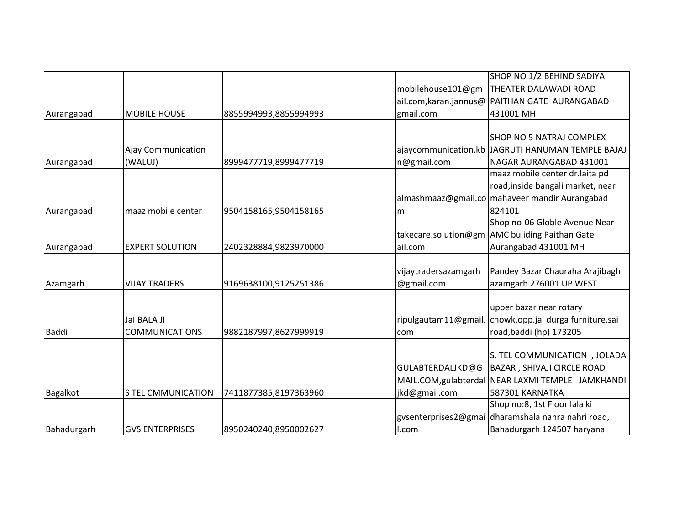|              |                           |                       |                      | SHOP NO 1/2 BEHIND SADIYA                          |
|--------------|---------------------------|-----------------------|----------------------|----------------------------------------------------|
|              |                           |                       | mobilehouse101@gm    | THEATER DALAWADI ROAD                              |
|              |                           |                       |                      | ail.com, karan.jannus@ PAITHAN GATE AURANGABAD     |
| Aurangabad   | <b>MOBILE HOUSE</b>       | 8855994993,8855994993 | gmail.com            | 431001 MH                                          |
|              |                           |                       |                      |                                                    |
|              |                           |                       |                      | <b>SHOP NO 5 NATRAJ COMPLEX</b>                    |
|              | <b>Ajay Communication</b> |                       |                      | ajaycommunication.kb JJAGRUTI HANUMAN TEMPLE BAJAJ |
| Aurangabad   | (WALUJ)                   | 8999477719,8999477719 | n@gmail.com          | NAGAR AURANGABAD 431001                            |
|              |                           |                       |                      | maaz mobile center dr.laita pd                     |
|              |                           |                       |                      | road, inside bangali market, near                  |
|              |                           |                       |                      | almashmaaz@gmail.co mahaveer mandir Aurangabad     |
| Aurangabad   | maaz mobile center        | 9504158165,9504158165 | lm.                  | 824101                                             |
|              |                           |                       |                      | Shop no-06 Globle Avenue Near                      |
|              |                           |                       |                      | takecare.solution@gm AMC buliding Paithan Gate     |
| Aurangabad   | <b>EXPERT SOLUTION</b>    | 2402328884,9823970000 | ail.com              | Aurangabad 431001 MH                               |
|              |                           |                       |                      |                                                    |
|              |                           |                       | vijaytradersazamgarh | Pandey Bazar Chauraha Arajibagh                    |
| Azamgarh     | <b>VIJAY TRADERS</b>      | 9169638100,9125251386 | @gmail.com           | azamgarh 276001 UP WEST                            |
|              |                           |                       |                      |                                                    |
|              |                           |                       |                      | upper bazar near rotary                            |
|              | Jal BALA JI               |                       | ripulgautam11@gmail  | chowk, opp. jai durga furniture, sai               |
| <b>Baddi</b> | <b>COMMUNICATIONS</b>     | 9882187997,8627999919 | com                  | road, baddi (hp) 173205                            |
|              |                           |                       |                      |                                                    |
|              |                           |                       |                      | S. TEL COMMUNICATION, JOLADA                       |
|              |                           |                       | GULABTERDALJKD@G     | BAZAR, SHIVAJI CIRCLE ROAD                         |
|              |                           |                       |                      | MAIL.COM, gulabterdal NEAR LAXMI TEMPLE JAMKHANDI  |
| Bagalkot     | <b>S TEL CMMUNICATION</b> | 7411877385,8197363960 | jkd@gmail.com        | 587301 KARNATKA                                    |
|              |                           |                       |                      | Shop no:8, 1st Floor lala ki                       |
|              |                           |                       |                      | gysenterprises2@gmai dharamshala nahra nahri road, |
| Bahadurgarh  | <b>GVS ENTERPRISES</b>    | 8950240240,8950002627 | I.com                | Bahadurgarh 124507 haryana                         |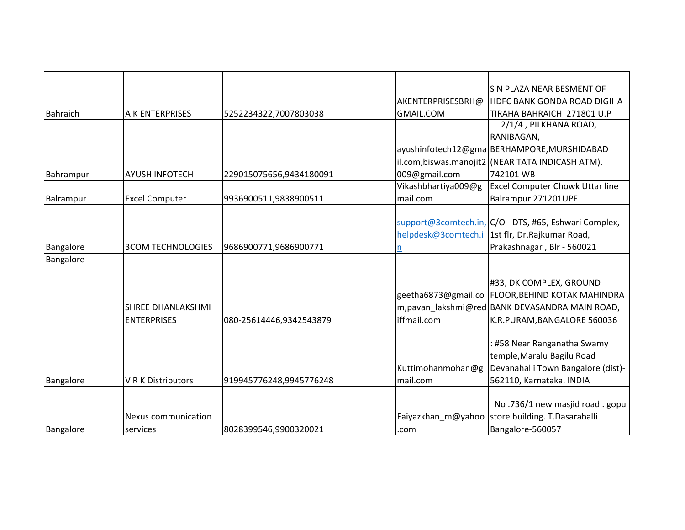|                 |                           |                         |                     | S N PLAZA NEAR BESMENT OF                             |
|-----------------|---------------------------|-------------------------|---------------------|-------------------------------------------------------|
|                 |                           |                         | AKENTERPRISESBRH@   | <b>HDFC BANK GONDA ROAD DIGIHA</b>                    |
| <b>Bahraich</b> | A K ENTERPRISES           | 5252234322,7007803038   | <b>GMAIL.COM</b>    | TIRAHA BAHRAICH 271801 U.P                            |
|                 |                           |                         |                     | 2/1/4, PILKHANA ROAD,                                 |
|                 |                           |                         |                     | RANIBAGAN,                                            |
|                 |                           |                         |                     | ayushinfotech12@gma BERHAMPORE,MURSHIDABAD            |
|                 |                           |                         |                     | il.com,biswas.manojit2 (NEAR TATA INDICASH ATM),      |
| Bahrampur       | <b>AYUSH INFOTECH</b>     | 229015075656,9434180091 | 009@gmail.com       | 742101 WB                                             |
|                 |                           |                         | Vikashbhartiya009@g | <b>Excel Computer Chowk Uttar line</b>                |
| Balrampur       | <b>Excel Computer</b>     | 9936900511,9838900511   | mail.com            | Balrampur 271201UPE                                   |
|                 |                           |                         |                     |                                                       |
|                 |                           |                         |                     | support@3comtech.in, C/O - DTS, #65, Eshwari Complex, |
|                 |                           |                         | helpdesk@3comtech.i | 1st flr, Dr.Rajkumar Road,                            |
| Bangalore       | <b>3COM TECHNOLOGIES</b>  | 9686900771,9686900771   | n                   | Prakashnagar, Blr - 560021                            |
| Bangalore       |                           |                         |                     |                                                       |
|                 |                           |                         |                     |                                                       |
|                 |                           |                         |                     | #33, DK COMPLEX, GROUND                               |
|                 |                           |                         |                     | geetha6873@gmail.co   FLOOR, BEHIND KOTAK MAHINDRA    |
|                 | <b>SHREE DHANLAKSHMI</b>  |                         |                     | m, pavan_lakshmi@red BANK DEVASANDRA MAIN ROAD,       |
|                 | <b>ENTERPRISES</b>        | 080-25614446,9342543879 | iffmail.com         | K.R.PURAM, BANGALORE 560036                           |
|                 |                           |                         |                     |                                                       |
|                 |                           |                         |                     | : #58 Near Ranganatha Swamy                           |
|                 |                           |                         |                     | temple, Maralu Bagilu Road                            |
|                 |                           |                         | Kuttimohanmohan@g   | Devanahalli Town Bangalore (dist)-                    |
| Bangalore       | <b>V R K Distributors</b> | 919945776248,9945776248 | mail.com            | 562110, Karnataka. INDIA                              |
|                 |                           |                         |                     |                                                       |
|                 |                           |                         |                     | No.736/1 new masjid road.gopu                         |
|                 | Nexus communication       |                         | Faiyazkhan m@yahoo  | store building. T.Dasarahalli                         |
| Bangalore       |                           | 8028399546,9900320021   |                     | Bangalore-560057                                      |
|                 | services                  |                         | .com                |                                                       |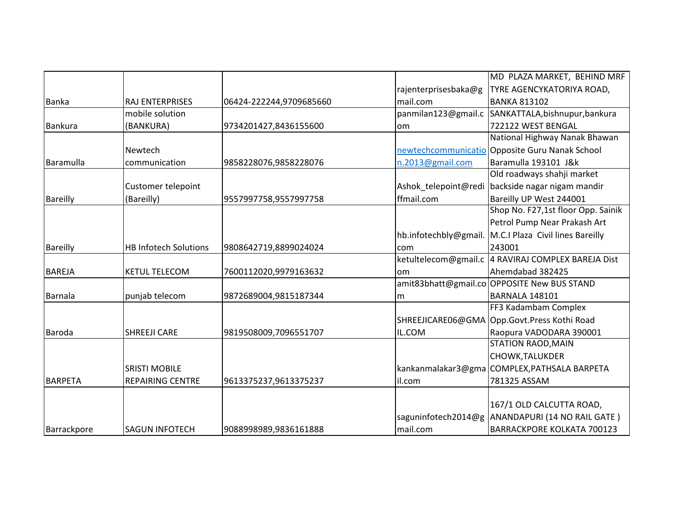|                 |                              |                         |                       | MD PLAZA MARKET, BEHIND MRF                        |
|-----------------|------------------------------|-------------------------|-----------------------|----------------------------------------------------|
|                 |                              |                         | rajenterprisesbaka@g  | TYRE AGENCYKATORIYA ROAD,                          |
| Banka           | <b>RAJ ENTERPRISES</b>       | 06424-222244,9709685660 | mail.com              | <b>BANKA 813102</b>                                |
|                 | mobile solution              |                         | panmilan123@gmail.c   | SANKATTALA, bishnupur, bankura                     |
| <b>Bankura</b>  | (BANKURA)                    | 9734201427,8436155600   | <b>om</b>             | 722122 WEST BENGAL                                 |
|                 |                              |                         |                       | National Highway Nanak Bhawan                      |
|                 | Newtech                      |                         |                       | newtechcommunicatio Opposite Guru Nanak School     |
| Baramulla       | communication                | 9858228076,9858228076   | n.2013@gmail.com      | Baramulla 193101 J&k                               |
|                 |                              |                         |                       | Old roadways shahji market                         |
|                 | Customer telepoint           |                         | Ashok telepoint@redi  | backside nagar nigam mandir                        |
| <b>Bareilly</b> | (Bareilly)                   | 9557997758,9557997758   | ffmail.com            | Bareilly UP West 244001                            |
|                 |                              |                         |                       | Shop No. F27,1st floor Opp. Sainik                 |
|                 |                              |                         |                       | Petrol Pump Near Prakash Art                       |
|                 |                              |                         | hb.infotechbly@gmail. | M.C.I Plaza Civil lines Bareilly                   |
| <b>Bareilly</b> | <b>HB Infotech Solutions</b> | 9808642719,8899024024   | com                   | 243001                                             |
|                 |                              |                         |                       | ketultelecom@gmail.c 4 RAVIRAJ COMPLEX BAREJA Dist |
| <b>BAREJA</b>   | <b>KETUL TELECOM</b>         | 7600112020,9979163632   | lom                   | Ahemdabad 382425                                   |
|                 |                              |                         |                       | amit83bhatt@gmail.co OPPOSITE New BUS STAND        |
| Barnala         | punjab telecom               | 9872689004,9815187344   | m                     | BARNALA 148101                                     |
|                 |                              |                         |                       | FF3 Kadambam Complex                               |
|                 |                              |                         | SHREEJICARE06@GMA     | Opp.Govt.Press Kothi Road                          |
| Baroda          | <b>SHREEJI CARE</b>          | 9819508009,7096551707   | IL.COM                | Raopura VADODARA 390001                            |
|                 |                              |                         |                       | <b>STATION RAOD, MAIN</b>                          |
|                 |                              |                         |                       | <b>CHOWK, TALUKDER</b>                             |
|                 | <b>SRISTI MOBILE</b>         |                         |                       | kankanmalakar3@gma COMPLEX, PATHSALA BARPETA       |
| <b>BARPETA</b>  | <b>REPAIRING CENTRE</b>      | 9613375237,9613375237   | il.com                | 781325 ASSAM                                       |
|                 |                              |                         |                       |                                                    |
|                 |                              |                         |                       | 167/1 OLD CALCUTTA ROAD,                           |
|                 |                              |                         | saguninfotech2014@g   | ANANDAPURI (14 NO RAIL GATE)                       |
| Barrackpore     | <b>SAGUN INFOTECH</b>        | 9088998989,9836161888   | mail.com              | <b>BARRACKPORE KOLKATA 700123</b>                  |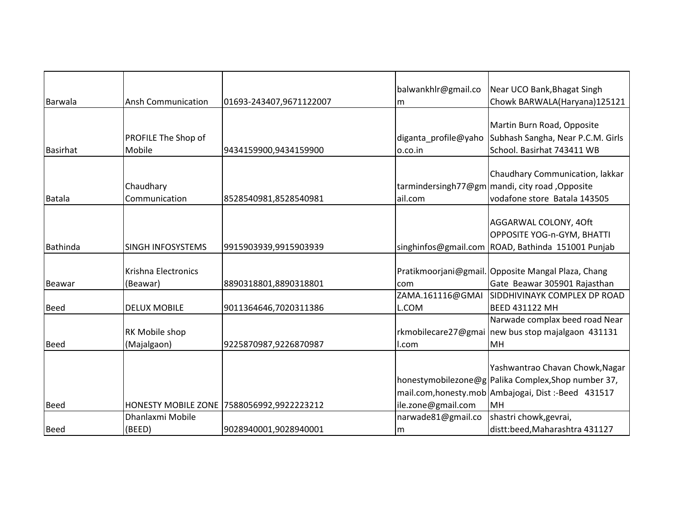|                 |                           |                                           | balwankhlr@gmail.co     | Near UCO Bank, Bhagat Singh                            |
|-----------------|---------------------------|-------------------------------------------|-------------------------|--------------------------------------------------------|
| Barwala         | <b>Ansh Communication</b> | 01693-243407,9671122007                   | Im                      | Chowk BARWALA(Haryana)125121                           |
|                 |                           |                                           |                         |                                                        |
|                 |                           |                                           |                         | Martin Burn Road, Opposite                             |
|                 | PROFILE The Shop of       |                                           | diganta_profile@yaho    | Subhash Sangha, Near P.C.M. Girls                      |
| <b>Basirhat</b> | Mobile                    | 9434159900,9434159900                     | o.co.in                 | School. Basirhat 743411 WB                             |
|                 |                           |                                           |                         |                                                        |
|                 |                           |                                           |                         | Chaudhary Communication, lakkar                        |
|                 | Chaudhary                 |                                           |                         | tarmindersingh77@gm   mandi, city road, Opposite       |
| Batala          | Communication             | 8528540981,8528540981                     | ail.com                 | vodafone store Batala 143505                           |
|                 |                           |                                           |                         |                                                        |
|                 |                           |                                           |                         | AGGARWAL COLONY, 4Oft                                  |
|                 |                           |                                           |                         | OPPOSITE YOG-n-GYM, BHATTI                             |
| <b>Bathinda</b> | <b>SINGH INFOSYSTEMS</b>  | 9915903939,9915903939                     |                         | singhinfos@gmail.com ROAD, Bathinda 151001 Punjab      |
|                 | Krishna Electronics       |                                           |                         | Pratikmoorjani@gmail. Opposite Mangal Plaza, Chang     |
|                 |                           |                                           |                         | Gate Beawar 305901 Rajasthan                           |
| <b>Beawar</b>   | (Beawar)                  | 8890318801,8890318801                     | com<br>ZAMA.161116@GMAI | SIDDHIVINAYK COMPLEX DP ROAD                           |
| <b>Beed</b>     | <b>DELUX MOBILE</b>       | 9011364646,7020311386                     | <b>L.COM</b>            | <b>BEED 431122 MH</b>                                  |
|                 |                           |                                           |                         | Narwade complax beed road Near                         |
|                 | RK Mobile shop            |                                           |                         | rkmobilecare27@gmai new bus stop majalgaon 431131      |
| <b>Beed</b>     | (Majalgaon)               |                                           |                         | MH                                                     |
|                 |                           | 9225870987,9226870987                     | I.com                   |                                                        |
|                 |                           |                                           |                         | Yashwantrao Chavan Chowk, Nagar                        |
|                 |                           |                                           |                         | honestymobilezone@g Palika Complex, Shop number 37,    |
|                 |                           |                                           |                         | mail.com, honesty.mob   Ambajogai, Dist: - Beed 431517 |
| <b>Beed</b>     |                           |                                           | ile.zone@gmail.com      | <b>MH</b>                                              |
|                 | Dhanlaxmi Mobile          | HONESTY MOBILE ZONE 7588056992,9922223212 | narwade81@gmail.co      | shastri chowk, gevrai,                                 |
|                 |                           |                                           |                         |                                                        |
| <b>Beed</b>     | (BEED)                    | 9028940001,9028940001                     | m                       | distt:beed, Maharashtra 431127                         |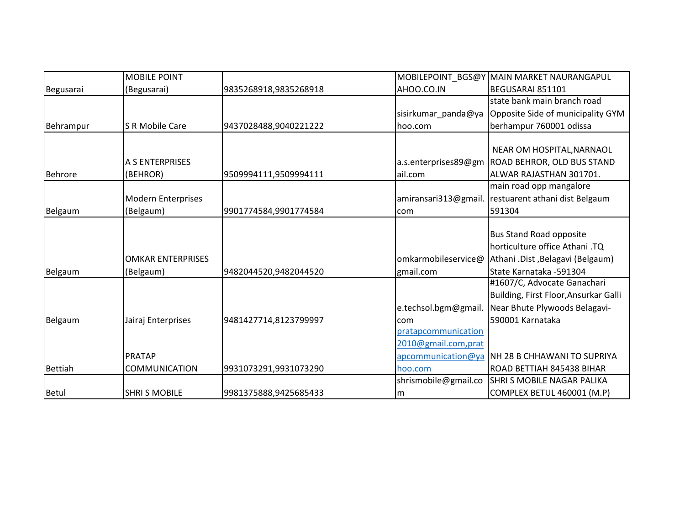|                | <b>MOBILE POINT</b>       |                       |                      | MOBILEPOINT_BGS@Y MAIN MARKET NAURANGAPUL      |
|----------------|---------------------------|-----------------------|----------------------|------------------------------------------------|
| Begusarai      | (Begusarai)               | 9835268918,9835268918 | AHOO.CO.IN           | BEGUSARAI 851101                               |
|                |                           |                       |                      | state bank main branch road                    |
|                |                           |                       | sisirkumar panda@ya  | Opposite Side of municipality GYM              |
| Behrampur      | <b>S R Mobile Care</b>    | 9437028488,9040221222 | hoo.com              | berhampur 760001 odissa                        |
|                |                           |                       |                      |                                                |
|                |                           |                       |                      | NEAR OM HOSPITAL, NARNAOL                      |
|                | A S ENTERPRISES           |                       | a.s.enterprises89@gm | <b>ROAD BEHROR, OLD BUS STAND</b>              |
| <b>Behrore</b> | (BEHROR)                  | 9509994111,9509994111 | ail.com              | ALWAR RAJASTHAN 301701.                        |
|                |                           |                       |                      | main road opp mangalore                        |
|                | <b>Modern Enterprises</b> |                       | amiransari313@gmail. | restuarent athani dist Belgaum                 |
| Belgaum        | (Belgaum)                 | 9901774584,9901774584 | com                  | 591304                                         |
|                |                           |                       |                      |                                                |
|                |                           |                       |                      | <b>Bus Stand Road opposite</b>                 |
|                |                           |                       |                      | horticulture office Athani .TQ                 |
|                | <b>OMKAR ENTERPRISES</b>  |                       | omkarmobileservice@  | Athani .Dist, Belagavi (Belgaum)               |
| Belgaum        | (Belgaum)                 | 9482044520,9482044520 | gmail.com            | State Karnataka -591304                        |
|                |                           |                       |                      | #1607/C, Advocate Ganachari                    |
|                |                           |                       |                      | Building, First Floor, Ansurkar Galli          |
|                |                           |                       | e.techsol.bgm@gmail. | Near Bhute Plywoods Belagavi-                  |
| Belgaum        | Jairaj Enterprises        | 9481427714,8123799997 | com                  | 590001 Karnataka                               |
|                |                           |                       | pratapcommunication  |                                                |
|                |                           |                       | 2010@gmail.com,prat  |                                                |
|                | <b>PRATAP</b>             |                       |                      | apcommunication@ya NH 28 B CHHAWANI TO SUPRIYA |
| <b>Bettiah</b> | <b>COMMUNICATION</b>      | 9931073291,9931073290 | hoo.com              | ROAD BETTIAH 845438 BIHAR                      |
|                |                           |                       | shrismobile@gmail.co | <b>SHRI S MOBILE NAGAR PALIKA</b>              |
| Betul          | <b>SHRI S MOBILE</b>      | 9981375888,9425685433 | Im                   | COMPLEX BETUL 460001 (M.P)                     |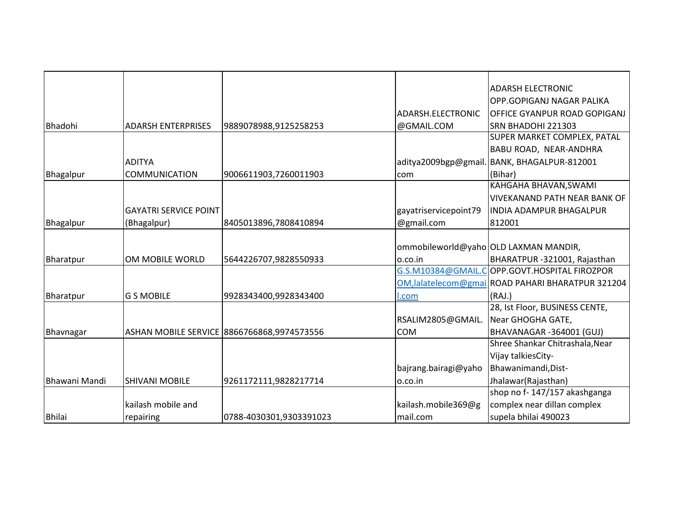|               |                              |                                            |                       | <b>ADARSH ELECTRONIC</b>                          |
|---------------|------------------------------|--------------------------------------------|-----------------------|---------------------------------------------------|
|               |                              |                                            |                       | OPP.GOPIGANJ NAGAR PALIKA                         |
|               |                              |                                            | ADARSH.ELECTRONIC     | OFFICE GYANPUR ROAD GOPIGANJ                      |
| Bhadohi       | <b>ADARSH ENTERPRISES</b>    | 9889078988,9125258253                      | @GMAIL.COM            | SRN BHADOHI 221303                                |
|               |                              |                                            |                       | SUPER MARKET COMPLEX, PATAL                       |
|               |                              |                                            |                       | BABU ROAD, NEAR-ANDHRA                            |
|               | <b>ADITYA</b>                |                                            | aditya2009bgp@gmail.  | BANK, BHAGALPUR-812001                            |
| Bhagalpur     | <b>COMMUNICATION</b>         | 9006611903,7260011903                      | com                   | (Bihar)                                           |
|               |                              |                                            |                       | KAHGAHA BHAVAN, SWAMI                             |
|               |                              |                                            |                       | <b>VIVEKANAND PATH NEAR BANK OF</b>               |
|               | <b>GAYATRI SERVICE POINT</b> |                                            | gayatriservicepoint79 | <b>INDIA ADAMPUR BHAGALPUR</b>                    |
| Bhagalpur     | (Bhagalpur)                  | 8405013896,7808410894                      | @gmail.com            | 812001                                            |
|               |                              |                                            |                       |                                                   |
|               |                              |                                            |                       | ommobileworld@yaho OLD LAXMAN MANDIR,             |
| Bharatpur     | OM MOBILE WORLD              | 5644226707,9828550933                      | lo.co.in              | BHARATPUR -321001, Rajasthan                      |
|               |                              |                                            |                       | G.S.M10384@GMAIL.COPP.GOVT.HOSPITAL FIROZPOR      |
|               |                              |                                            |                       | OM, lalatelecom@gmai ROAD PAHARI BHARATPUR 321204 |
| Bharatpur     | <b>G S MOBILE</b>            | 9928343400,9928343400                      | l.com                 | (RAJ.)                                            |
|               |                              |                                            |                       | 28, Ist Floor, BUSINESS CENTE,                    |
|               |                              |                                            | RSALIM2805@GMAIL.     | Near GHOGHA GATE,                                 |
| Bhavnagar     |                              | ASHAN MOBILE SERVICE 8866766868,9974573556 | <b>COM</b>            | BHAVANAGAR -364001 (GUJ)                          |
|               |                              |                                            |                       | Shree Shankar Chitrashala, Near                   |
|               |                              |                                            |                       | Vijay talkiesCity-                                |
|               |                              |                                            | bajrang.bairagi@yaho  | Bhawanimandi, Dist-                               |
| Bhawani Mandi | <b>SHIVANI MOBILE</b>        | 9261172111,9828217714                      | 0.00.in               | Jhalawar(Rajasthan)                               |
|               |                              |                                            |                       | shop no f-147/157 akashganga                      |
|               | kailash mobile and           |                                            | kailash.mobile369@g   | complex near dillan complex                       |
| <b>Bhilai</b> | repairing                    | 0788-4030301,9303391023                    | mail.com              | supela bhilai 490023                              |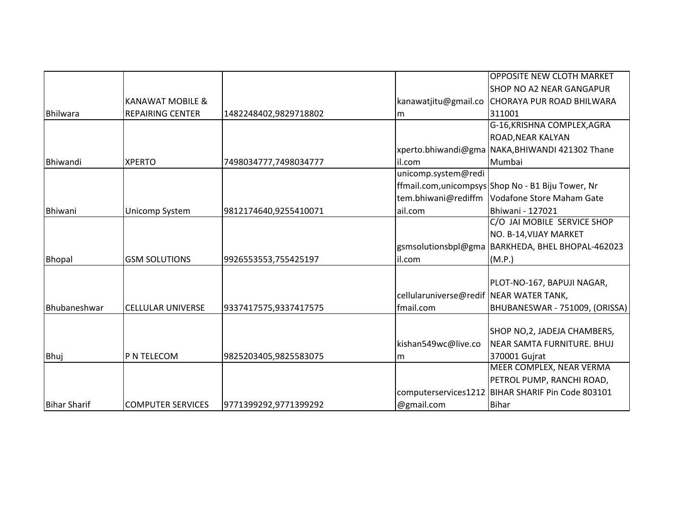|                     |                             |                       |                                         | <b>OPPOSITE NEW CLOTH MARKET</b>                    |
|---------------------|-----------------------------|-----------------------|-----------------------------------------|-----------------------------------------------------|
|                     |                             |                       |                                         | <b>SHOP NO A2 NEAR GANGAPUR</b>                     |
|                     | <b>KANAWAT MOBILE &amp;</b> |                       | kanawatjitu@gmail.co                    | <b>CHORAYA PUR ROAD BHILWARA</b>                    |
| Bhilwara            | <b>REPAIRING CENTER</b>     | 1482248402,9829718802 | Im                                      | 311001                                              |
|                     |                             |                       |                                         | G-16, KRISHNA COMPLEX, AGRA                         |
|                     |                             |                       |                                         | ROAD, NEAR KALYAN                                   |
|                     |                             |                       |                                         | xperto.bhiwandi@gma NAKA,BHIWANDI 421302 Thane      |
| Bhiwandi            | <b>XPERTO</b>               | 7498034777,7498034777 | il.com                                  | Mumbai                                              |
|                     |                             |                       | unicomp.system@redi                     |                                                     |
|                     |                             |                       |                                         | ffmail.com, unicompsys Shop No - B1 Biju Tower, Nr  |
|                     |                             |                       | tem.bhiwani@rediffm                     | Vodafone Store Maham Gate                           |
| <b>Bhiwani</b>      | Unicomp System              | 9812174640,9255410071 | ail.com                                 | Bhiwani - 127021                                    |
|                     |                             |                       |                                         | C/O JAI MOBILE SERVICE SHOP                         |
|                     |                             |                       |                                         | NO. B-14, VIJAY MARKET                              |
|                     |                             |                       |                                         | gsmsolutionsbpl@gma BARKHEDA, BHEL BHOPAL-462023    |
| <b>Bhopal</b>       | <b>GSM SOLUTIONS</b>        | 9926553553,755425197  | il.com                                  | (M.P.)                                              |
|                     |                             |                       |                                         |                                                     |
|                     |                             |                       |                                         | PLOT-NO-167, BAPUJI NAGAR,                          |
|                     |                             |                       | cellularuniverse@redif NEAR WATER TANK, |                                                     |
| Bhubaneshwar        | <b>CELLULAR UNIVERSE</b>    | 9337417575,9337417575 | fmail.com                               | BHUBANESWAR - 751009, (ORISSA)                      |
|                     |                             |                       |                                         |                                                     |
|                     |                             |                       |                                         | SHOP NO, 2, JADEJA CHAMBERS,                        |
|                     |                             |                       | kishan549wc@live.co                     | NEAR SAMTA FURNITURE. BHUJ                          |
| Bhuj                | P N TELECOM                 | 9825203405,9825583075 | Im                                      | 370001 Gujrat                                       |
|                     |                             |                       |                                         | MEER COMPLEX, NEAR VERMA                            |
|                     |                             |                       |                                         | PETROL PUMP, RANCHI ROAD,                           |
|                     |                             |                       |                                         | computerservices1212   BIHAR SHARIF Pin Code 803101 |
| <b>Bihar Sharif</b> | <b>COMPUTER SERVICES</b>    | 9771399292,9771399292 | @gmail.com                              | <b>Bihar</b>                                        |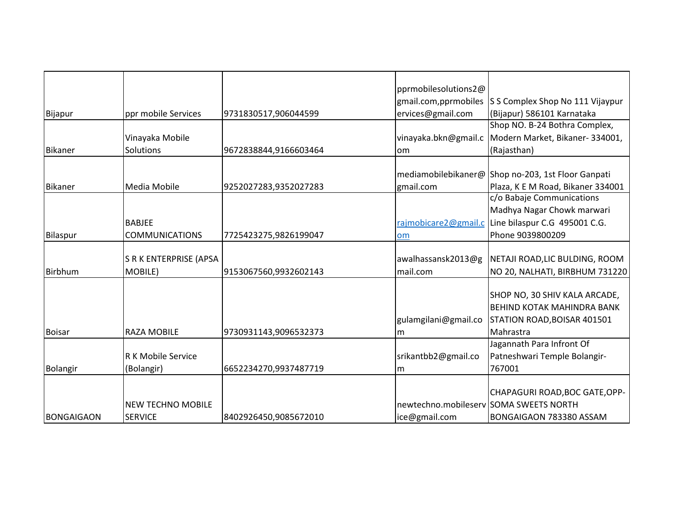|                   |                               |                       | pprmobilesolutions2@                   |                                                    |
|-------------------|-------------------------------|-----------------------|----------------------------------------|----------------------------------------------------|
|                   |                               |                       | gmail.com, pprmobiles                  | S S Complex Shop No 111 Vijaypur                   |
| Bijapur           | ppr mobile Services           | 9731830517,906044599  | ervices@gmail.com                      | (Bijapur) 586101 Karnataka                         |
|                   |                               |                       |                                        | Shop NO. B-24 Bothra Complex,                      |
|                   | Vinayaka Mobile               |                       | vinayaka.bkn@gmail.c                   | Modern Market, Bikaner- 334001,                    |
| <b>Bikaner</b>    | Solutions                     | 9672838844,9166603464 | lom                                    | (Rajasthan)                                        |
|                   |                               |                       |                                        |                                                    |
|                   |                               |                       |                                        | mediamobilebikaner@ Shop no-203, 1st Floor Ganpati |
| <b>Bikaner</b>    | Media Mobile                  | 9252027283,9352027283 | gmail.com                              | Plaza, K E M Road, Bikaner 334001                  |
|                   |                               |                       |                                        | c/o Babaje Communications                          |
|                   |                               |                       |                                        | Madhya Nagar Chowk marwari                         |
|                   | <b>BABJEE</b>                 |                       | rajmobicare2@gmail.c                   | Line bilaspur C.G 495001 C.G.                      |
| Bilaspur          | <b>COMMUNICATIONS</b>         | 7725423275,9826199047 | om                                     | Phone 9039800209                                   |
|                   |                               |                       |                                        |                                                    |
|                   | <b>S R K ENTERPRISE (APSA</b> |                       | awalhassansk2013@g                     | NETAJI ROAD,LIC BULDING, ROOM                      |
| <b>Birbhum</b>    | MOBILE)                       | 9153067560,9932602143 | mail.com                               | NO 20, NALHATI, BIRBHUM 731220                     |
|                   |                               |                       |                                        |                                                    |
|                   |                               |                       |                                        | SHOP NO, 30 SHIV KALA ARCADE,                      |
|                   |                               |                       |                                        | <b>BEHIND KOTAK MAHINDRA BANK</b>                  |
|                   |                               |                       | gulamgilani@gmail.co                   | STATION ROAD, BOISAR 401501                        |
| <b>Boisar</b>     | <b>RAZA MOBILE</b>            | 9730931143,9096532373 | lm                                     | Mahrastra                                          |
|                   |                               |                       |                                        | Jagannath Para Infront Of                          |
|                   | <b>R K Mobile Service</b>     |                       | srikantbb2@gmail.co                    | Patneshwari Temple Bolangir-                       |
| <b>Bolangir</b>   | (Bolangir)                    | 6652234270,9937487719 | Im                                     | 767001                                             |
|                   |                               |                       |                                        |                                                    |
|                   |                               |                       |                                        | CHAPAGURI ROAD, BOC GATE, OPP-                     |
|                   | <b>NEW TECHNO MOBILE</b>      |                       | newtechno.mobileserv SOMA SWEETS NORTH |                                                    |
| <b>BONGAIGAON</b> | <b>SERVICE</b>                | 8402926450,9085672010 | ice@gmail.com                          | BONGAIGAON 783380 ASSAM                            |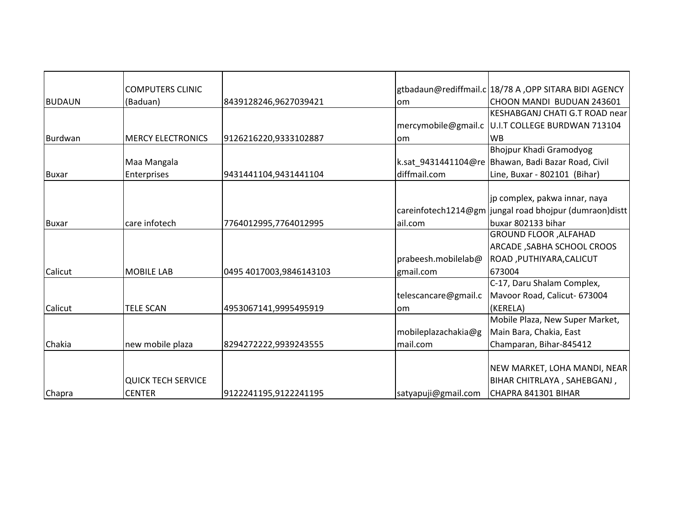|               | <b>COMPUTERS CLINIC</b>   |                         |                      | gtbadaun@rediffmail.c 18/78 A, OPP SITARA BIDI AGENCY  |
|---------------|---------------------------|-------------------------|----------------------|--------------------------------------------------------|
| <b>BUDAUN</b> | (Baduan)                  | 8439128246,9627039421   | lom                  | CHOON MANDI BUDUAN 243601                              |
|               |                           |                         |                      | KESHABGANJ CHATI G.T ROAD near                         |
|               |                           |                         |                      | mercymobile@gmail.c U.I.T COLLEGE BURDWAN 713104       |
| Burdwan       | <b>MERCY ELECTRONICS</b>  | 9126216220,9333102887   | lom                  | <b>WB</b>                                              |
|               |                           |                         |                      | Bhojpur Khadi Gramodyog                                |
|               | Maa Mangala               |                         |                      | k.sat_9431441104@re   Bhawan, Badi Bazar Road, Civil   |
| Buxar         | Enterprises               | 9431441104,9431441104   | diffmail.com         | Line, Buxar - 802101 (Bihar)                           |
|               |                           |                         |                      |                                                        |
|               |                           |                         |                      | jp complex, pakwa innar, naya                          |
|               |                           |                         |                      | careinfotech1214@gm jungal road bhojpur (dumraon)distt |
| <b>Buxar</b>  | care infotech             | 7764012995,7764012995   | ail.com              | buxar 802133 bihar                                     |
|               |                           |                         |                      | <b>GROUND FLOOR, ALFAHAD</b>                           |
|               |                           |                         |                      | <b>ARCADE, SABHA SCHOOL CROOS</b>                      |
|               |                           |                         | prabeesh.mobilelab@  | ROAD, PUTHIYARA, CALICUT                               |
| Calicut       | <b>MOBILE LAB</b>         | 0495 4017003,9846143103 | gmail.com            | 673004                                                 |
|               |                           |                         |                      | C-17, Daru Shalam Complex,                             |
|               |                           |                         | telescancare@gmail.c | Mavoor Road, Calicut- 673004                           |
| Calicut       | <b>TELE SCAN</b>          | 4953067141,9995495919   | lom                  | (KERELA)                                               |
|               |                           |                         |                      | Mobile Plaza, New Super Market,                        |
|               |                           |                         | mobileplazachakia@g  | Main Bara, Chakia, East                                |
| Chakia        | new mobile plaza          | 8294272222,9939243555   | mail.com             | Champaran, Bihar-845412                                |
|               |                           |                         |                      |                                                        |
|               |                           |                         |                      | NEW MARKET, LOHA MANDI, NEAR                           |
|               | <b>QUICK TECH SERVICE</b> |                         |                      | BIHAR CHITRLAYA, SAHEBGANJ,                            |
| Chapra        | <b>CENTER</b>             | 9122241195,9122241195   | satyapuji@gmail.com  | CHAPRA 841301 BIHAR                                    |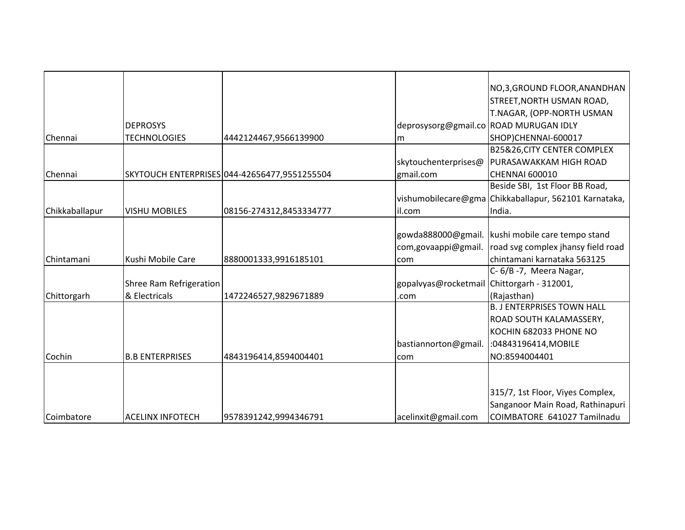|                |                         |                                              |                                            | NO,3, GROUND FLOOR, ANANDHAN                          |
|----------------|-------------------------|----------------------------------------------|--------------------------------------------|-------------------------------------------------------|
|                |                         |                                              |                                            | STREET, NORTH USMAN ROAD,                             |
|                |                         |                                              |                                            | T.NAGAR, (OPP-NORTH USMAN                             |
|                | <b>DEPROSYS</b>         |                                              |                                            | deprosysorg@gmail.co ROAD MURUGAN IDLY                |
| Chennai        | <b>TECHNOLOGIES</b>     | 4442124467,9566139900                        | m                                          | SHOP)CHENNAI-600017                                   |
|                |                         |                                              |                                            | <b>B25&amp;26,CITY CENTER COMPLEX</b>                 |
|                |                         |                                              | skytouchenterprises@                       | PURASAWAKKAM HIGH ROAD                                |
| Chennai        |                         | SKYTOUCH ENTERPRISES 044-42656477,9551255504 | gmail.com                                  | <b>CHENNAI 600010</b>                                 |
|                |                         |                                              |                                            | Beside SBI, 1st Floor BB Road,                        |
|                |                         |                                              |                                            | vishumobilecare@gma Chikkaballapur, 562101 Karnataka, |
| Chikkaballapur | <b>VISHU MOBILES</b>    | 08156-274312,8453334777                      | il.com                                     | India.                                                |
|                |                         |                                              |                                            |                                                       |
|                |                         |                                              | gowda888000@gmail.                         | kushi mobile care tempo stand                         |
|                |                         |                                              | com, gova appi@gmail.                      | road svg complex jhansy field road                    |
| Chintamani     | Kushi Mobile Care       | 8880001333,9916185101                        | com                                        | chintamani karnataka 563125                           |
|                |                         |                                              |                                            | C-6/B-7, Meera Nagar,                                 |
|                | Shree Ram Refrigeration |                                              | gopalvyas@rocketmail Chittorgarh - 312001, |                                                       |
| Chittorgarh    | & Electricals           | 1472246527,9829671889                        | .com                                       | (Rajasthan)                                           |
|                |                         |                                              |                                            | <b>B. J ENTERPRISES TOWN HALL</b>                     |
|                |                         |                                              |                                            | ROAD SOUTH KALAMASSERY,                               |
|                |                         |                                              |                                            | KOCHIN 682033 PHONE NO                                |
|                |                         |                                              | bastiannorton@gmail.                       | :04843196414, MOBILE                                  |
| Cochin         | <b>B.B ENTERPRISES</b>  | 4843196414,8594004401                        | com                                        | NO:8594004401                                         |
|                |                         |                                              |                                            |                                                       |
|                |                         |                                              |                                            |                                                       |
|                |                         |                                              |                                            | 315/7, 1st Floor, Viyes Complex,                      |
|                |                         |                                              |                                            | Sanganoor Main Road, Rathinapuri                      |
| Coimbatore     | <b>ACELINX INFOTECH</b> | 9578391242,9994346791                        | acelinxit@gmail.com                        | COIMBATORE 641027 Tamilnadu                           |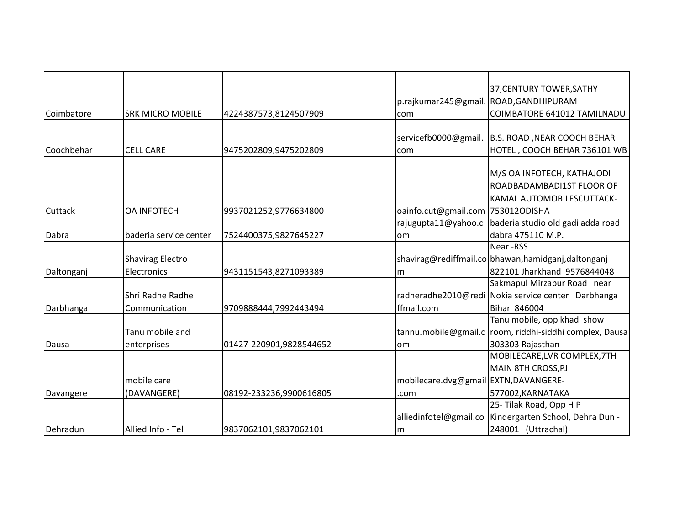|            |                         |                         |                                      | 37, CENTURY TOWER, SATHY                                |
|------------|-------------------------|-------------------------|--------------------------------------|---------------------------------------------------------|
|            |                         |                         |                                      |                                                         |
|            |                         |                         |                                      | p.rajkumar245@gmail. ROAD, GANDHIPURAM                  |
| Coimbatore | <b>SRK MICRO MOBILE</b> | 4224387573,8124507909   | com                                  | COIMBATORE 641012 TAMILNADU                             |
|            |                         |                         | servicefb0000@gmail.                 | B.S. ROAD, NEAR COOCH BEHAR                             |
| Coochbehar | <b>CELL CARE</b>        | 9475202809,9475202809   | com                                  | HOTEL, COOCH BEHAR 736101 WB                            |
|            |                         |                         |                                      |                                                         |
|            |                         |                         |                                      | M/S OA INFOTECH, KATHAJODI                              |
|            |                         |                         |                                      | ROADBADAMBADI1ST FLOOR OF                               |
|            |                         |                         |                                      | KAMAL AUTOMOBILESCUTTACK-                               |
| Cuttack    | <b>OA INFOTECH</b>      | 9937021252,9776634800   | oainfo.cut@gmail.com 753012ODISHA    |                                                         |
|            |                         |                         | rajugupta11@yahoo.c                  | baderia studio old gadi adda road                       |
| Dabra      | baderia service center  | 7524400375,9827645227   | om                                   | dabra 475110 M.P.                                       |
|            |                         |                         |                                      | Near -RSS                                               |
|            | <b>Shavirag Electro</b> |                         |                                      | shavirag@rediffmail.co bhawan,hamidganj,daltonganj      |
| Daltonganj | Electronics             | 9431151543,8271093389   | lm                                   | 822101 Jharkhand 9576844048                             |
|            |                         |                         |                                      | Sakmapul Mirzapur Road near                             |
|            | Shri Radhe Radhe        |                         |                                      | radheradhe2010@redi Nokia service center Darbhanga      |
| Darbhanga  | Communication           | 9709888444,7992443494   | ffmail.com                           | Bihar 846004                                            |
|            |                         |                         |                                      | Tanu mobile, opp khadi show                             |
|            | Tanu mobile and         |                         |                                      | tannu.mobile@gmail.c room, riddhi-siddhi complex, Dausa |
| Dausa      | enterprises             | 01427-220901,9828544652 | lom                                  | 303303 Rajasthan                                        |
|            |                         |                         |                                      | MOBILECARE, LVR COMPLEX, 7TH                            |
|            |                         |                         |                                      | <b>MAIN 8TH CROSS, PJ</b>                               |
|            | mobile care             |                         | mobilecare.dvg@gmail EXTN,DAVANGERE- |                                                         |
| Davangere  | (DAVANGERE)             | 08192-233236,9900616805 | .com                                 | 577002, KARNATAKA                                       |
|            |                         |                         |                                      | 25-Tilak Road, Opp H P                                  |
|            |                         |                         | alliedinfotel@gmail.co               | Kindergarten School, Dehra Dun -                        |
| Dehradun   | Allied Info - Tel       | 9837062101,9837062101   | m                                    | 248001 (Uttrachal)                                      |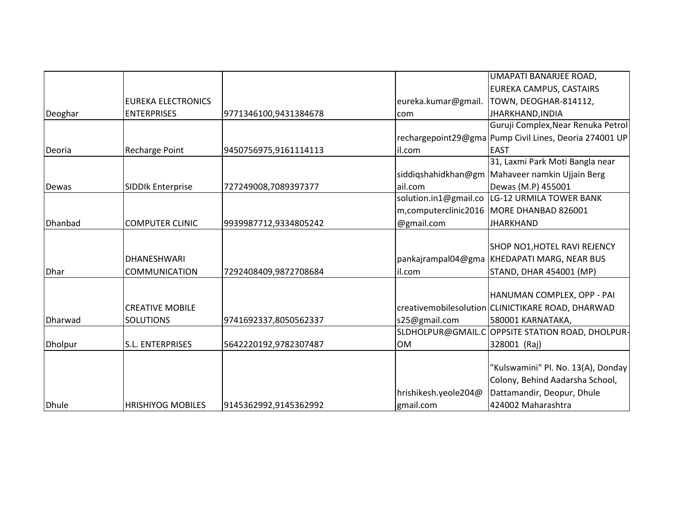|                |                           |                       |                       | UMAPATI BANARJEE ROAD,                                 |
|----------------|---------------------------|-----------------------|-----------------------|--------------------------------------------------------|
|                |                           |                       |                       | EUREKA CAMPUS, CASTAIRS                                |
|                | <b>EUREKA ELECTRONICS</b> |                       | eureka.kumar@gmail.   | TOWN, DEOGHAR-814112,                                  |
| Deoghar        | <b>ENTERPRISES</b>        | 9771346100,9431384678 | com                   | JHARKHAND, INDIA                                       |
|                |                           |                       |                       | Guruji Complex, Near Renuka Petrol                     |
|                |                           |                       |                       | rechargepoint29@gma Pump Civil Lines, Deoria 274001 UP |
| Deoria         | <b>Recharge Point</b>     | 9450756975,9161114113 | il.com                | <b>EAST</b>                                            |
|                |                           |                       |                       | 31, Laxmi Park Moti Bangla near                        |
|                |                           |                       |                       | siddiqshahidkhan@gm   Mahaveer namkin Ujjain Berg      |
| Dewas          | <b>SIDDIk Enterprise</b>  | 727249008,7089397377  | ail.com               | Dewas (M.P) 455001                                     |
|                |                           |                       | solution.in1@gmail.co | LG-12 URMILA TOWER BANK                                |
|                |                           |                       |                       | m, computerclinic 2016   MORE DHANBAD 826001           |
| Dhanbad        | <b>COMPUTER CLINIC</b>    | 9939987712,9334805242 | @gmail.com            | <b>JHARKHAND</b>                                       |
|                |                           |                       |                       |                                                        |
|                |                           |                       |                       | SHOP NO1, HOTEL RAVI REJENCY                           |
|                | DHANESHWARI               |                       |                       | pankajrampal04@gma KHEDAPATI MARG, NEAR BUS            |
| <b>Dhar</b>    | <b>COMMUNICATION</b>      | 7292408409,9872708684 | il.com                | STAND, DHAR 454001 (MP)                                |
|                |                           |                       |                       |                                                        |
|                |                           |                       |                       | HANUMAN COMPLEX, OPP - PAI                             |
|                | <b>CREATIVE MOBILE</b>    |                       |                       | creativemobilesolution CLINICTIKARE ROAD, DHARWAD      |
| Dharwad        | <b>SOLUTIONS</b>          | 9741692337,8050562337 | s25@gmail.com         | 580001 KARNATAKA,                                      |
|                |                           |                       | SLDHOLPUR@GMAIL.C     | OPPSITE STATION ROAD, DHOLPUR-                         |
| <b>Dholpur</b> | S.L. ENTERPRISES          | 5642220192,9782307487 | <b>OM</b>             | 328001 (Raj)                                           |
|                |                           |                       |                       |                                                        |
|                |                           |                       |                       | "Kulswamini" Pl. No. 13(A), Donday                     |
|                |                           |                       |                       | Colony, Behind Aadarsha School,                        |
|                |                           |                       | hrishikesh.yeole204@  | Dattamandir, Deopur, Dhule                             |
| <b>Dhule</b>   | <b>HRISHIYOG MOBILES</b>  | 9145362992,9145362992 | gmail.com             | 424002 Maharashtra                                     |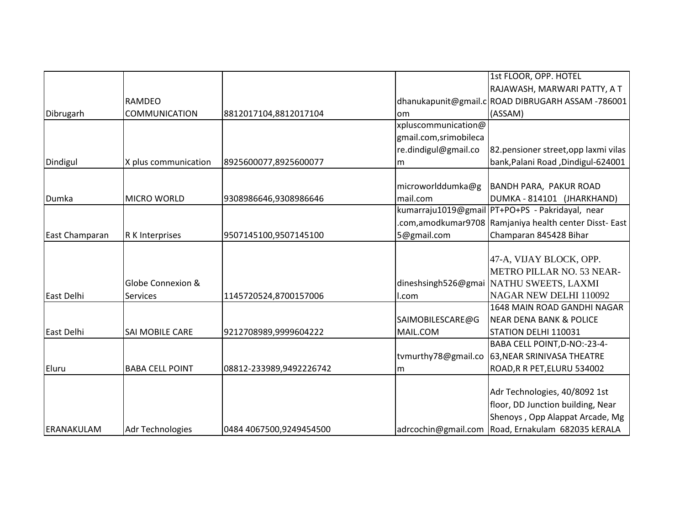|                |                         |                         |                       | 1st FLOOR, OPP. HOTEL                                  |
|----------------|-------------------------|-------------------------|-----------------------|--------------------------------------------------------|
|                |                         |                         |                       | RAJAWASH, MARWARI PATTY, A T                           |
|                | <b>RAMDEO</b>           |                         |                       | dhanukapunit@gmail.c ROAD DIBRUGARH ASSAM -786001      |
| Dibrugarh      | <b>COMMUNICATION</b>    | 8812017104,8812017104   | lom                   | (ASSAM)                                                |
|                |                         |                         | xpluscommunication@   |                                                        |
|                |                         |                         | gmail.com,srimobileca |                                                        |
|                |                         |                         | re.dindigul@gmail.co  | 82.pensioner street, opp laxmi vilas                   |
| Dindigul       | X plus communication    | 8925600077,8925600077   | m                     | bank, Palani Road, Dindigul-624001                     |
|                |                         |                         |                       |                                                        |
|                |                         |                         | microworlddumka@g     | BANDH PARA, PAKUR ROAD                                 |
| Dumka          | <b>MICRO WORLD</b>      | 9308986646,9308986646   | mail.com              | DUMKA - 814101 (JHARKHAND)                             |
|                |                         |                         |                       | kumarraju1019@gmail PT+PO+PS - Pakridayal, near        |
|                |                         |                         |                       | .com,amodkumar9708 Ramjaniya health center Disst- East |
| East Champaran | R K Interprises         | 9507145100,9507145100   | 5@gmail.com           | Champaran 845428 Bihar                                 |
|                |                         |                         |                       |                                                        |
|                |                         |                         |                       | 47-A, VIJAY BLOCK, OPP.                                |
|                |                         |                         |                       | <b>METRO PILLAR NO. 53 NEAR-</b>                       |
|                | Globe Connexion &       |                         |                       | dineshsingh526@gmai NATHU SWEETS, LAXMI                |
| East Delhi     | <b>Services</b>         | 1145720524,8700157006   | l.com                 | NAGAR NEW DELHI 110092                                 |
|                |                         |                         |                       | 1648 MAIN ROAD GANDHI NAGAR                            |
|                |                         |                         | SAIMOBILESCARE@G      | <b>NEAR DENA BANK &amp; POLICE</b>                     |
| East Delhi     | SAI MOBILE CARE         | 9212708989,9999604222   | MAIL.COM              | STATION DELHI 110031                                   |
|                |                         |                         |                       | BABA CELL POINT, D-NO:-23-4-                           |
|                |                         |                         | tvmurthy78@gmail.co   | 63, NEAR SRINIVASA THEATRE                             |
| Eluru          | <b>BABA CELL POINT</b>  | 08812-233989,9492226742 | m                     | ROAD, R R PET, ELURU 534002                            |
|                |                         |                         |                       |                                                        |
|                |                         |                         |                       | Adr Technologies, 40/8092 1st                          |
|                |                         |                         |                       | floor, DD Junction building, Near                      |
|                |                         |                         |                       | Shenoys, Opp Alappat Arcade, Mg                        |
| ERANAKULAM     | <b>Adr Technologies</b> | 0484 4067500,9249454500 |                       | adrcochin@gmail.com Road, Ernakulam 682035 kERALA      |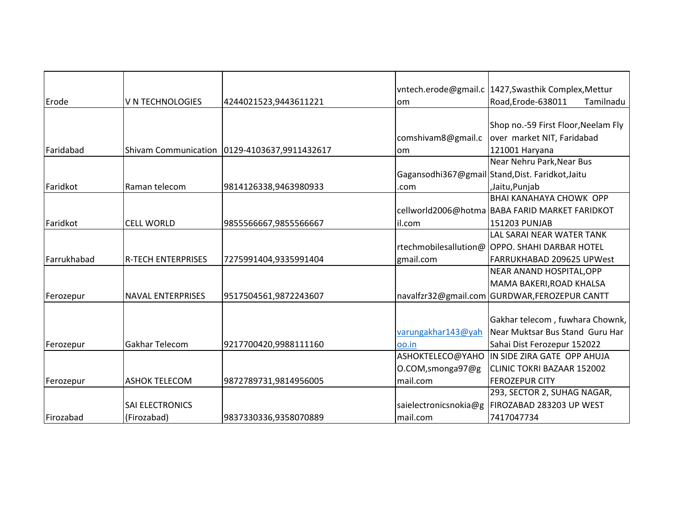|             |                             |                         |                       | vntech.erode@gmail.c   1427, Swasthik Complex, Mettur |
|-------------|-----------------------------|-------------------------|-----------------------|-------------------------------------------------------|
| Erode       | V N TECHNOLOGIES            | 4244021523,9443611221   | lom                   | Road, Erode-638011<br>Tamilnadu                       |
|             |                             |                         |                       |                                                       |
|             |                             |                         |                       | Shop no.-59 First Floor, Neelam Fly                   |
|             |                             |                         | comshivam8@gmail.c    | over market NIT, Faridabad                            |
| Faridabad   | <b>Shivam Communication</b> | 0129-4103637,9911432617 | lom                   | 121001 Haryana                                        |
|             |                             |                         |                       | Near Nehru Park, Near Bus                             |
|             |                             |                         |                       | Gagansodhi367@gmail Stand, Dist. Faridkot, Jaitu      |
| Faridkot    | Raman telecom               | 9814126338,9463980933   | .com                  | ,Jaitu,Punjab                                         |
|             |                             |                         |                       | <b>BHAI KANAHAYA CHOWK OPP</b>                        |
|             |                             |                         |                       | cellworld2006@hotma BABA FARID MARKET FARIDKOT        |
| Faridkot    | <b>CELL WORLD</b>           | 9855566667,9855566667   | il.com                | 151203 PUNJAB                                         |
|             |                             |                         |                       | LAL SARAI NEAR WATER TANK                             |
|             |                             |                         |                       | rtechmobilesallution@ OPPO. SHAHI DARBAR HOTEL        |
| Farrukhabad | <b>R-TECH ENTERPRISES</b>   | 7275991404,9335991404   | gmail.com             | FARRUKHABAD 209625 UPWest                             |
|             |                             |                         |                       | NEAR ANAND HOSPITAL, OPP                              |
|             |                             |                         |                       | MAMA BAKERI, ROAD KHALSA                              |
| Ferozepur   | <b>NAVAL ENTERPRISES</b>    | 9517504561,9872243607   |                       | navalfzr32@gmail.com GURDWAR,FEROZEPUR CANTT          |
|             |                             |                         |                       |                                                       |
|             |                             |                         |                       | Gakhar telecom, fuwhara Chownk,                       |
|             |                             |                         | varungakhar143@yah    | Near Muktsar Bus Stand Guru Har                       |
| Ferozepur   | Gakhar Telecom              | 9217700420,9988111160   | oo.in                 | Sahai Dist Ferozepur 152022                           |
|             |                             |                         | ASHOKTELECO@YAHO      | IN SIDE ZIRA GATE OPP AHUJA                           |
|             |                             |                         | O.COM, smonga97@g     | CLINIC TOKRI BAZAAR 152002                            |
| Ferozepur   | <b>ASHOK TELECOM</b>        | 9872789731,9814956005   | mail.com              | <b>FEROZEPUR CITY</b>                                 |
|             |                             |                         |                       | 293, SECTOR 2, SUHAG NAGAR,                           |
|             | <b>SAI ELECTRONICS</b>      |                         | saielectronicsnokia@g | FIROZABAD 283203 UP WEST                              |
| Firozabad   | (Firozabad)                 | 9837330336,9358070889   | mail.com              | 7417047734                                            |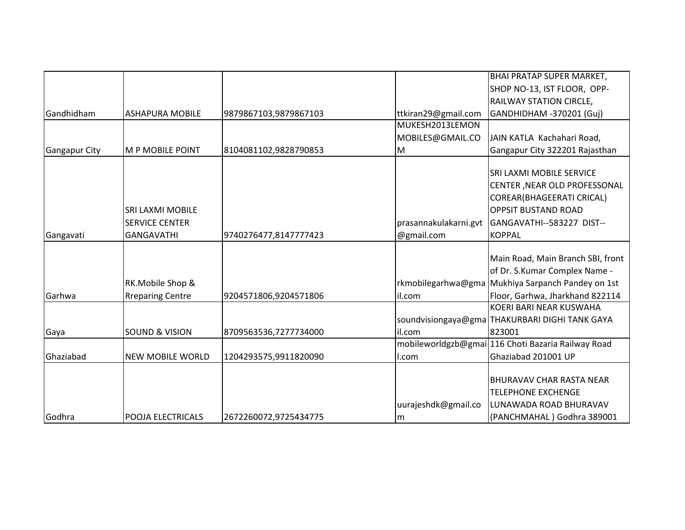|                      |                           |                       |                       | <b>BHAI PRATAP SUPER MARKET,</b>                   |
|----------------------|---------------------------|-----------------------|-----------------------|----------------------------------------------------|
|                      |                           |                       |                       | SHOP NO-13, IST FLOOR, OPP-                        |
|                      |                           |                       |                       | RAILWAY STATION CIRCLE,                            |
| Gandhidham           | <b>ASHAPURA MOBILE</b>    | 9879867103,9879867103 | ttkiran29@gmail.com   | GANDHIDHAM -370201 (Guj)                           |
|                      |                           |                       | MUKESH2013LEMON       |                                                    |
|                      |                           |                       | MOBILES@GMAIL.CO      | JAIN KATLA Kachahari Road,                         |
| <b>Gangapur City</b> | <b>M P MOBILE POINT</b>   | 8104081102,9828790853 | M                     | Gangapur City 322201 Rajasthan                     |
|                      |                           |                       |                       |                                                    |
|                      |                           |                       |                       | SRI LAXMI MOBILE SERVICE                           |
|                      |                           |                       |                       | CENTER , NEAR OLD PROFESSONAL                      |
|                      |                           |                       |                       | COREAR(BHAGEERATI CRICAL)                          |
|                      | <b>SRI LAXMI MOBILE</b>   |                       |                       | <b>OPPSIT BUSTAND ROAD</b>                         |
|                      | <b>SERVICE CENTER</b>     |                       | prasannakulakarni.gvt | GANGAVATHI--583227 DIST--                          |
| Gangavati            | <b>GANGAVATHI</b>         | 9740276477,8147777423 | @gmail.com            | <b>KOPPAL</b>                                      |
|                      |                           |                       |                       |                                                    |
|                      |                           |                       |                       | Main Road, Main Branch SBI, front                  |
|                      |                           |                       |                       | of Dr. S.Kumar Complex Name -                      |
|                      | RK.Mobile Shop &          |                       |                       | rkmobilegarhwa@gma Mukhiya Sarpanch Pandey on 1st  |
| Garhwa               | <b>Rreparing Centre</b>   | 9204571806,9204571806 | il.com                | Floor, Garhwa, Jharkhand 822114                    |
|                      |                           |                       |                       | KOERI BARI NEAR KUSWAHA                            |
|                      |                           |                       |                       | soundvisiongaya@gma THAKURBARI DIGHI TANK GAYA     |
| Gaya                 | <b>SOUND &amp; VISION</b> | 8709563536,7277734000 | il.com                | 823001                                             |
|                      |                           |                       |                       | mobileworldgzb@gmai 116 Choti Bazaria Railway Road |
| Ghaziabad            | <b>NEW MOBILE WORLD</b>   | 1204293575,9911820090 | ll.com                | Ghaziabad 201001 UP                                |
|                      |                           |                       |                       |                                                    |
|                      |                           |                       |                       | <b>BHURAVAV CHAR RASTA NEAR</b>                    |
|                      |                           |                       |                       | <b>TELEPHONE EXCHENGE</b>                          |
|                      |                           |                       | uurajeshdk@gmail.co   | LUNAWADA ROAD BHURAVAV                             |
| Godhra               | <b>POOJA ELECTRICALS</b>  | 2672260072,9725434775 | m                     | (PANCHMAHAL) Godhra 389001                         |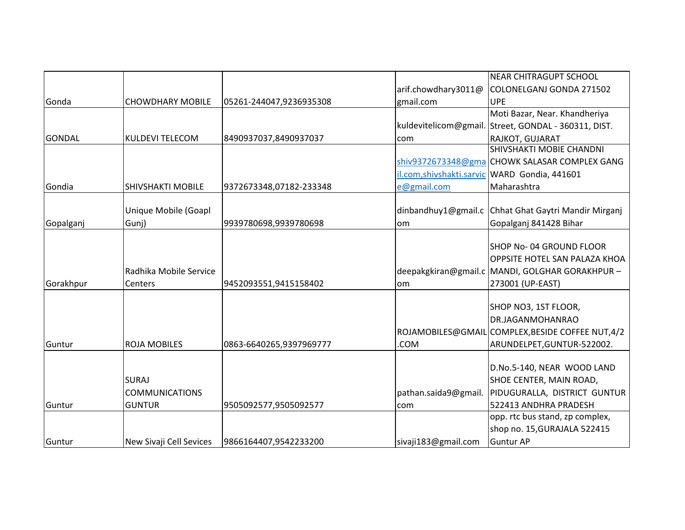|               |                          |                         |                      | <b>NEAR CHITRAGUPT SCHOOL</b>                     |
|---------------|--------------------------|-------------------------|----------------------|---------------------------------------------------|
|               |                          |                         | arif.chowdhary3011@  | COLONELGANJ GONDA 271502                          |
| Gonda         | <b>CHOWDHARY MOBILE</b>  | 05261-244047,9236935308 | gmail.com            | <b>UPE</b>                                        |
|               |                          |                         |                      | Moti Bazar, Near. Khandheriya                     |
|               |                          |                         | kuldevitelicom@gmail | Street, GONDAL - 360311, DIST.                    |
| <b>GONDAL</b> | <b>KULDEVI TELECOM</b>   | 8490937037,8490937037   | com                  | RAJKOT, GUJARAT                                   |
|               |                          |                         |                      | SHIVSHAKTI MOBIE CHANDNI                          |
|               |                          |                         |                      | shiv9372673348@gma CHOWK SALASAR COMPLEX GANG     |
|               |                          |                         |                      | il.com, shivshakti.sarvic WARD Gondia, 441601     |
| Gondia        | <b>SHIVSHAKTI MOBILE</b> | 9372673348,07182-233348 | e@gmail.com          | Maharashtra                                       |
|               |                          |                         |                      |                                                   |
|               | Unique Mobile (Goapl     |                         | dinbandhuy1@gmail.c  | Chhat Ghat Gaytri Mandir Mirganj                  |
| Gopalganj     | Gunj)                    | 9939780698,9939780698   | om                   | Gopalganj 841428 Bihar                            |
|               |                          |                         |                      |                                                   |
|               |                          |                         |                      | SHOP No-04 GROUND FLOOR                           |
|               |                          |                         |                      | OPPSITE HOTEL SAN PALAZA KHOA                     |
|               | Radhika Mobile Service   |                         |                      | deepakgkiran@gmail.c MANDI, GOLGHAR GORAKHPUR -   |
| Gorakhpur     | <b>Centers</b>           | 9452093551,9415158402   | lom                  | 273001 (UP-EAST)                                  |
|               |                          |                         |                      |                                                   |
|               |                          |                         |                      | SHOP NO3, 1ST FLOOR,                              |
|               |                          |                         |                      | DR.JAGANMOHANRAO                                  |
|               |                          |                         |                      | ROJAMOBILES@GMAIL COMPLEX, BESIDE COFFEE NUT, 4/2 |
| Guntur        | <b>ROJA MOBILES</b>      | 0863-6640265,9397969777 | .COM                 | ARUNDELPET, GUNTUR-522002.                        |
|               |                          |                         |                      | D.No.5-140, NEAR WOOD LAND                        |
|               | <b>SURAJ</b>             |                         |                      | SHOE CENTER, MAIN ROAD,                           |
|               | <b>COMMUNICATIONS</b>    |                         | pathan.saida9@gmail. | PIDUGURALLA, DISTRICT GUNTUR                      |
| Guntur        | <b>GUNTUR</b>            |                         |                      | 522413 ANDHRA PRADESH                             |
|               |                          | 9505092577,9505092577   | com                  | opp. rtc bus stand, zp complex,                   |
|               |                          |                         |                      | shop no. 15, GURAJALA 522415                      |
| Guntur        | New Sivaji Cell Sevices  | 9866164407,9542233200   | sivaji183@gmail.com  | <b>Guntur AP</b>                                  |
|               |                          |                         |                      |                                                   |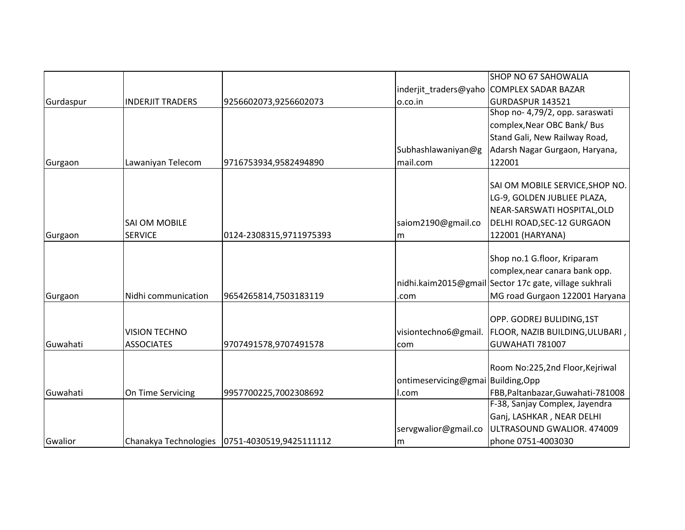|           |                         |                                                 |                                   | <b>SHOP NO 67 SAHOWALIA</b>                            |
|-----------|-------------------------|-------------------------------------------------|-----------------------------------|--------------------------------------------------------|
|           |                         |                                                 |                                   | inderjit traders@yaho COMPLEX SADAR BAZAR              |
| Gurdaspur | <b>INDERJIT TRADERS</b> | 9256602073,9256602073                           | o.co.in                           | GURDASPUR 143521                                       |
|           |                         |                                                 |                                   | Shop no- 4,79/2, opp. saraswati                        |
|           |                         |                                                 |                                   | complex, Near OBC Bank/ Bus                            |
|           |                         |                                                 |                                   | Stand Gali, New Railway Road,                          |
|           |                         |                                                 | Subhashlawaniyan@g                | Adarsh Nagar Gurgaon, Haryana,                         |
| Gurgaon   | Lawaniyan Telecom       | 9716753934,9582494890                           | mail.com                          | 122001                                                 |
|           |                         |                                                 |                                   |                                                        |
|           |                         |                                                 |                                   | SAI OM MOBILE SERVICE, SHOP NO.                        |
|           |                         |                                                 |                                   | LG-9, GOLDEN JUBLIEE PLAZA,                            |
|           |                         |                                                 |                                   | NEAR-SARSWATI HOSPITAL, OLD                            |
|           | <b>SAI OM MOBILE</b>    |                                                 | saiom2190@gmail.co                | DELHI ROAD, SEC-12 GURGAON                             |
| Gurgaon   | <b>SERVICE</b>          | 0124-2308315,9711975393                         | m                                 | 122001 (HARYANA)                                       |
|           |                         |                                                 |                                   |                                                        |
|           |                         |                                                 |                                   | Shop no.1 G.floor, Kriparam                            |
|           |                         |                                                 |                                   | complex, near canara bank opp.                         |
|           |                         |                                                 |                                   | nidhi.kaim2015@gmail Sector 17c gate, village sukhrali |
| Gurgaon   | Nidhi communication     | 9654265814,7503183119                           | .com                              | MG road Gurgaon 122001 Haryana                         |
|           |                         |                                                 |                                   |                                                        |
|           |                         |                                                 |                                   | OPP. GODREJ BULIDING,1ST                               |
|           | <b>VISION TECHNO</b>    |                                                 | visiontechno6@gmail.              | FLOOR, NAZIB BUILDING, ULUBARI,                        |
| Guwahati  | <b>ASSOCIATES</b>       | 9707491578,9707491578                           | com                               | GUWAHATI 781007                                        |
|           |                         |                                                 |                                   |                                                        |
|           |                         |                                                 |                                   | Room No:225,2nd Floor, Kejriwal                        |
|           |                         |                                                 | ontimeservicing@gmai Building,Opp |                                                        |
| Guwahati  | On Time Servicing       | 9957700225,7002308692                           | l.com                             | FBB, Paltanbazar, Guwahati-781008                      |
|           |                         |                                                 |                                   | F-38, Sanjay Complex, Jayendra                         |
|           |                         |                                                 |                                   | Ganj, LASHKAR, NEAR DELHI                              |
|           |                         |                                                 | servgwalior@gmail.co              | ULTRASOUND GWALIOR. 474009                             |
| Gwalior   |                         | Chanakya Technologies   0751-4030519,9425111112 | m                                 | phone 0751-4003030                                     |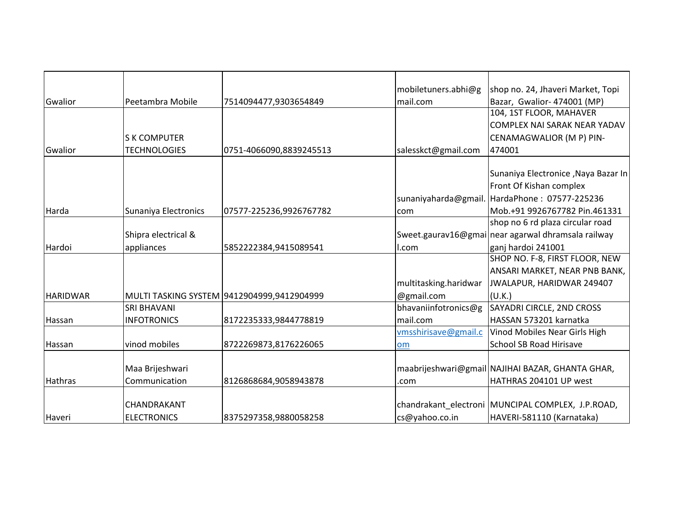|                 |                      |                                            | mobiletuners.abhi@g   | shop no. 24, Jhaveri Market, Topi                  |
|-----------------|----------------------|--------------------------------------------|-----------------------|----------------------------------------------------|
| Gwalior         | Peetambra Mobile     | 7514094477,9303654849                      | mail.com              | Bazar, Gwalior- 474001 (MP)                        |
|                 |                      |                                            |                       | 104, 1ST FLOOR, MAHAVER                            |
|                 |                      |                                            |                       | COMPLEX NAI SARAK NEAR YADAV                       |
|                 | <b>S K COMPUTER</b>  |                                            |                       | CENAMAGWALIOR (M P) PIN-                           |
| Gwalior         | <b>TECHNOLOGIES</b>  | 0751-4066090,8839245513                    | salesskct@gmail.com   | 474001                                             |
|                 |                      |                                            |                       |                                                    |
|                 |                      |                                            |                       | Sunaniya Electronice , Naya Bazar In               |
|                 |                      |                                            |                       | Front Of Kishan complex                            |
|                 |                      |                                            | sunaniyaharda@gmail   | HardaPhone: 07577-225236                           |
| Harda           | Sunaniya Electronics | 07577-225236,9926767782                    | com                   | Mob.+91 9926767782 Pin.461331                      |
|                 |                      |                                            |                       | shop no 6 rd plaza circular road                   |
|                 | Shipra electrical &  |                                            |                       | Sweet.gaurav16@gmai near agarwal dhramsala railway |
| Hardoi          | appliances           | 5852222384,9415089541                      | l.com                 | ganj hardoi 241001                                 |
|                 |                      |                                            |                       | SHOP NO. F-8, FIRST FLOOR, NEW                     |
|                 |                      |                                            |                       | ANSARI MARKET, NEAR PNB BANK,                      |
|                 |                      |                                            | multitasking.haridwar | JWALAPUR, HARIDWAR 249407                          |
| <b>HARIDWAR</b> |                      | MULTI TASKING SYSTEM 9412904999,9412904999 | @gmail.com            | (U.K.)                                             |
|                 | <b>SRI BHAVANI</b>   |                                            | bhavaniinfotronics@g  | SAYADRI CIRCLE, 2ND CROSS                          |
| Hassan          | <b>INFOTRONICS</b>   | 8172235333,9844778819                      | mail.com              | HASSAN 573201 karnatka                             |
|                 |                      |                                            | vmsshirisave@gmail.c  | Vinod Mobiles Near Girls High                      |
| Hassan          | vinod mobiles        | 8722269873,8176226065                      | om                    | <b>School SB Road Hirisave</b>                     |
|                 |                      |                                            |                       |                                                    |
|                 | Maa Brijeshwari      |                                            |                       | maabrijeshwari@gmail NAJIHAI BAZAR, GHANTA GHAR,   |
| Hathras         | Communication        | 8126868684,9058943878                      | .com                  | HATHRAS 204101 UP west                             |
|                 |                      |                                            |                       |                                                    |
|                 | CHANDRAKANT          |                                            |                       | chandrakant_electroni MUNCIPAL COMPLEX, J.P.ROAD,  |
| Haveri          | <b>ELECTRONICS</b>   | 8375297358,9880058258                      | cs@yahoo.co.in        | HAVERI-581110 (Karnataka)                          |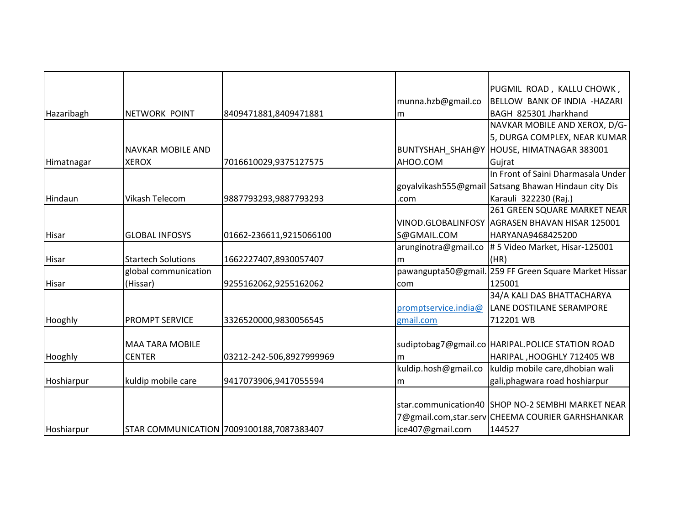|            |                           |                                          |                      | PUGMIL ROAD, KALLU CHOWK,                            |
|------------|---------------------------|------------------------------------------|----------------------|------------------------------------------------------|
|            |                           |                                          | munna.hzb@gmail.co   | BELLOW BANK OF INDIA - HAZARI                        |
| Hazaribagh | NETWORK POINT             | 8409471881,8409471881                    | lm                   | BAGH 825301 Jharkhand                                |
|            |                           |                                          |                      | NAVKAR MOBILE AND XEROX, D/G-                        |
|            |                           |                                          |                      | 5, DURGA COMPLEX, NEAR KUMAR                         |
|            | <b>NAVKAR MOBILE AND</b>  |                                          | BUNTYSHAH_SHAH@Y     | HOUSE, HIMATNAGAR 383001                             |
| Himatnagar | <b>XEROX</b>              | 7016610029,9375127575                    | AHOO.COM             | Gujrat                                               |
|            |                           |                                          |                      | In Front of Saini Dharmasala Under                   |
|            |                           |                                          |                      | goyalvikash555@gmail Satsang Bhawan Hindaun city Dis |
| Hindaun    | Vikash Telecom            | 9887793293,9887793293                    | .com                 | Karauli 322230 (Raj.)                                |
|            |                           |                                          |                      | 261 GREEN SQUARE MARKET NEAR                         |
|            |                           |                                          |                      | VINOD.GLOBALINFOSY AGRASEN BHAVAN HISAR 125001       |
| Hisar      | <b>GLOBAL INFOSYS</b>     | 01662-236611,9215066100                  | S@GMAIL.COM          | HARYANA9468425200                                    |
|            |                           |                                          | arunginotra@gmail.co | #5 Video Market, Hisar-125001                        |
| Hisar      | <b>Startech Solutions</b> | 1662227407,8930057407                    | m                    | (HR)                                                 |
|            | global communication      |                                          | pawangupta50@gmail   | 259 FF Green Square Market Hissar                    |
| Hisar      | (Hissar)                  | 9255162062,9255162062                    | com                  | 125001                                               |
|            |                           |                                          |                      | 34/A KALI DAS BHATTACHARYA                           |
|            |                           |                                          | promptservice.india@ | LANE DOSTILANE SERAMPORE                             |
| Hooghly    | PROMPT SERVICE            | 3326520000,9830056545                    | gmail.com            | 712201 WB                                            |
|            |                           |                                          |                      |                                                      |
|            | <b>MAA TARA MOBILE</b>    |                                          |                      | sudiptobag7@gmail.co HARIPAL.POLICE STATION ROAD     |
| Hooghly    | <b>CENTER</b>             | 03212-242-506,8927999969                 | m                    | HARIPAL, HOOGHLY 712405 WB                           |
|            |                           |                                          | kuldip.hosh@gmail.co | kuldip mobile care, dhobian wali                     |
| Hoshiarpur | kuldip mobile care        | 9417073906,9417055594                    | lm                   | gali, phagwara road hoshiarpur                       |
|            |                           |                                          |                      |                                                      |
|            |                           |                                          |                      | star.communication40 SHOP NO-2 SEMBHI MARKET NEAR    |
|            |                           |                                          |                      | 7@gmail.com,star.serv CHEEMA COURIER GARHSHANKAR     |
| Hoshiarpur |                           | STAR COMMUNICATION 7009100188,7087383407 | ice407@gmail.com     | 144527                                               |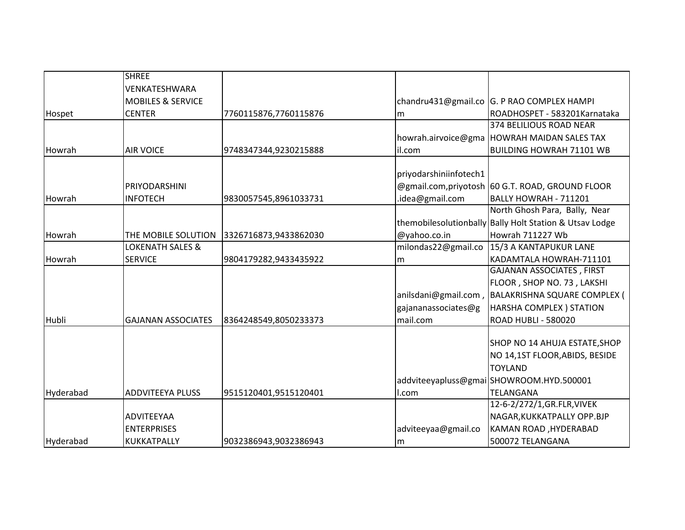|              | <b>SHREE</b>                 |                       |                        |                                                         |
|--------------|------------------------------|-----------------------|------------------------|---------------------------------------------------------|
|              | VENKATESHWARA                |                       |                        |                                                         |
|              | <b>MOBILES &amp; SERVICE</b> |                       |                        | chandru431@gmail.co G. P RAO COMPLEX HAMPI              |
| Hospet       | <b>CENTER</b>                | 7760115876,7760115876 | m                      | ROADHOSPET - 583201Karnataka                            |
|              |                              |                       |                        | 374 BELILIOUS ROAD NEAR                                 |
|              |                              |                       |                        | howrah.airvoice@gma HOWRAH MAIDAN SALES TAX             |
| Howrah       | <b>AIR VOICE</b>             | 9748347344,9230215888 | il.com                 | <b>BUILDING HOWRAH 71101 WB</b>                         |
|              |                              |                       | priyodarshiniinfotech1 |                                                         |
|              | PRIYODARSHINI                |                       |                        | @gmail.com, privotosh 60 G.T. ROAD, GROUND FLOOR        |
| Howrah       | <b>INFOTECH</b>              | 9830057545,8961033731 | .idea@gmail.com        | BALLY HOWRAH - 711201                                   |
|              |                              |                       |                        | North Ghosh Para, Bally, Near                           |
|              |                              |                       |                        | themobilesolutionbally Bally Holt Station & Utsav Lodge |
| Howrah       | THE MOBILE SOLUTION          | 3326716873,9433862030 | @yahoo.co.in           | Howrah 711227 Wb                                        |
|              | <b>LOKENATH SALES &amp;</b>  |                       | milondas22@gmail.co    | 15/3 A KANTAPUKUR LANE                                  |
| Howrah       | <b>SERVICE</b>               | 9804179282,9433435922 | m                      | KADAMTALA HOWRAH-711101                                 |
|              |                              |                       |                        | GAJANAN ASSOCIATES, FIRST                               |
|              |                              |                       |                        | FLOOR, SHOP NO. 73, LAKSHI                              |
|              |                              |                       |                        | anilsdani@gmail.com, BALAKRISHNA SQUARE COMPLEX (       |
|              |                              |                       | gajananassociates@g    | <b>HARSHA COMPLEX ) STATION</b>                         |
| <b>Hubli</b> | <b>GAJANAN ASSOCIATES</b>    | 8364248549,8050233373 | mail.com               | <b>ROAD HUBLI - 580020</b>                              |
|              |                              |                       |                        |                                                         |
|              |                              |                       |                        | SHOP NO 14 AHUJA ESTATE, SHOP                           |
|              |                              |                       |                        | NO 14,1ST FLOOR, ABIDS, BESIDE                          |
|              |                              |                       |                        | <b>TOYLAND</b>                                          |
|              |                              |                       |                        | addviteeyapluss@gmai SHOWROOM.HYD.500001                |
| Hyderabad    | <b>ADDVITEEYA PLUSS</b>      | 9515120401,9515120401 | l.com                  | <b>TELANGANA</b>                                        |
|              |                              |                       |                        | 12-6-2/272/1, GR. FLR, VIVEK                            |
|              | <b>ADVITEEYAA</b>            |                       |                        | NAGAR, KUKKATPALLY OPP.BJP                              |
|              | <b>ENTERPRISES</b>           |                       | adviteeyaa@gmail.co    | KAMAN ROAD, HYDERABAD                                   |
| Hyderabad    | <b>KUKKATPALLY</b>           | 9032386943,9032386943 | m                      | 500072 TELANGANA                                        |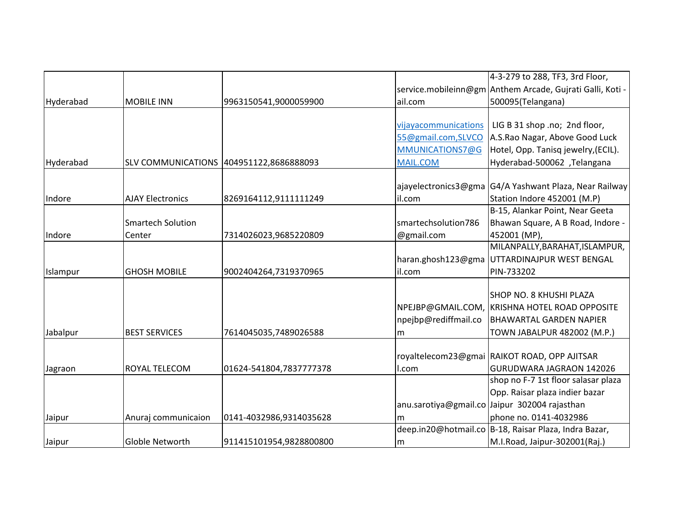|           |                          |                                         |                      | 4-3-279 to 288, TF3, 3rd Floor,                           |
|-----------|--------------------------|-----------------------------------------|----------------------|-----------------------------------------------------------|
|           |                          |                                         |                      | service.mobileinn@gm Anthem Arcade, Gujrati Galli, Koti - |
| Hyderabad | <b>MOBILE INN</b>        | 9963150541,9000059900                   | ail.com              | 500095(Telangana)                                         |
|           |                          |                                         |                      |                                                           |
|           |                          |                                         | vijayacommunications | LIG B 31 shop .no; 2nd floor,                             |
|           |                          |                                         | 55@gmail.com,SLVCO   | A.S.Rao Nagar, Above Good Luck                            |
|           |                          |                                         | MMUNICATIONS7@G      | Hotel, Opp. Tanisq jewelry, (ECIL).                       |
| Hyderabad |                          | SLV COMMUNICATIONS 404951122,8686888093 | <b>MAIL.COM</b>      | Hyderabad-500062 ,Telangana                               |
|           |                          |                                         |                      |                                                           |
|           |                          |                                         | ajayelectronics3@gma | G4/A Yashwant Plaza, Near Railway                         |
| Indore    | <b>AJAY Electronics</b>  | 8269164112,9111111249                   | il.com               | Station Indore 452001 (M.P)                               |
|           |                          |                                         |                      | B-15, Alankar Point, Near Geeta                           |
|           | <b>Smartech Solution</b> |                                         | smartechsolution786  | Bhawan Square, A B Road, Indore -                         |
| Indore    | Center                   | 7314026023,9685220809                   | @gmail.com           | 452001 (MP),                                              |
|           |                          |                                         |                      | MILANPALLY, BARAHAT, ISLAMPUR,                            |
|           |                          |                                         | haran.ghosh123@gma   | UTTARDINAJPUR WEST BENGAL                                 |
| Islampur  | <b>GHOSH MOBILE</b>      | 9002404264,7319370965                   | il.com               | PIN-733202                                                |
|           |                          |                                         |                      |                                                           |
|           |                          |                                         |                      | SHOP NO. 8 KHUSHI PLAZA                                   |
|           |                          |                                         |                      | NPEJBP@GMAIL.COM, KRISHNA HOTEL ROAD OPPOSITE             |
|           |                          |                                         | npejbp@rediffmail.co | <b>BHAWARTAL GARDEN NAPIER</b>                            |
| Jabalpur  | <b>BEST SERVICES</b>     | 7614045035,7489026588                   | m                    | TOWN JABALPUR 482002 (M.P.)                               |
|           |                          |                                         |                      |                                                           |
|           |                          |                                         |                      | royaltelecom23@gmai RAIKOT ROAD, OPP AJITSAR              |
| Jagraon   | ROYAL TELECOM            | 01624-541804,7837777378                 | l.com                | GURUDWARA JAGRAON 142026                                  |
|           |                          |                                         |                      | shop no F-7 1st floor salasar plaza                       |
|           |                          |                                         |                      | Opp. Raisar plaza indier bazar                            |
|           |                          |                                         |                      | anu.sarotiya@gmail.co Jaipur 302004 rajasthan             |
| Jaipur    | Anuraj communicaion      | 0141-4032986,9314035628                 | m                    | phone no. 0141-4032986                                    |
|           |                          |                                         |                      | deep.in20@hotmail.co   B-18, Raisar Plaza, Indra Bazar,   |
| Jaipur    | Globle Networth          | 911415101954,9828800800                 | lm                   | M.I.Road, Jaipur-302001(Raj.)                             |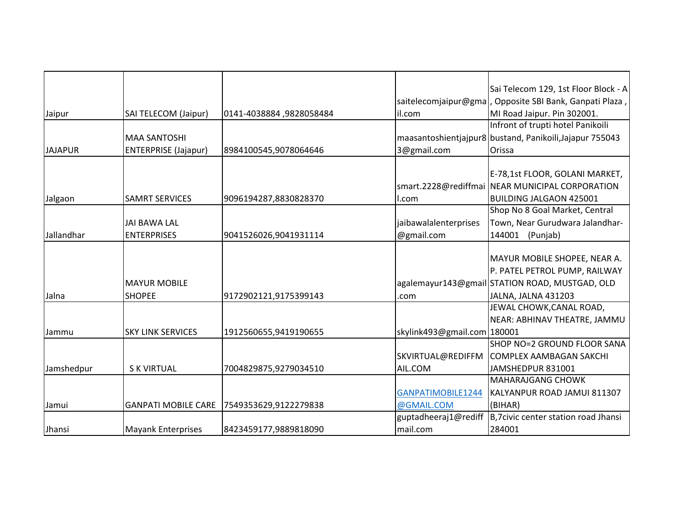|                |                             |                          |                             | Sai Telecom 129, 1st Floor Block - A                     |
|----------------|-----------------------------|--------------------------|-----------------------------|----------------------------------------------------------|
|                |                             |                          |                             | saitelecomjaipur@gma, Opposite SBI Bank, Ganpati Plaza,  |
| Jaipur         | SAI TELECOM (Jaipur)        | 0141-4038884, 9828058484 | il.com                      | MI Road Jaipur. Pin 302001.                              |
|                |                             |                          |                             | Infront of trupti hotel Panikoili                        |
|                | <b>MAA SANTOSHI</b>         |                          |                             | maasantoshientjajpur8 bustand, Panikoili, Jajapur 755043 |
| <b>JAJAPUR</b> | <b>ENTERPRISE (Jajapur)</b> | 8984100545,9078064646    | 3@gmail.com                 | Orissa                                                   |
|                |                             |                          |                             |                                                          |
|                |                             |                          |                             | E-78,1st FLOOR, GOLANI MARKET,                           |
|                |                             |                          |                             | smart.2228@rediffmai NEAR MUNICIPAL CORPORATION          |
| Jalgaon        | <b>SAMRT SERVICES</b>       | 9096194287,8830828370    | I.com                       | <b>BUILDING JALGAON 425001</b>                           |
|                |                             |                          |                             | Shop No 8 Goal Market, Central                           |
|                | <b>JAI BAWA LAL</b>         |                          | jaibawalalenterprises       | Town, Near Gurudwara Jalandhar-                          |
| Jallandhar     | <b>ENTERPRISES</b>          | 9041526026,9041931114    | @gmail.com                  | 144001 (Punjab)                                          |
|                |                             |                          |                             |                                                          |
|                |                             |                          |                             | MAYUR MOBILE SHOPEE, NEAR A.                             |
|                |                             |                          |                             | P. PATEL PETROL PUMP, RAILWAY                            |
|                | <b>MAYUR MOBILE</b>         |                          |                             | agalemayur143@gmail STATION ROAD, MUSTGAD, OLD           |
| Jalna          | <b>SHOPEE</b>               | 9172902121,9175399143    | .com                        | JALNA, JALNA 431203                                      |
|                |                             |                          |                             | JEWAL CHOWK, CANAL ROAD,                                 |
|                |                             |                          |                             | NEAR: ABHINAV THEATRE, JAMMU                             |
| Jammu          | <b>SKY LINK SERVICES</b>    | 1912560655,9419190655    | skylink493@gmail.com 180001 |                                                          |
|                |                             |                          |                             | SHOP NO=2 GROUND FLOOR SANA                              |
|                |                             |                          | SKVIRTUAL@REDIFFM           | <b>COMPLEX AAMBAGAN SAKCHI</b>                           |
| Jamshedpur     | <b>SK VIRTUAL</b>           | 7004829875,9279034510    | AIL.COM                     | JAMSHEDPUR 831001                                        |
|                |                             |                          |                             | MAHARAJGANG CHOWK                                        |
|                |                             |                          | GANPATIMOBILE1244           | KALYANPUR ROAD JAMUI 811307                              |
| Jamui          | <b>GANPATI MOBILE CARE</b>  | 7549353629,9122279838    | @GMAIL.COM                  | (BIHAR)                                                  |
|                |                             |                          | guptadheeraj1@rediff        | B,7civic center station road Jhansi                      |
| Jhansi         | <b>Mayank Enterprises</b>   | 8423459177,9889818090    | mail.com                    | 284001                                                   |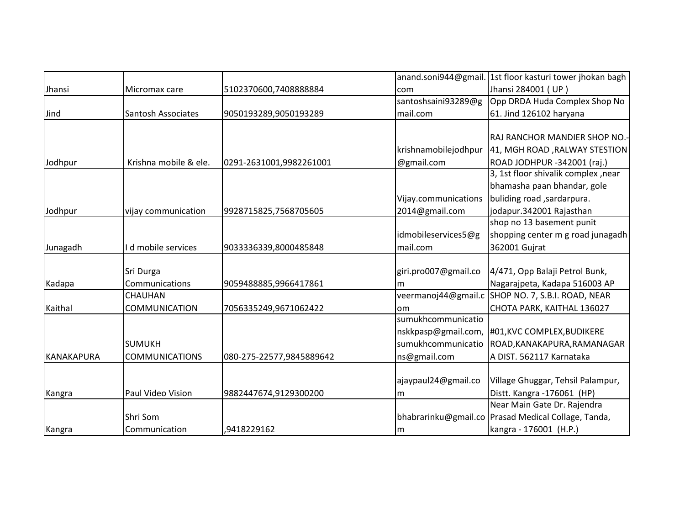|                   |                           |                          |                      | anand.soni944@gmail. 1st floor kasturi tower jhokan bagh |
|-------------------|---------------------------|--------------------------|----------------------|----------------------------------------------------------|
| Jhansi            | Micromax care             | 5102370600,7408888884    | com                  | Jhansi 284001 (UP)                                       |
|                   |                           |                          | santoshsaini93289@g  | Opp DRDA Huda Complex Shop No                            |
| Jind              | <b>Santosh Associates</b> | 9050193289,9050193289    | mail.com             | 61. Jind 126102 haryana                                  |
|                   |                           |                          |                      |                                                          |
|                   |                           |                          |                      | RAJ RANCHOR MANDIER SHOP NO.-                            |
|                   |                           |                          | krishnamobilejodhpur | 41, MGH ROAD , RALWAY STESTION                           |
| Jodhpur           | Krishna mobile & ele.     | 0291-2631001,9982261001  | @gmail.com           | ROAD JODHPUR -342001 (raj.)                              |
|                   |                           |                          |                      | 3, 1st floor shivalik complex, near                      |
|                   |                           |                          |                      | bhamasha paan bhandar, gole                              |
|                   |                           |                          | Vijay.communications | buliding road , sardarpura.                              |
| Jodhpur           | vijay communication       | 9928715825,7568705605    | 2014@gmail.com       | jodapur.342001 Rajasthan                                 |
|                   |                           |                          |                      | shop no 13 basement punit                                |
|                   |                           |                          | idmobileservices5@g  | shopping center m g road junagadh                        |
| Junagadh          | d mobile services         | 9033336339,8000485848    | mail.com             | 362001 Gujrat                                            |
|                   |                           |                          |                      |                                                          |
|                   | Sri Durga                 |                          | giri.pro007@gmail.co | 4/471, Opp Balaji Petrol Bunk,                           |
| Kadapa            | Communications            | 9059488885,9966417861    | m                    | Nagarajpeta, Kadapa 516003 AP                            |
|                   | CHAUHAN                   |                          | veermanoj44@gmail.c  | SHOP NO. 7, S.B.I. ROAD, NEAR                            |
| Kaithal           | <b>COMMUNICATION</b>      | 7056335249,9671062422    | om                   | CHOTA PARK, KAITHAL 136027                               |
|                   |                           |                          | sumukhcommunicatio   |                                                          |
|                   |                           |                          | nskkpasp@gmail.com,  | #01, KVC COMPLEX, BUDIKERE                               |
|                   | <b>SUMUKH</b>             |                          | sumukhcommunicatio   | ROAD, KANAKAPURA, RAMANAGAR                              |
| <b>KANAKAPURA</b> | <b>COMMUNICATIONS</b>     | 080-275-22577,9845889642 | ns@gmail.com         | A DIST. 562117 Karnataka                                 |
|                   |                           |                          |                      |                                                          |
|                   |                           |                          | ajaypaul24@gmail.co  | Village Ghuggar, Tehsil Palampur,                        |
| Kangra            | Paul Video Vision         | 9882447674,9129300200    | m                    | Distt. Kangra - 176061 (HP)                              |
|                   |                           |                          |                      | Near Main Gate Dr. Rajendra                              |
|                   | Shri Som                  |                          |                      | bhabrarinku@gmail.co   Prasad Medical Collage, Tanda,    |
| Kangra            | Communication             | ,9418229162              | m                    | kangra - 176001 (H.P.)                                   |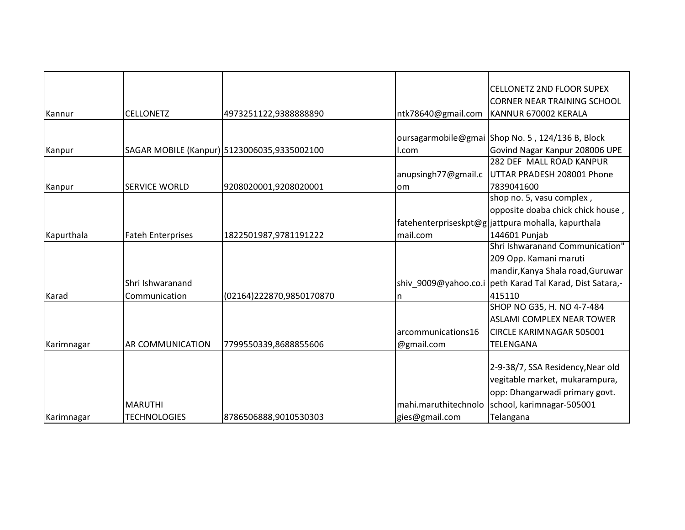|            |                          |                                             |                      | <b>CELLONETZ 2ND FLOOR SUPEX</b>                         |
|------------|--------------------------|---------------------------------------------|----------------------|----------------------------------------------------------|
|            |                          |                                             |                      | <b>CORNER NEAR TRAINING SCHOOL</b>                       |
| Kannur     | <b>CELLONETZ</b>         | 4973251122,9388888890                       | ntk78640@gmail.com   | KANNUR 670002 KERALA                                     |
|            |                          |                                             |                      |                                                          |
|            |                          |                                             |                      | oursagarmobile@gmai Shop No. 5, 124/136 B, Block         |
| Kanpur     |                          | SAGAR MOBILE (Kanpur) 5123006035,9335002100 | I.com                | Govind Nagar Kanpur 208006 UPE                           |
|            |                          |                                             |                      | 282 DEF MALL ROAD KANPUR                                 |
|            |                          |                                             | anupsingh77@gmail.c  | UTTAR PRADESH 208001 Phone                               |
| Kanpur     | <b>SERVICE WORLD</b>     | 9208020001,9208020001                       | lom                  | 7839041600                                               |
|            |                          |                                             |                      | shop no. 5, vasu complex,                                |
|            |                          |                                             |                      | opposite doaba chick chick house,                        |
|            |                          |                                             |                      | fatehenterpriseskpt@g jattpura mohalla, kapurthala       |
| Kapurthala | <b>Fateh Enterprises</b> | 1822501987,9781191222                       | mail.com             | 144601 Punjab                                            |
|            |                          |                                             |                      | Shri Ishwaranand Communication"                          |
|            |                          |                                             |                      | 209 Opp. Kamani maruti                                   |
|            |                          |                                             |                      | mandir, Kanya Shala road, Guruwar                        |
|            | Shri Ishwaranand         |                                             |                      | shiv 9009@yahoo.co.i peth Karad Tal Karad, Dist Satara,- |
| Karad      | Communication            | (02164)222870,9850170870                    | n                    | 415110                                                   |
|            |                          |                                             |                      | SHOP NO G35, H. NO 4-7-484                               |
|            |                          |                                             |                      | <b>ASLAMI COMPLEX NEAR TOWER</b>                         |
|            |                          |                                             | larcommunications16  | <b>CIRCLE KARIMNAGAR 505001</b>                          |
| Karimnagar | <b>AR COMMUNICATION</b>  | 7799550339,8688855606                       | @gmail.com           | TELENGANA                                                |
|            |                          |                                             |                      |                                                          |
|            |                          |                                             |                      | 2-9-38/7, SSA Residency, Near old                        |
|            |                          |                                             |                      | vegitable market, mukarampura,                           |
|            |                          |                                             |                      | opp: Dhangarwadi primary govt.                           |
|            | <b>MARUTHI</b>           |                                             | mahi.maruthitechnolo | school, karimnagar-505001                                |
| Karimnagar | <b>TECHNOLOGIES</b>      | 8786506888,9010530303                       | gies@gmail.com       | Telangana                                                |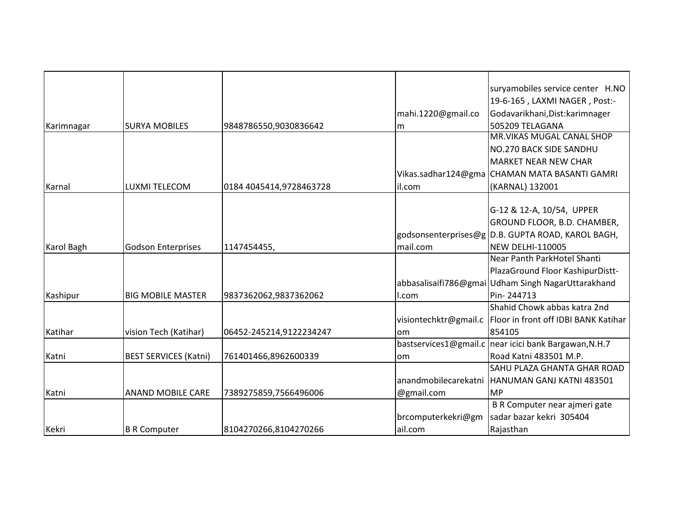|            |                              |                         |                       | suryamobiles service center H.NO                   |
|------------|------------------------------|-------------------------|-----------------------|----------------------------------------------------|
|            |                              |                         |                       | 19-6-165, LAXMI NAGER, Post:-                      |
|            |                              |                         | mahi.1220@gmail.co    | Godavarikhani, Dist: karimnager                    |
| Karimnagar | <b>SURYA MOBILES</b>         | 9848786550,9030836642   |                       | 505209 TELAGANA                                    |
|            |                              |                         | m                     | MR. VIKAS MUGAL CANAL SHOP                         |
|            |                              |                         |                       | NO.270 BACK SIDE SANDHU                            |
|            |                              |                         |                       | <b>MARKET NEAR NEW CHAR</b>                        |
|            |                              |                         |                       | Vikas.sadhar124@gma CHAMAN MATA BASANTI GAMRI      |
| Karnal     | <b>LUXMI TELECOM</b>         | 0184 4045414,9728463728 | il.com                | (KARNAL) 132001                                    |
|            |                              |                         |                       |                                                    |
|            |                              |                         |                       | G-12 & 12-A, 10/54, UPPER                          |
|            |                              |                         |                       | GROUND FLOOR, B.D. CHAMBER,                        |
|            |                              |                         |                       | godsonsenterprises@g D.B. GUPTA ROAD, KAROL BAGH,  |
| Karol Bagh | <b>Godson Enterprises</b>    | 1147454455,             | mail.com              | <b>NEW DELHI-110005</b>                            |
|            |                              |                         |                       | Near Panth ParkHotel Shanti                        |
|            |                              |                         |                       | PlazaGround Floor KashipurDistt-                   |
|            |                              |                         |                       | abbasalisaifi786@gmai Udham Singh NagarUttarakhand |
| Kashipur   | <b>BIG MOBILE MASTER</b>     | 9837362062,9837362062   | l.com                 | Pin-244713                                         |
|            |                              |                         |                       | Shahid Chowk abbas katra 2nd                       |
|            |                              |                         | visiontechktr@gmail.c | Floor in front off IDBI BANK Katihar               |
| Katihar    | vision Tech (Katihar)        | 06452-245214,9122234247 | om                    | 854105                                             |
|            |                              |                         | bastservices1@gmail.c | near icici bank Bargawan, N.H.7                    |
| Katni      | <b>BEST SERVICES (Katni)</b> | 761401466,8962600339    | om                    | Road Katni 483501 M.P.                             |
|            |                              |                         |                       | SAHU PLAZA GHANTA GHAR ROAD                        |
|            |                              |                         | anandmobilecarekatni  | HANUMAN GANJ KATNI 483501                          |
| Katni      | <b>ANAND MOBILE CARE</b>     | 7389275859,7566496006   | @gmail.com            | <b>MP</b>                                          |
|            |                              |                         |                       | B R Computer near ajmeri gate                      |
|            |                              |                         | brcomputerkekri@gm    | sadar bazar kekri 305404                           |
| Kekri      | <b>B R Computer</b>          | 8104270266,8104270266   | ail.com               | Rajasthan                                          |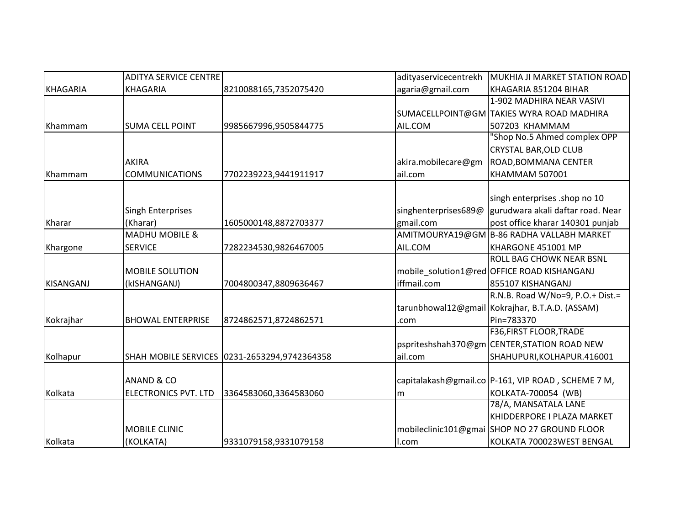|           | <b>ADITYA SERVICE CENTRE</b> |                                              | adityaservicecentrekh | MUKHIA JI MARKET STATION ROAD                        |
|-----------|------------------------------|----------------------------------------------|-----------------------|------------------------------------------------------|
| KHAGARIA  | <b>KHAGARIA</b>              | 8210088165,7352075420                        | agaria@gmail.com      | KHAGARIA 851204 BIHAR                                |
|           |                              |                                              |                       | 1-902 MADHIRA NEAR VASIVI                            |
|           |                              |                                              |                       | SUMACELLPOINT@GM TAKIES WYRA ROAD MADHIRA            |
| Khammam   | <b>SUMA CELL POINT</b>       | 9985667996,9505844775                        | AIL.COM               | 507203 KHAMMAM                                       |
|           |                              |                                              |                       | "Shop No.5 Ahmed complex OPP                         |
|           |                              |                                              |                       | <b>CRYSTAL BAR, OLD CLUB</b>                         |
|           | <b>AKIRA</b>                 |                                              | akira.mobilecare@gm   | ROAD, BOMMANA CENTER                                 |
| Khammam   | <b>COMMUNICATIONS</b>        | 7702239223,9441911917                        | ail.com               | <b>KHAMMAM 507001</b>                                |
|           |                              |                                              |                       |                                                      |
|           |                              |                                              |                       | singh enterprises .shop no 10                        |
|           | <b>Singh Enterprises</b>     |                                              | singhenterprises689@  | gurudwara akali daftar road. Near                    |
| Kharar    | (Kharar)                     | 1605000148,8872703377                        | gmail.com             | post office kharar 140301 punjab                     |
|           | <b>MADHU MOBILE &amp;</b>    |                                              |                       | AMITMOURYA19@GM B-86 RADHA VALLABH MARKET            |
| Khargone  | <b>SERVICE</b>               | 7282234530,9826467005                        | AIL.COM               | KHARGONE 451001 MP                                   |
|           |                              |                                              |                       | ROLL BAG CHOWK NEAR BSNL                             |
|           | <b>MOBILE SOLUTION</b>       |                                              |                       | mobile_solution1@red OFFICE ROAD KISHANGANJ          |
| KISANGANJ | (kISHANGANJ)                 | 7004800347,8809636467                        | iffmail.com           | 855107 KISHANGANJ                                    |
|           |                              |                                              |                       | R.N.B. Road W/No=9, P.O.+ Dist.=                     |
|           |                              |                                              |                       | tarunbhowal12@gmail Kokrajhar, B.T.A.D. (ASSAM)      |
| Kokrajhar | <b>BHOWAL ENTERPRISE</b>     | 8724862571,8724862571                        | .com                  | Pin=783370                                           |
|           |                              |                                              |                       | F36, FIRST FLOOR, TRADE                              |
|           |                              |                                              |                       | pspriteshshah370@gm CENTER,STATION ROAD NEW          |
| Kolhapur  |                              | SHAH MOBILE SERVICES 0231-2653294,9742364358 | ail.com               | SHAHUPURI, KOLHAPUR.416001                           |
|           |                              |                                              |                       |                                                      |
|           | ANAND & CO                   |                                              |                       | capitalakash@gmail.co   P-161, VIP ROAD, SCHEME 7 M, |
| Kolkata   | <b>ELECTRONICS PVT. LTD</b>  | 3364583060,3364583060                        | m                     | KOLKATA-700054 (WB)                                  |
|           |                              |                                              |                       | 78/A, MANSATALA LANE                                 |
|           |                              |                                              |                       | KHIDDERPORE I PLAZA MARKET                           |
|           | <b>MOBILE CLINIC</b>         |                                              |                       | mobileclinic101@gmai SHOP NO 27 GROUND FLOOR         |
| Kolkata   | (KOLKATA)                    | 9331079158,9331079158                        | I.com                 | KOLKATA 700023WEST BENGAL                            |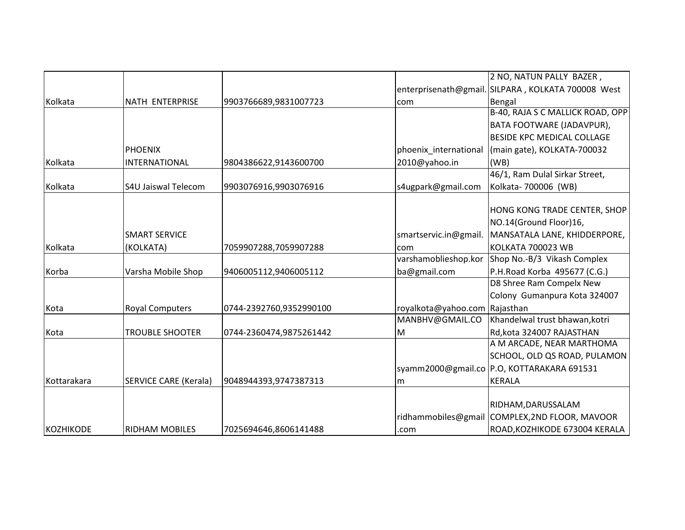|             |                              |                         |                               | 2 NO, NATUN PALLY BAZER,                           |
|-------------|------------------------------|-------------------------|-------------------------------|----------------------------------------------------|
|             |                              |                         |                               | enterprisenath@gmail. SILPARA, KOLKATA 700008 West |
| Kolkata     | NATH ENTERPRISE              | 9903766689,9831007723   | com                           | Bengal                                             |
|             |                              |                         |                               | B-40, RAJA S C MALLICK ROAD, OPP                   |
|             |                              |                         |                               | BATA FOOTWARE (JADAVPUR),                          |
|             |                              |                         |                               | BESIDE KPC MEDICAL COLLAGE                         |
|             | <b>PHOENIX</b>               |                         | phoenix_international         | (main gate), KOLKATA-700032                        |
| Kolkata     | INTERNATIONAL                | 9804386622,9143600700   | 2010@yahoo.in                 | (WB)                                               |
|             |                              |                         |                               | 46/1, Ram Dulal Sirkar Street,                     |
| Kolkata     | <b>S4U Jaiswal Telecom</b>   | 9903076916,9903076916   | s4ugpark@gmail.com            | Kolkata-700006 (WB)                                |
|             |                              |                         |                               |                                                    |
|             |                              |                         |                               | HONG KONG TRADE CENTER, SHOP                       |
|             |                              |                         |                               | NO.14(Ground Floor)16,                             |
|             | <b>SMART SERVICE</b>         |                         | smartservic.in@gmail.         | MANSATALA LANE, KHIDDERPORE,                       |
| Kolkata     | (KOLKATA)                    | 7059907288,7059907288   | com                           | KOLKATA 700023 WB                                  |
|             |                              |                         | varshamoblieshop.kor          | Shop No.-B/3 Vikash Complex                        |
| Korba       | Varsha Mobile Shop           | 9406005112,9406005112   | ba@gmail.com                  | P.H.Road Korba 495677 (C.G.)                       |
|             |                              |                         |                               | D8 Shree Ram Compelx New                           |
|             |                              |                         |                               | Colony Gumanpura Kota 324007                       |
| Kota        | <b>Royal Computers</b>       | 0744-2392760,9352990100 | royalkota@yahoo.com Rajasthan |                                                    |
|             |                              |                         | MANBHV@GMAIL.CO               | Khandelwal trust bhawan, kotri                     |
| Kota        | <b>TROUBLE SHOOTER</b>       | 0744-2360474,9875261442 | M                             | Rd, kota 324007 RAJASTHAN                          |
|             |                              |                         |                               | A M ARCADE, NEAR MARTHOMA                          |
|             |                              |                         |                               | SCHOOL, OLD QS ROAD, PULAMON                       |
|             |                              |                         |                               | syamm2000@gmail.co P.O, KOTTARAKARA 691531         |
| Kottarakara | <b>SERVICE CARE (Kerala)</b> | 9048944393,9747387313   | m                             | <b>KERALA</b>                                      |
|             |                              |                         |                               |                                                    |
|             |                              |                         |                               | RIDHAM, DARUSSALAM                                 |
|             |                              |                         |                               | ridhammobiles@gmail COMPLEX,2ND FLOOR, MAVOOR      |
| KOZHIKODE   | <b>RIDHAM MOBILES</b>        | 7025694646,8606141488   | .com                          | ROAD, KOZHIKODE 673004 KERALA                      |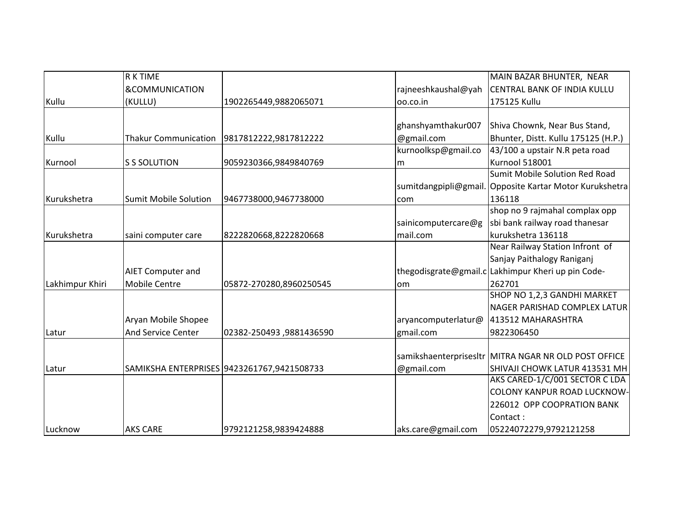|                 | <b>R K TIME</b>              |                                            |                      | MAIN BAZAR BHUNTER, NEAR                             |
|-----------------|------------------------------|--------------------------------------------|----------------------|------------------------------------------------------|
|                 | <b>&amp;COMMUNICATION</b>    |                                            | rajneeshkaushal@yah  | CENTRAL BANK OF INDIA KULLU                          |
| Kullu           | (KULLU)                      | 1902265449,9882065071                      | 00.co.in             | 175125 Kullu                                         |
|                 |                              |                                            |                      |                                                      |
|                 |                              |                                            | ghanshyamthakur007   | Shiva Chownk, Near Bus Stand,                        |
| Kullu           | <b>Thakur Communication</b>  | 9817812222,9817812222                      | @gmail.com           | Bhunter, Distt. Kullu 175125 (H.P.)                  |
|                 |                              |                                            | kurnoolksp@gmail.co  | 43/100 a upstair N.R peta road                       |
| Kurnool         | <b>S S SOLUTION</b>          | 9059230366,9849840769                      | m                    | Kurnool 518001                                       |
|                 |                              |                                            |                      | Sumit Mobile Solution Red Road                       |
|                 |                              |                                            | sumitdangpipli@gmail | Opposite Kartar Motor Kurukshetra                    |
| Kurukshetra     | <b>Sumit Mobile Solution</b> | 9467738000,9467738000                      | com                  | 136118                                               |
|                 |                              |                                            |                      | shop no 9 rajmahal complax opp                       |
|                 |                              |                                            | sainicomputercare@g  | sbi bank railway road thanesar                       |
| Kurukshetra     | saini computer care          | 8222820668,8222820668                      | mail.com             | kurukshetra 136118                                   |
|                 |                              |                                            |                      | Near Railway Station Infront of                      |
|                 |                              |                                            |                      | Sanjay Paithalogy Raniganj                           |
|                 | <b>AIET Computer and</b>     |                                            |                      | thegodisgrate@gmail.c Lakhimpur Kheri up pin Code-   |
| Lakhimpur Khiri | <b>Mobile Centre</b>         | 05872-270280,8960250545                    | om                   | 262701                                               |
|                 |                              |                                            |                      | SHOP NO 1,2,3 GANDHI MARKET                          |
|                 |                              |                                            |                      | NAGER PARISHAD COMPLEX LATUR                         |
|                 | Aryan Mobile Shopee          |                                            | aryancomputerlatur@  | 413512 MAHARASHTRA                                   |
| Latur           | <b>And Service Center</b>    | 02382-250493,9881436590                    | gmail.com            | 9822306450                                           |
|                 |                              |                                            |                      |                                                      |
|                 |                              |                                            |                      | samikshaenterprisesltr MITRA NGAR NR OLD POST OFFICE |
| Latur           |                              | SAMIKSHA ENTERPRISES 9423261767,9421508733 | @gmail.com           | SHIVAJI CHOWK LATUR 413531 MH                        |
|                 |                              |                                            |                      | AKS CARED-1/C/001 SECTOR C LDA                       |
|                 |                              |                                            |                      | COLONY KANPUR ROAD LUCKNOW-                          |
|                 |                              |                                            |                      | 226012 OPP COOPRATION BANK                           |
|                 |                              |                                            |                      | Contact:                                             |
| Lucknow         | <b>AKS CARE</b>              | 9792121258,9839424888                      | aks.care@gmail.com   | 05224072279,9792121258                               |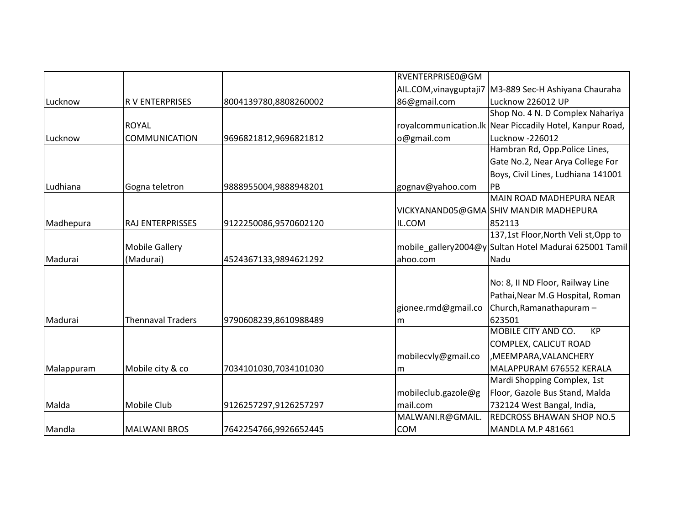|            |                          |                       | RVENTERPRISE0@GM    |                                                           |
|------------|--------------------------|-----------------------|---------------------|-----------------------------------------------------------|
|            |                          |                       |                     | AIL.COM, vinayguptaji7   M3-889 Sec-H Ashiyana Chauraha   |
| Lucknow    | <b>RV ENTERPRISES</b>    | 8004139780,8808260002 | 86@gmail.com        | Lucknow 226012 UP                                         |
|            |                          |                       |                     | Shop No. 4 N. D Complex Nahariya                          |
|            | <b>ROYAL</b>             |                       |                     | royalcommunication. Ik Near Piccadily Hotel, Kanpur Road, |
| Lucknow    | <b>COMMUNICATION</b>     | 9696821812,9696821812 | o@gmail.com         | Lucknow -226012                                           |
|            |                          |                       |                     | Hambran Rd, Opp.Police Lines,                             |
|            |                          |                       |                     | Gate No.2, Near Arya College For                          |
|            |                          |                       |                     | Boys, Civil Lines, Ludhiana 141001                        |
| Ludhiana   | Gogna teletron           | 9888955004,9888948201 | gognav@yahoo.com    | PB                                                        |
|            |                          |                       |                     | <b>MAIN ROAD MADHEPURA NEAR</b>                           |
|            |                          |                       |                     | VICKYANAND05@GMA SHIV MANDIR MADHEPURA                    |
| Madhepura  | <b>RAJ ENTERPRISSES</b>  | 9122250086,9570602120 | IL.COM              | 852113                                                    |
|            |                          |                       |                     | 137,1st Floor, North Veli st, Opp to                      |
|            | <b>Mobile Gallery</b>    |                       |                     | mobile_gallery2004@y Sultan Hotel Madurai 625001 Tamil    |
| Madurai    | (Madurai)                | 4524367133,9894621292 | ahoo.com            | Nadu                                                      |
|            |                          |                       |                     |                                                           |
|            |                          |                       |                     | No: 8, II ND Floor, Railway Line                          |
|            |                          |                       |                     | Pathai, Near M.G Hospital, Roman                          |
|            |                          |                       | gionee.rmd@gmail.co | Church, Ramanathapuram -                                  |
| Madurai    | <b>Thennaval Traders</b> | 9790608239,8610988489 | m                   | 623501                                                    |
|            |                          |                       |                     | MOBILE CITY AND CO.<br><b>KP</b>                          |
|            |                          |                       |                     | COMPLEX, CALICUT ROAD                                     |
|            |                          |                       | mobilecvly@gmail.co | , MEEMPARA, VALANCHERY                                    |
| Malappuram | Mobile city & co         | 7034101030,7034101030 | lm.                 | MALAPPURAM 676552 KERALA                                  |
|            |                          |                       |                     | Mardi Shopping Complex, 1st                               |
|            |                          |                       | mobileclub.gazole@g | Floor, Gazole Bus Stand, Malda                            |
| Malda      | <b>Mobile Club</b>       | 9126257297,9126257297 | mail.com            | 732124 West Bangal, India,                                |
|            |                          |                       | MALWANI.R@GMAIL.    | <b>REDCROSS BHAWAN SHOP NO.5</b>                          |
| Mandla     | <b>MALWANI BROS</b>      | 7642254766,9926652445 | <b>COM</b>          | <b>MANDLA M.P 481661</b>                                  |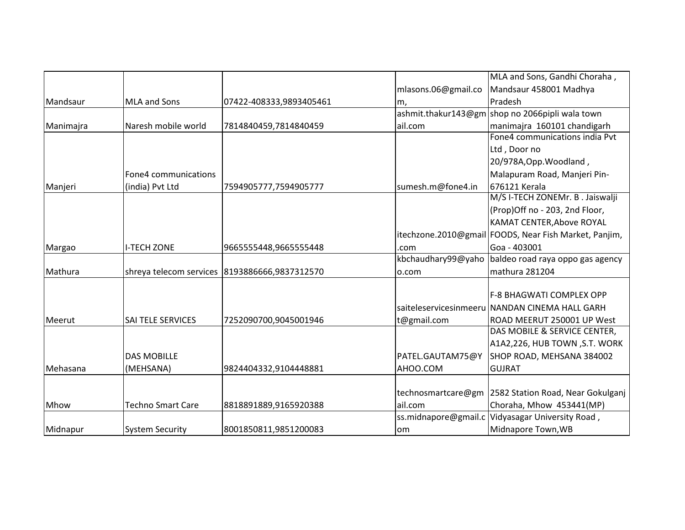|           |                          |                                                  |                     | MLA and Sons, Gandhi Choraha,                         |
|-----------|--------------------------|--------------------------------------------------|---------------------|-------------------------------------------------------|
|           |                          |                                                  | mlasons.06@gmail.co | Mandsaur 458001 Madhya                                |
| Mandsaur  | <b>MLA and Sons</b>      | 07422-408333,9893405461                          | m,                  | Pradesh                                               |
|           |                          |                                                  |                     | ashmit.thakur143@gm shop no 2066pipli wala town       |
| Manimajra | Naresh mobile world      | 7814840459,7814840459                            | ail.com             | manimajra 160101 chandigarh                           |
|           |                          |                                                  |                     | Fone4 communications india Pvt                        |
|           |                          |                                                  |                     | Ltd, Door no                                          |
|           |                          |                                                  |                     | 20/978A, Opp. Woodland,                               |
|           | Fone4 communications     |                                                  |                     | Malapuram Road, Manjeri Pin-                          |
| Manjeri   | (india) Pvt Ltd          | 7594905777,7594905777                            | sumesh.m@fone4.in   | 676121 Kerala                                         |
|           |                          |                                                  |                     | M/S I-TECH ZONEMr. B . Jaiswalji                      |
|           |                          |                                                  |                     | (Prop)Off no - 203, 2nd Floor,                        |
|           |                          |                                                  |                     | KAMAT CENTER, Above ROYAL                             |
|           |                          |                                                  |                     | itechzone.2010@gmail FOODS, Near Fish Market, Panjim, |
| Margao    | <b>I-TECH ZONE</b>       | 9665555448,9665555448                            | .com                | Goa - 403001                                          |
|           |                          |                                                  |                     | kbchaudhary99@yaho baldeo road raya oppo gas agency   |
| Mathura   |                          | shreya telecom services   8193886666, 9837312570 | o.com               | mathura 281204                                        |
|           |                          |                                                  |                     |                                                       |
|           |                          |                                                  |                     | F-8 BHAGWATI COMPLEX OPP                              |
|           |                          |                                                  |                     | saiteleservicesinmeeru NANDAN CINEMA HALL GARH        |
| Meerut    | <b>SAI TELE SERVICES</b> | 7252090700,9045001946                            | t@gmail.com         | ROAD MEERUT 250001 UP West                            |
|           |                          |                                                  |                     | DAS MOBILE & SERVICE CENTER,                          |
|           |                          |                                                  |                     | A1A2,226, HUB TOWN, S.T. WORK                         |
|           | <b>DAS MOBILLE</b>       |                                                  | PATEL.GAUTAM75@Y    | SHOP ROAD, MEHSANA 384002                             |
| Mehasana  | (MEHSANA)                | 9824404332,9104448881                            | AHOO.COM            | <b>GUJRAT</b>                                         |
|           |                          |                                                  |                     |                                                       |
|           |                          |                                                  | technosmartcare@gm  | 2582 Station Road, Near Gokulganj                     |
| Mhow      | <b>Techno Smart Care</b> | 8818891889,9165920388                            | ail.com             | Choraha, Mhow 453441(MP)                              |
|           |                          |                                                  |                     | ss.midnapore@gmail.c Vidyasagar University Road,      |
| Midnapur  | <b>System Security</b>   | 8001850811,9851200083                            | <b>om</b>           | Midnapore Town, WB                                    |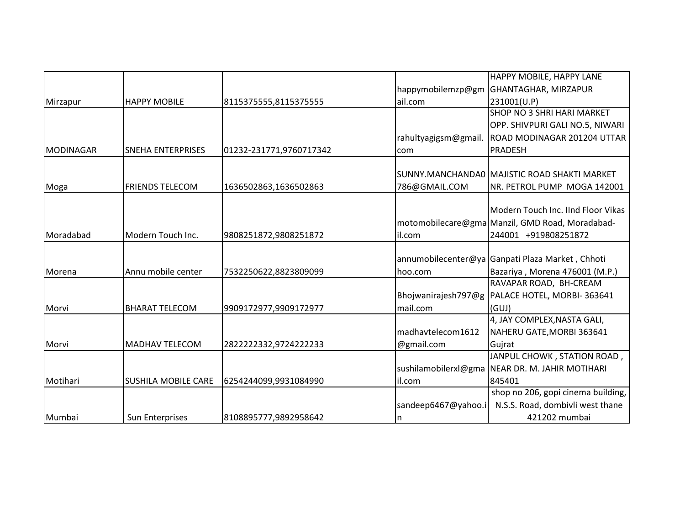|           |                            |                         |                      | HAPPY MOBILE, HAPPY LANE                         |
|-----------|----------------------------|-------------------------|----------------------|--------------------------------------------------|
|           |                            |                         | happymobilemzp@gm    | <b>GHANTAGHAR, MIRZAPUR</b>                      |
| Mirzapur  | <b>HAPPY MOBILE</b>        | 8115375555,8115375555   | ail.com              | 231001(U.P)                                      |
|           |                            |                         |                      | <b>SHOP NO 3 SHRI HARI MARKET</b>                |
|           |                            |                         |                      | OPP. SHIVPURI GALI NO.5, NIWARI                  |
|           |                            |                         | rahultyagigsm@gmail. | ROAD MODINAGAR 201204 UTTAR                      |
| MODINAGAR | <b>SNEHA ENTERPRISES</b>   | 01232-231771,9760717342 | com                  | <b>PRADESH</b>                                   |
|           |                            |                         |                      |                                                  |
|           |                            |                         |                      | SUNNY.MANCHANDAO MAJISTIC ROAD SHAKTI MARKET     |
| Moga      | <b>FRIENDS TELECOM</b>     | 1636502863,1636502863   | 786@GMAIL.COM        | NR. PETROL PUMP MOGA 142001                      |
|           |                            |                         |                      |                                                  |
|           |                            |                         |                      | Modern Touch Inc. IInd Floor Vikas               |
|           |                            |                         |                      | motomobilecare@gma Manzil, GMD Road, Moradabad-  |
| Moradabad | Modern Touch Inc.          | 9808251872,9808251872   | il.com               | 244001 +919808251872                             |
|           |                            |                         |                      |                                                  |
|           |                            |                         |                      | annumobilecenter@ya Ganpati Plaza Market, Chhoti |
| Morena    | Annu mobile center         | 7532250622,8823809099   | hoo.com              | Bazariya, Morena 476001 (M.P.)                   |
|           |                            |                         |                      | RAVAPAR ROAD, BH-CREAM                           |
|           |                            |                         |                      | Bhojwanirajesh797@g   PALACE HOTEL, MORBI-363641 |
| Morvi     | <b>BHARAT TELECOM</b>      | 9909172977,9909172977   | mail.com             | (GUI)                                            |
|           |                            |                         |                      | 4, JAY COMPLEX, NASTA GALI,                      |
|           |                            |                         | madhavtelecom1612    | NAHERU GATE, MORBI 363641                        |
| Morvi     | <b>MADHAV TELECOM</b>      | 2822222332,9724222233   | @gmail.com           | Gujrat                                           |
|           |                            |                         |                      | JANPUL CHOWK, STATION ROAD,                      |
|           |                            |                         | sushilamobilerxl@gma | NEAR DR. M. JAHIR MOTIHARI                       |
| Motihari  | <b>SUSHILA MOBILE CARE</b> | 6254244099,9931084990   | il.com               | 845401                                           |
|           |                            |                         |                      | shop no 206, gopi cinema building,               |
|           |                            |                         | sandeep6467@yahoo.i  | N.S.S. Road, dombivli west thane                 |
| Mumbai    | Sun Enterprises            | 8108895777,9892958642   | ın                   | 421202 mumbai                                    |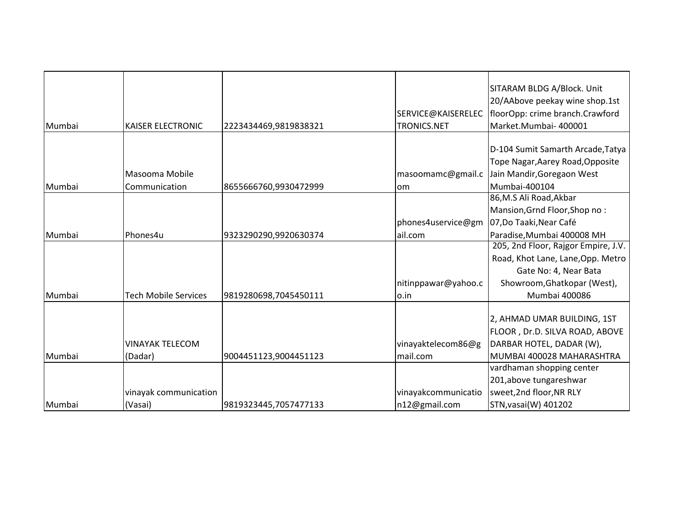|        |                             |                       |                     | SITARAM BLDG A/Block. Unit          |
|--------|-----------------------------|-----------------------|---------------------|-------------------------------------|
|        |                             |                       |                     | 20/AAbove peekay wine shop.1st      |
|        |                             |                       | SERVICE@KAISERELEC  | floorOpp: crime branch.Crawford     |
| Mumbai | <b>KAISER ELECTRONIC</b>    | 2223434469,9819838321 | <b>TRONICS.NET</b>  | Market.Mumbai- 400001               |
|        |                             |                       |                     |                                     |
|        |                             |                       |                     | D-104 Sumit Samarth Arcade, Tatya   |
|        |                             |                       |                     | Tope Nagar, Aarey Road, Opposite    |
|        | Masooma Mobile              |                       | masoomamc@gmail.c   | Jain Mandir, Goregaon West          |
| Mumbai | Communication               | 8655666760,9930472999 | lom.                | Mumbai-400104                       |
|        |                             |                       |                     | 86, M.S Ali Road, Akbar             |
|        |                             |                       |                     | Mansion, Grnd Floor, Shop no:       |
|        |                             |                       | phones4uservice@gm  | 07,Do Taaki,Near Café               |
| Mumbai | Phones4u                    | 9323290290,9920630374 | ail.com             | Paradise, Mumbai 400008 MH          |
|        |                             |                       |                     | 205, 2nd Floor, Rajgor Empire, J.V. |
|        |                             |                       |                     | Road, Khot Lane, Lane, Opp. Metro   |
|        |                             |                       |                     | Gate No: 4, Near Bata               |
|        |                             |                       | nitinppawar@yahoo.c | Showroom, Ghatkopar (West),         |
| Mumbai | <b>Tech Mobile Services</b> | 9819280698,7045450111 | lo.in               | Mumbai 400086                       |
|        |                             |                       |                     |                                     |
|        |                             |                       |                     | 2, AHMAD UMAR BUILDING, 1ST         |
|        |                             |                       |                     | FLOOR, Dr.D. SILVA ROAD, ABOVE      |
|        | <b>VINAYAK TELECOM</b>      |                       | vinayaktelecom86@g  | DARBAR HOTEL, DADAR (W),            |
| Mumbai | (Dadar)                     | 9004451123,9004451123 | mail.com            | MUMBAI 400028 MAHARASHTRA           |
|        |                             |                       |                     | vardhaman shopping center           |
|        |                             |                       |                     | 201,above tungareshwar              |
|        | vinayak communication       |                       | vinayakcommunicatio | sweet, 2nd floor, NR RLY            |
| Mumbai | (Vasai)                     | 9819323445,7057477133 | n12@gmail.com       | STN, vasai(W) 401202                |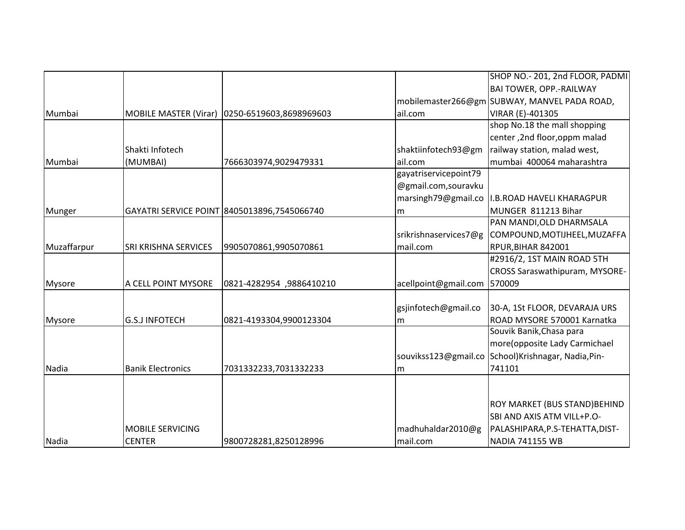|               |                             |                                               |                       | SHOP NO.- 201, 2nd FLOOR, PADMI                    |
|---------------|-----------------------------|-----------------------------------------------|-----------------------|----------------------------------------------------|
|               |                             |                                               |                       | <b>BAI TOWER, OPP.-RAILWAY</b>                     |
|               |                             |                                               |                       | mobilemaster266@gm SUBWAY, MANVEL PADA ROAD,       |
| Mumbai        |                             | MOBILE MASTER (Virar) 0250-6519603,8698969603 | ail.com               | VIRAR (E)-401305                                   |
|               |                             |                                               |                       | shop No.18 the mall shopping                       |
|               |                             |                                               |                       | center, 2nd floor, oppm malad                      |
|               | Shakti Infotech             |                                               | shaktiinfotech93@gm   | railway station, malad west,                       |
| Mumbai        | (MUMBAI)                    | 7666303974,9029479331                         | ail.com               | mumbai 400064 maharashtra                          |
|               |                             |                                               | gayatriservicepoint79 |                                                    |
|               |                             |                                               | @gmail.com,souravku   |                                                    |
|               |                             |                                               | marsingh79@gmail.co   | I.B.ROAD HAVELI KHARAGPUR                          |
| Munger        |                             | GAYATRI SERVICE POINT 8405013896,7545066740   | lm.                   | MUNGER 811213 Bihar                                |
|               |                             |                                               |                       | PAN MANDI, OLD DHARMSALA                           |
|               |                             |                                               | srikrishnaservices7@g | COMPOUND, MOTIJHEEL, MUZAFFA                       |
| Muzaffarpur   | <b>SRI KRISHNA SERVICES</b> | 9905070861,9905070861                         | mail.com              | RPUR, BIHAR 842001                                 |
|               |                             |                                               |                       | #2916/2, 1ST MAIN ROAD 5TH                         |
|               |                             |                                               |                       | <b>CROSS Saraswathipuram, MYSORE-</b>              |
| <b>Mysore</b> | A CELL POINT MYSORE         | 0821-4282954 ,9886410210                      | acellpoint@gmail.com  | 570009                                             |
|               |                             |                                               |                       |                                                    |
|               |                             |                                               | gsjinfotech@gmail.co  | 30-A, 1St FLOOR, DEVARAJA URS                      |
| <b>Mysore</b> | <b>G.S.J INFOTECH</b>       | 0821-4193304,9900123304                       | m                     | ROAD MYSORE 570001 Karnatka                        |
|               |                             |                                               |                       | Souvik Banik, Chasa para                           |
|               |                             |                                               |                       | more(opposite Lady Carmichael                      |
|               |                             |                                               |                       | souvikss123@gmail.co School)Krishnagar, Nadia,Pin- |
| Nadia         | <b>Banik Electronics</b>    | 7031332233,7031332233                         | m                     | 741101                                             |
|               |                             |                                               |                       |                                                    |
|               |                             |                                               |                       |                                                    |
|               |                             |                                               |                       | ROY MARKET (BUS STAND) BEHIND                      |
|               |                             |                                               |                       | SBI AND AXIS ATM VILL+P.O-                         |
|               | <b>MOBILE SERVICING</b>     |                                               | madhuhaldar2010@g     | PALASHIPARA, P.S-TEHATTA, DIST-                    |
| Nadia         | <b>CENTER</b>               | 9800728281,8250128996                         | mail.com              | <b>NADIA 741155 WB</b>                             |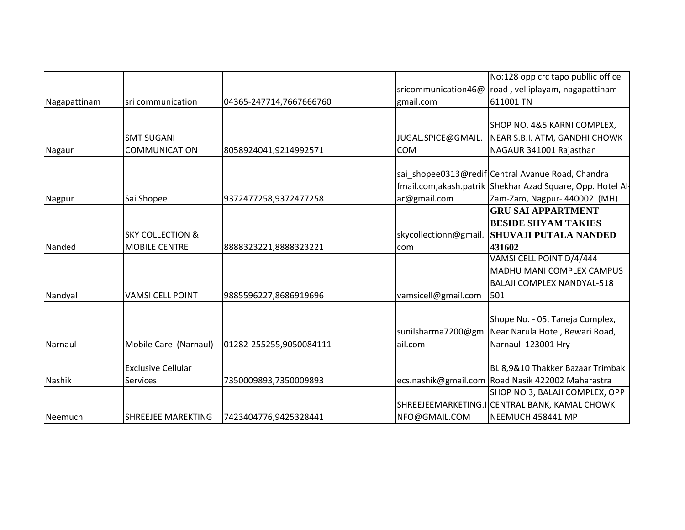|              |                             |                         |                       | No:128 opp crc tapo publlic office                         |
|--------------|-----------------------------|-------------------------|-----------------------|------------------------------------------------------------|
|              |                             |                         | sricommunication46@   | road, velliplayam, nagapattinam                            |
| Nagapattinam | sri communication           | 04365-247714,7667666760 | gmail.com             | 611001 TN                                                  |
|              |                             |                         |                       |                                                            |
|              |                             |                         |                       | SHOP NO. 4&5 KARNI COMPLEX,                                |
|              | <b>SMT SUGANI</b>           |                         | JUGAL.SPICE@GMAIL.    | NEAR S.B.I. ATM, GANDHI CHOWK                              |
| Nagaur       | <b>COMMUNICATION</b>        | 8058924041,9214992571   | <b>COM</b>            | NAGAUR 341001 Rajasthan                                    |
|              |                             |                         |                       |                                                            |
|              |                             |                         |                       | sai_shopee0313@redif Central Avanue Road, Chandra          |
|              |                             |                         |                       | fmail.com, akash.patrik Shekhar Azad Square, Opp. Hotel Al |
| Nagpur       | Sai Shopee                  | 9372477258,9372477258   | ar@gmail.com          | Zam-Zam, Nagpur- 440002 (MH)                               |
|              |                             |                         |                       | <b>GRU SAI APPARTMENT</b>                                  |
|              |                             |                         |                       | <b>BESIDE SHYAM TAKIES</b>                                 |
|              | <b>SKY COLLECTION &amp;</b> |                         | skycollectionn@gmail. | <b>SHUVAJI PUTALA NANDED</b>                               |
| Nanded       | <b>MOBILE CENTRE</b>        | 8888323221,8888323221   | com                   | 431602                                                     |
|              |                             |                         |                       | VAMSI CELL POINT D/4/444                                   |
|              |                             |                         |                       | MADHU MANI COMPLEX CAMPUS                                  |
|              |                             |                         |                       | <b>BALAJI COMPLEX NANDYAL-518</b>                          |
| Nandyal      | <b>VAMSI CELL POINT</b>     | 9885596227,8686919696   | vamsicell@gmail.com   | 501                                                        |
|              |                             |                         |                       |                                                            |
|              |                             |                         |                       | Shope No. - 05, Taneja Complex,                            |
|              |                             |                         | sunilsharma7200@gm    | Near Narula Hotel, Rewari Road,                            |
| Narnaul      | Mobile Care (Narnaul)       | 01282-255255,9050084111 | ail.com               | Narnaul 123001 Hry                                         |
|              |                             |                         |                       |                                                            |
|              | <b>Exclusive Cellular</b>   |                         |                       | BL 8,9&10 Thakker Bazaar Trimbak                           |
| Nashik       | <b>Services</b>             | 7350009893,7350009893   |                       | ecs.nashik@gmail.com Road Nasik 422002 Maharastra          |
|              |                             |                         |                       | SHOP NO 3, BALAJI COMPLEX, OPP                             |
|              |                             |                         |                       | SHREEJEEMARKETING.I CENTRAL BANK, KAMAL CHOWK              |
| Neemuch      | <b>SHREEJEE MAREKTING</b>   | 7423404776,9425328441   | NFO@GMAIL.COM         | NEEMUCH 458441 MP                                          |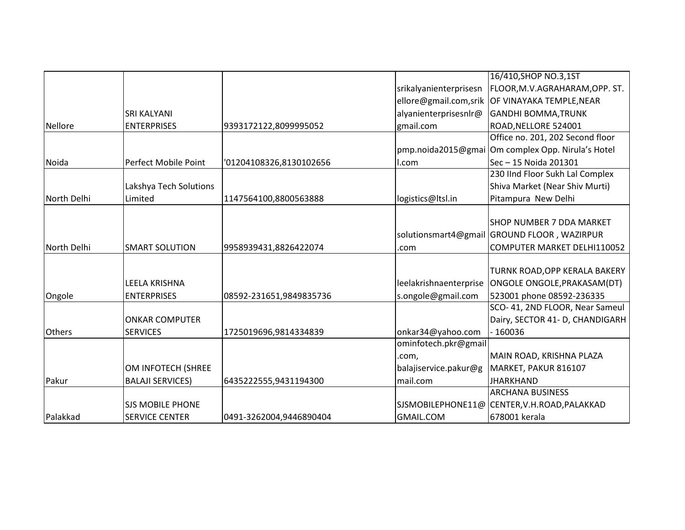|                |                         |                         |                        | 16/410, SHOP NO.3, 1ST                            |
|----------------|-------------------------|-------------------------|------------------------|---------------------------------------------------|
|                |                         |                         | srikalyanienterprisesn | FLOOR, M.V. AGRAHARAM, OPP. ST.                   |
|                |                         |                         |                        | ellore@gmail.com,srik OF VINAYAKA TEMPLE, NEAR    |
|                | <b>SRI KALYANI</b>      |                         | alyanienterprisesnlr@  | <b>GANDHI BOMMA, TRUNK</b>                        |
| <b>Nellore</b> | <b>ENTERPRISES</b>      | 9393172122,8099995052   | gmail.com              | ROAD, NELLORE 524001                              |
|                |                         |                         |                        | Office no. 201, 202 Second floor                  |
|                |                         |                         |                        | pmp.noida2015@gmai Om complex Opp. Nirula's Hotel |
| Noida          | Perfect Mobile Point    | '01204108326,8130102656 | l.com                  | Sec - 15 Noida 201301                             |
|                |                         |                         |                        | 230 IInd Floor Sukh Lal Complex                   |
|                | Lakshya Tech Solutions  |                         |                        | Shiva Market (Near Shiv Murti)                    |
| North Delhi    | Limited                 | 1147564100,8800563888   | logistics@ltsl.in      | Pitampura New Delhi                               |
|                |                         |                         |                        |                                                   |
|                |                         |                         |                        | SHOP NUMBER 7 DDA MARKET                          |
|                |                         |                         |                        | solutionsmart4@gmail GROUND FLOOR, WAZIRPUR       |
| North Delhi    | <b>SMART SOLUTION</b>   | 9958939431,8826422074   | .com                   | COMPUTER MARKET DELHI110052                       |
|                |                         |                         |                        |                                                   |
|                |                         |                         |                        | TURNK ROAD, OPP KERALA BAKERY                     |
|                | LEELA KRISHNA           |                         | leelakrishnaenterprise | ONGOLE ONGOLE, PRAKASAM (DT)                      |
| Ongole         | <b>ENTERPRISES</b>      | 08592-231651,9849835736 | s.ongole@gmail.com     | 523001 phone 08592-236335                         |
|                |                         |                         |                        | SCO- 41, 2ND FLOOR, Near Sameul                   |
|                | <b>ONKAR COMPUTER</b>   |                         |                        | Dairy, SECTOR 41- D, CHANDIGARH                   |
| <b>Others</b>  | <b>SERVICES</b>         | 1725019696,9814334839   | onkar34@yahoo.com      | - 160036                                          |
|                |                         |                         | ominfotech.pkr@gmail   |                                                   |
|                |                         |                         | .com,                  | MAIN ROAD, KRISHNA PLAZA                          |
|                | OM INFOTECH (SHREE      |                         | balajiservice.pakur@g  | MARKET, PAKUR 816107                              |
| Pakur          | <b>BALAJI SERVICES)</b> | 6435222555,9431194300   | mail.com               | <b>JHARKHAND</b>                                  |
|                |                         |                         |                        | <b>ARCHANA BUSINESS</b>                           |
|                | <b>SJS MOBILE PHONE</b> |                         |                        | SJSMOBILEPHONE11@ CENTER, V.H.ROAD, PALAKKAD      |
| Palakkad       | <b>SERVICE CENTER</b>   | 0491-3262004,9446890404 | <b>GMAIL.COM</b>       | 678001 kerala                                     |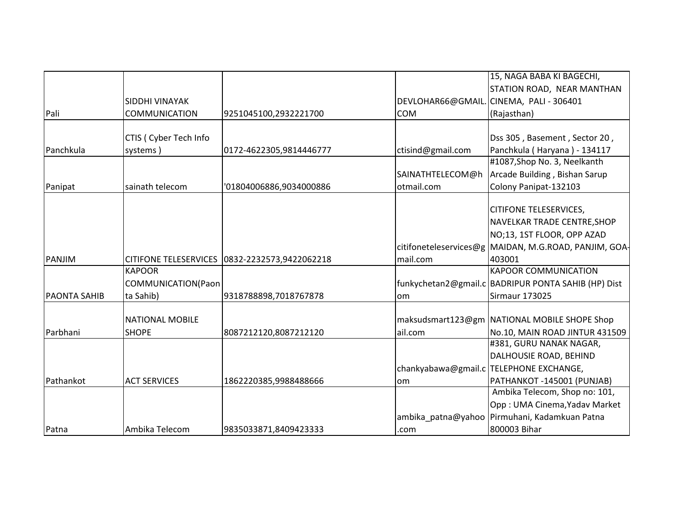|                     |                              |                         |                   | 15, NAGA BABA KI BAGECHI,                             |
|---------------------|------------------------------|-------------------------|-------------------|-------------------------------------------------------|
|                     |                              |                         |                   |                                                       |
|                     |                              |                         |                   | STATION ROAD, NEAR MANTHAN                            |
|                     | SIDDHI VINAYAK               |                         | DEVLOHAR66@GMAIL. | CINEMA, PALI - 306401                                 |
| Pali                | <b>COMMUNICATION</b>         | 9251045100,2932221700   | <b>COM</b>        | (Rajasthan)                                           |
|                     |                              |                         |                   |                                                       |
|                     | CTIS ( Cyber Tech Info       |                         |                   | Dss 305, Basement, Sector 20,                         |
| Panchkula           | systems)                     | 0172-4622305,9814446777 | ctisind@gmail.com | Panchkula (Haryana) - 134117                          |
|                     |                              |                         |                   | #1087, Shop No. 3, Neelkanth                          |
|                     |                              |                         | SAINATHTELECOM@h  | Arcade Building, Bishan Sarup                         |
| Panipat             | sainath telecom              | '01804006886,9034000886 | otmail.com        | Colony Panipat-132103                                 |
|                     |                              |                         |                   |                                                       |
|                     |                              |                         |                   | <b>CITIFONE TELESERVICES,</b>                         |
|                     |                              |                         |                   | NAVELKAR TRADE CENTRE, SHOP                           |
|                     |                              |                         |                   | NO;13, 1ST FLOOR, OPP AZAD                            |
|                     |                              |                         |                   | citifoneteleservices@g MAIDAN, M.G.ROAD, PANJIM, GOA- |
| PANJIM              | <b>CITIFONE TELESERVICES</b> | 0832-2232573,9422062218 | mail.com          | 403001                                                |
|                     | <b>KAPOOR</b>                |                         |                   | <b>KAPOOR COMMUNICATION</b>                           |
|                     | COMMUNICATION(Paon           |                         |                   | funkychetan2@gmail.c   BADRIPUR PONTA SAHIB (HP) Dist |
| <b>PAONTA SAHIB</b> | ta Sahib)                    | 9318788898,7018767878   | lom               | <b>Sirmaur 173025</b>                                 |
|                     |                              |                         |                   |                                                       |
|                     | <b>NATIONAL MOBILE</b>       |                         |                   | maksudsmart123@gm NATIONAL MOBILE SHOPE Shop          |
| Parbhani            | <b>SHOPE</b>                 | 8087212120,8087212120   | ail.com           | No.10, MAIN ROAD JINTUR 431509                        |
|                     |                              |                         |                   | #381, GURU NANAK NAGAR,                               |
|                     |                              |                         |                   | DALHOUSIE ROAD, BEHIND                                |
|                     |                              |                         |                   | chankyabawa@gmail.c TELEPHONE EXCHANGE,               |
| Pathankot           | <b>ACT SERVICES</b>          | 1862220385,9988488666   | lom               | PATHANKOT-145001 (PUNJAB)                             |
|                     |                              |                         |                   | Ambika Telecom, Shop no: 101,                         |
|                     |                              |                         |                   | Opp: UMA Cinema, Yadav Market                         |
|                     |                              |                         |                   | ambika patna@yahoo Pirmuhani, Kadamkuan Patna         |
| Patna               | Ambika Telecom               | 9835033871,8409423333   | .com              | 800003 Bihar                                          |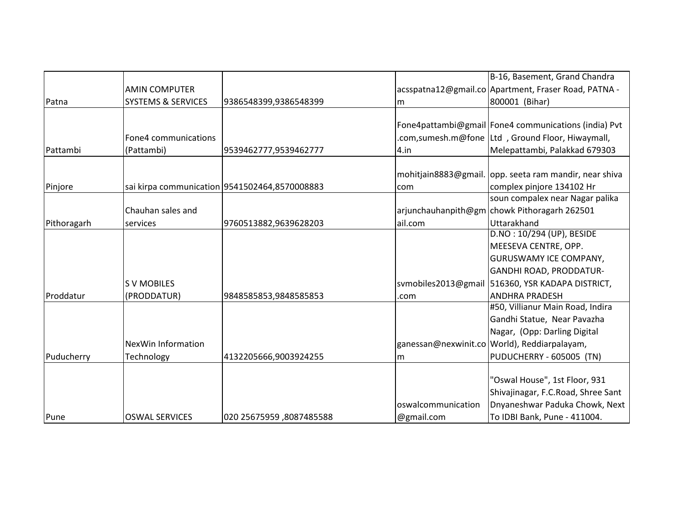|             |                               |                                               |                     | B-16, Basement, Grand Chandra                        |
|-------------|-------------------------------|-----------------------------------------------|---------------------|------------------------------------------------------|
|             | <b>AMIN COMPUTER</b>          |                                               |                     | acsspatna12@gmail.co Apartment, Fraser Road, PATNA - |
| Patna       | <b>SYSTEMS &amp; SERVICES</b> | 9386548399,9386548399                         | m                   | 800001 (Bihar)                                       |
|             |                               |                                               |                     |                                                      |
|             |                               |                                               |                     | Fone4pattambi@gmail Fone4 communications (india) Pvt |
|             | Fone4 communications          |                                               |                     | .com,sumesh.m@fone Ltd, Ground Floor, Hiwaymall,     |
| Pattambi    | (Pattambi)                    | 9539462777,9539462777                         | 4.in                | Melepattambi, Palakkad 679303                        |
|             |                               |                                               |                     |                                                      |
|             |                               |                                               | mohitjain8883@gmail | lopp. seeta ram mandir, near shiva                   |
| Pinjore     |                               | sai kirpa communication 9541502464,8570008883 | com                 | complex pinjore 134102 Hr                            |
|             |                               |                                               |                     | soun compalex near Nagar palika                      |
|             | Chauhan sales and             |                                               |                     | arjunchauhanpith@gm chowk Pithoragarh 262501         |
| Pithoragarh | services                      | 9760513882,9639628203                         | ail.com             | Uttarakhand                                          |
|             |                               |                                               |                     | D.NO: 10/294 (UP), BESIDE                            |
|             |                               |                                               |                     | MEESEVA CENTRE, OPP.                                 |
|             |                               |                                               |                     | <b>GURUSWAMY ICE COMPANY,</b>                        |
|             |                               |                                               |                     | <b>GANDHI ROAD, PRODDATUR-</b>                       |
|             | <b>SV MOBILES</b>             |                                               |                     | svmobiles2013@gmail 516360, YSR KADAPA DISTRICT,     |
| Proddatur   | (PRODDATUR)                   | 9848585853,9848585853                         | .com                | <b>ANDHRA PRADESH</b>                                |
|             |                               |                                               |                     | #50, Villianur Main Road, Indira                     |
|             |                               |                                               |                     | Gandhi Statue, Near Pavazha                          |
|             |                               |                                               |                     | Nagar, (Opp: Darling Digital                         |
|             | <b>NexWin Information</b>     |                                               |                     | ganessan@nexwinit.co World), Reddiarpalayam,         |
| Puducherry  | Technology                    | 4132205666,9003924255                         | m                   | PUDUCHERRY - 605005 (TN)                             |
|             |                               |                                               |                     |                                                      |
|             |                               |                                               |                     | "Oswal House", 1st Floor, 931                        |
|             |                               |                                               |                     | Shivajinagar, F.C.Road, Shree Sant                   |
|             |                               |                                               | oswalcommunication  | Dnyaneshwar Paduka Chowk, Next                       |
| Pune        | <b>OSWAL SERVICES</b>         | 020 25675959, 8087485588                      | @gmail.com          | To IDBI Bank, Pune - 411004.                         |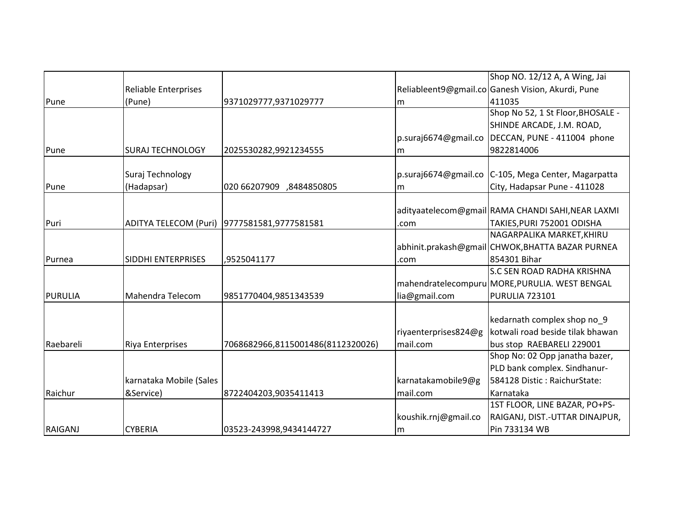|                |                             |                                               |                      | Shop NO. 12/12 A, A Wing, Jai                     |
|----------------|-----------------------------|-----------------------------------------------|----------------------|---------------------------------------------------|
|                | <b>Reliable Enterprises</b> |                                               |                      | Reliableent9@gmail.co Ganesh Vision, Akurdi, Pune |
| Pune           | (Pune)                      | 9371029777,9371029777                         | lm                   | 411035                                            |
|                |                             |                                               |                      | Shop No 52, 1 St Floor, BHOSALE -                 |
|                |                             |                                               |                      | SHINDE ARCADE, J.M. ROAD,                         |
|                |                             |                                               | p.suraj6674@gmail.co | DECCAN, PUNE - 411004 phone                       |
| Pune           | <b>SURAJ TECHNOLOGY</b>     | 2025530282,9921234555                         | m                    | 9822814006                                        |
|                |                             |                                               |                      |                                                   |
|                | Suraj Technology            |                                               | p.suraj6674@gmail.co | C-105, Mega Center, Magarpatta                    |
| Pune           | (Hadapsar)                  | 020 66207909 ,8484850805                      | m                    | City, Hadapsar Pune - 411028                      |
|                |                             |                                               |                      |                                                   |
|                |                             |                                               |                      | adityaatelecom@gmail RAMA CHANDI SAHI, NEAR LAXMI |
| Puri           |                             | ADITYA TELECOM (Puri)   9777581581,9777581581 | .com                 | TAKIES, PURI 752001 ODISHA                        |
|                |                             |                                               |                      | NAGARPALIKA MARKET, KHIRU                         |
|                |                             |                                               |                      | abhinit.prakash@gmail CHWOK,BHATTA BAZAR PURNEA   |
| Purnea         | <b>SIDDHI ENTERPRISES</b>   | ,9525041177                                   | .com                 | 854301 Bihar                                      |
|                |                             |                                               |                      | <b>S.C SEN ROAD RADHA KRISHNA</b>                 |
|                |                             |                                               |                      | mahendratelecompuru MORE, PURULIA. WEST BENGAL    |
| <b>PURULIA</b> | Mahendra Telecom            | 9851770404,9851343539                         | lia@gmail.com        | <b>PURULIA 723101</b>                             |
|                |                             |                                               |                      |                                                   |
|                |                             |                                               |                      | kedarnath complex shop no 9                       |
|                |                             |                                               | riyaenterprises824@g | kotwali road beside tilak bhawan                  |
| Raebareli      | <b>Riya Enterprises</b>     | 7068682966,8115001486(8112320026)             | mail.com             | bus stop RAEBARELI 229001                         |
|                |                             |                                               |                      | Shop No: 02 Opp janatha bazer,                    |
|                |                             |                                               |                      | PLD bank complex. Sindhanur-                      |
|                | karnataka Mobile (Sales     |                                               | karnatakamobile9@g   | 584128 Distic: RaichurState:                      |
| Raichur        | &Service)                   | 8722404203,9035411413                         | mail.com             | Karnataka                                         |
|                |                             |                                               |                      | 1ST FLOOR, LINE BAZAR, PO+PS-                     |
|                |                             |                                               | koushik.rnj@gmail.co | RAIGANJ, DIST.-UTTAR DINAJPUR,                    |
| <b>RAIGANJ</b> | <b>CYBERIA</b>              | 03523-243998,9434144727                       | Im                   | Pin 733134 WB                                     |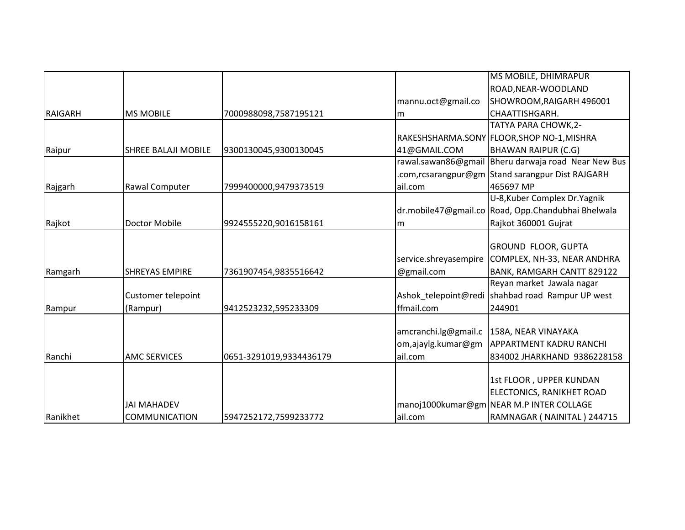|                |                            |                         |                       | MS MOBILE, DHIMRAPUR                                |
|----------------|----------------------------|-------------------------|-----------------------|-----------------------------------------------------|
|                |                            |                         |                       | ROAD, NEAR-WOODLAND                                 |
|                |                            |                         | mannu.oct@gmail.co    | SHOWROOM, RAIGARH 496001                            |
| <b>RAIGARH</b> | <b>MS MOBILE</b>           | 7000988098,7587195121   | m                     | CHAATTISHGARH.                                      |
|                |                            |                         |                       | TATYA PARA CHOWK, 2-                                |
|                |                            |                         |                       | RAKESHSHARMA.SONY FLOOR, SHOP NO-1, MISHRA          |
| Raipur         | <b>SHREE BALAJI MOBILE</b> | 9300130045,9300130045   | 41@GMAIL.COM          | <b>BHAWAN RAIPUR (C.G)</b>                          |
|                |                            |                         |                       | rawal.sawan86@gmail Bheru darwaja road Near New Bus |
|                |                            |                         |                       | .com,rcsarangpur@gm Stand sarangpur Dist RAJGARH    |
| Rajgarh        | Rawal Computer             | 7999400000,9479373519   | ail.com               | 465697 MP                                           |
|                |                            |                         |                       | U-8, Kuber Complex Dr. Yagnik                       |
|                |                            |                         |                       | dr.mobile47@gmail.co Road, Opp.Chandubhai Bhelwala  |
| Rajkot         | <b>Doctor Mobile</b>       | 9924555220,9016158161   | lm                    | Rajkot 360001 Gujrat                                |
|                |                            |                         |                       |                                                     |
|                |                            |                         |                       | <b>GROUND FLOOR, GUPTA</b>                          |
|                |                            |                         | service.shreyasempire | COMPLEX, NH-33, NEAR ANDHRA                         |
| Ramgarh        | <b>SHREYAS EMPIRE</b>      | 7361907454,9835516642   | @gmail.com            | BANK, RAMGARH CANTT 829122                          |
|                |                            |                         |                       | Reyan market Jawala nagar                           |
|                | Customer telepoint         |                         | Ashok telepoint@redi  | shahbad road Rampur UP west                         |
| Rampur         | (Rampur)                   | 9412523232,595233309    | ffmail.com            | 244901                                              |
|                |                            |                         |                       |                                                     |
|                |                            |                         | amcranchi.lg@gmail.c  | 158A, NEAR VINAYAKA                                 |
|                |                            |                         | om,ajaylg.kumar@gm    | <b>APPARTMENT KADRU RANCHI</b>                      |
| Ranchi         | <b>AMC SERVICES</b>        | 0651-3291019,9334436179 | ail.com               | 834002 JHARKHAND 9386228158                         |
|                |                            |                         |                       |                                                     |
|                |                            |                         |                       | 1st FLOOR, UPPER KUNDAN                             |
|                |                            |                         |                       | ELECTONICS, RANIKHET ROAD                           |
|                | JAI MAHADEV                |                         |                       | manoj1000kumar@gm NEAR M.P INTER COLLAGE            |
| Ranikhet       | <b>COMMUNICATION</b>       | 5947252172,7599233772   | ail.com               | RAMNAGAR (NAINITAL) 244715                          |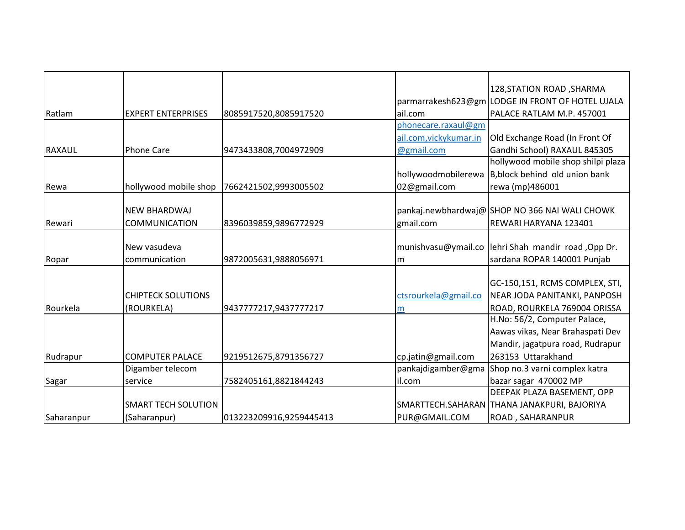|               |                            |                         |                         | 128, STATION ROAD, SHARMA                           |
|---------------|----------------------------|-------------------------|-------------------------|-----------------------------------------------------|
|               |                            |                         |                         | parmarrakesh623@gm LODGE IN FRONT OF HOTEL UJALA    |
| Ratlam        | <b>EXPERT ENTERPRISES</b>  | 8085917520,8085917520   | ail.com                 | PALACE RATLAM M.P. 457001                           |
|               |                            |                         | phonecare.raxaul@gm     |                                                     |
|               |                            |                         | ail.com, vicky kumar.in | Old Exchange Road (In Front Of                      |
| <b>RAXAUL</b> | <b>Phone Care</b>          | 9473433808,7004972909   | @gmail.com              | Gandhi School) RAXAUL 845305                        |
|               |                            |                         |                         | hollywood mobile shop shilpi plaza                  |
|               |                            |                         | hollywoodmobilerewa     | B, block behind old union bank                      |
| Rewa          | hollywood mobile shop      | 7662421502,9993005502   | 02@gmail.com            | rewa (mp)486001                                     |
|               |                            |                         |                         |                                                     |
|               | <b>NEW BHARDWAJ</b>        |                         |                         | pankaj.newbhardwaj@SHOP NO 366 NAI WALI CHOWK       |
| Rewari        | <b>COMMUNICATION</b>       | 8396039859,9896772929   | gmail.com               | REWARI HARYANA 123401                               |
|               |                            |                         |                         |                                                     |
|               | New vasudeva               |                         |                         | munishvasu@ymail.co lehri Shah mandir road, Opp Dr. |
| Ropar         | communication              | 9872005631,9888056971   | lm                      | sardana ROPAR 140001 Punjab                         |
|               |                            |                         |                         |                                                     |
|               |                            |                         |                         | GC-150,151, RCMS COMPLEX, STI,                      |
|               | <b>CHIPTECK SOLUTIONS</b>  |                         | ctsrourkela@gmail.co    | NEAR JODA PANITANKI, PANPOSH                        |
| Rourkela      | (ROURKELA)                 | 9437777217,9437777217   | m                       | ROAD, ROURKELA 769004 ORISSA                        |
|               |                            |                         |                         | H.No: 56/2, Computer Palace,                        |
|               |                            |                         |                         | Aawas vikas, Near Brahaspati Dev                    |
|               |                            |                         |                         | Mandir, jagatpura road, Rudrapur                    |
| Rudrapur      | <b>COMPUTER PALACE</b>     | 9219512675,8791356727   | cp.jatin@gmail.com      | 263153 Uttarakhand                                  |
|               | Digamber telecom           |                         | pankajdigamber@gma      | Shop no.3 varni complex katra                       |
| Sagar         | service                    | 7582405161,8821844243   | il.com                  | bazar sagar 470002 MP                               |
|               |                            |                         |                         | DEEPAK PLAZA BASEMENT, OPP                          |
|               | <b>SMART TECH SOLUTION</b> |                         |                         | SMARTTECH.SAHARAN THANA JANAKPURI, BAJORIYA         |
| Saharanpur    | (Saharanpur)               | 013223209916,9259445413 | PUR@GMAIL.COM           | ROAD, SAHARANPUR                                    |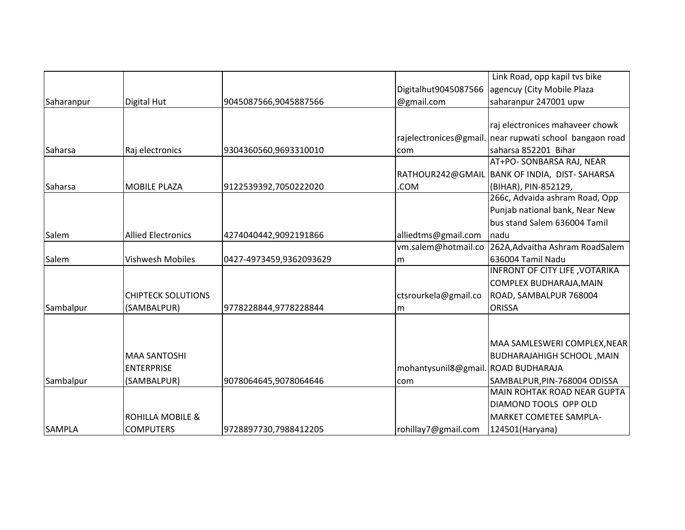|               |                           |                         |                                     | Link Road, opp kapil tvs bike     |
|---------------|---------------------------|-------------------------|-------------------------------------|-----------------------------------|
|               |                           |                         | Digitalhut9045087566                | agencuy (City Mobile Plaza        |
| Saharanpur    | Digital Hut               | 9045087566,9045887566   | @gmail.com                          | saharanpur 247001 upw             |
|               |                           |                         |                                     |                                   |
|               |                           |                         |                                     | raj electronices mahaveer chowk   |
|               |                           |                         | rajelectronices@gmail.              | near rupwati school bangaon road  |
| Saharsa       | Raj electronics           | 9304360560,9693310010   | com                                 | saharsa 852201 Bihar              |
|               |                           |                         |                                     | AT+PO- SONBARSA RAJ, NEAR         |
|               |                           |                         | RATHOUR242@GMAIL                    | BANK OF INDIA, DIST-SAHARSA       |
| Saharsa       | <b>MOBILE PLAZA</b>       | 9122539392,7050222020   | .COM                                | (BIHAR), PIN-852129,              |
|               |                           |                         |                                     | 266c, Advaida ashram Road, Opp    |
|               |                           |                         |                                     | Punjab national bank, Near New    |
|               |                           |                         |                                     | bus stand Salem 636004 Tamil      |
| Salem         | <b>Allied Electronics</b> | 4274040442,9092191866   | alliedtms@gmail.com                 | nadu                              |
|               |                           |                         | vm.salem@hotmail.co                 | 262A, Advaitha Ashram RoadSalem   |
| Salem         | <b>Vishwesh Mobiles</b>   | 0427-4973459,9362093629 | lm                                  | 636004 Tamil Nadu                 |
|               |                           |                         |                                     | INFRONT OF CITY LIFE, VOTARIKA    |
|               |                           |                         |                                     | COMPLEX BUDHARAJA, MAIN           |
|               | <b>CHIPTECK SOLUTIONS</b> |                         | ctsrourkela@gmail.co                | ROAD, SAMBALPUR 768004            |
| Sambalpur     | (SAMBALPUR)               | 9778228844,9778228844   | m                                   | <b>ORISSA</b>                     |
|               |                           |                         |                                     |                                   |
|               |                           |                         |                                     |                                   |
|               |                           |                         |                                     | MAA SAMLESWERI COMPLEX, NEAR      |
|               | <b>MAA SANTOSHI</b>       |                         |                                     | <b>BUDHARAJAHIGH SCHOOL, MAIN</b> |
|               | <b>ENTERPRISE</b>         |                         | mohantysunil8@gmail. ROAD BUDHARAJA |                                   |
| Sambalpur     | (SAMBALPUR)               | 9078064645,9078064646   | com                                 | SAMBALPUR, PIN-768004 ODISSA      |
|               |                           |                         |                                     | MAIN ROHTAK ROAD NEAR GUPTA       |
|               |                           |                         |                                     | DIAMOND TOOLS OPP OLD             |
|               | ROHILLA MOBILE &          |                         |                                     | <b>MARKET COMETEE SAMPLA-</b>     |
| <b>SAMPLA</b> | <b>COMPUTERS</b>          | 9728897730,7988412205   | rohillay7@gmail.com                 | 124501(Haryana)                   |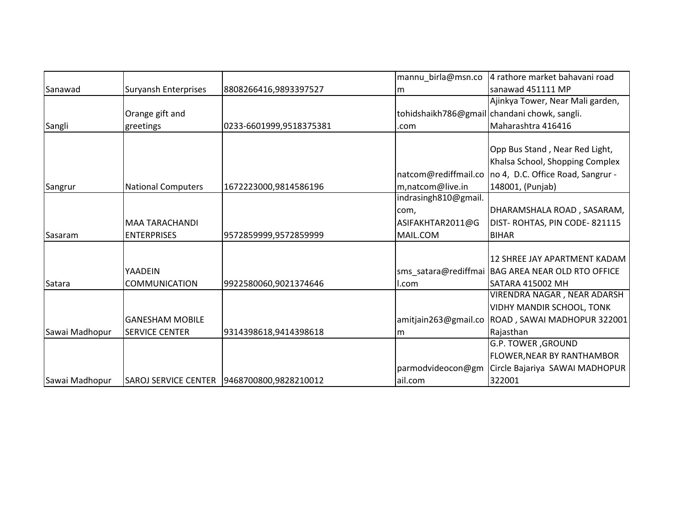|                |                           |                                               | mannu_birla@msn.co   | 4 rathore market bahavani road                      |
|----------------|---------------------------|-----------------------------------------------|----------------------|-----------------------------------------------------|
| Sanawad        | Suryansh Enterprises      | 8808266416,9893397527                         | m                    | sanawad 451111 MP                                   |
|                |                           |                                               |                      | Ajinkya Tower, Near Mali garden,                    |
|                | Orange gift and           |                                               |                      | tohidshaikh786@gmail chandani chowk, sangli.        |
| Sangli         | greetings                 | 0233-6601999,9518375381                       | .com                 | Maharashtra 416416                                  |
|                |                           |                                               |                      |                                                     |
|                |                           |                                               |                      | Opp Bus Stand, Near Red Light,                      |
|                |                           |                                               |                      | Khalsa School, Shopping Complex                     |
|                |                           |                                               | natcom@rediffmail.co | no 4, D.C. Office Road, Sangrur -                   |
| Sangrur        | <b>National Computers</b> | 1672223000,9814586196                         | m,natcom@live.in     | 148001, (Punjab)                                    |
|                |                           |                                               | indrasingh810@gmail. |                                                     |
|                |                           |                                               | com,                 | DHARAMSHALA ROAD, SASARAM,                          |
|                | <b>MAA TARACHANDI</b>     |                                               | ASIFAKHTAR2011@G     | DIST-ROHTAS, PIN CODE-821115                        |
| Sasaram        | <b>ENTERPRISES</b>        | 9572859999,9572859999                         | MAIL.COM             | <b>BIHAR</b>                                        |
|                |                           |                                               |                      |                                                     |
|                |                           |                                               |                      | 12 SHREE JAY APARTMENT KADAM                        |
|                | <b>YAADEIN</b>            |                                               |                      | sms satara@rediffmai   BAG AREA NEAR OLD RTO OFFICE |
| Satara         | <b>COMMUNICATION</b>      | 9922580060,9021374646                         | l.com                | SATARA 415002 MH                                    |
|                |                           |                                               |                      | VIRENDRA NAGAR, NEAR ADARSH                         |
|                |                           |                                               |                      | <b>VIDHY MANDIR SCHOOL, TONK</b>                    |
|                | lGANESHAM MOBILE          |                                               | amitjain263@gmail.co | ROAD, SAWAI MADHOPUR 322001                         |
| Sawai Madhopur | <b>SERVICE CENTER</b>     | 9314398618,9414398618                         | lm                   | Rajasthan                                           |
|                |                           |                                               |                      | G.P. TOWER, GROUND                                  |
|                |                           |                                               |                      | FLOWER, NEAR BY RANTHAMBOR                          |
|                |                           |                                               | parmodvideocon@gm    | Circle Bajariya SAWAI MADHOPUR                      |
| Sawai Madhopur |                           | SAROJ SERVICE CENTER   9468700800, 9828210012 | ail.com              | 322001                                              |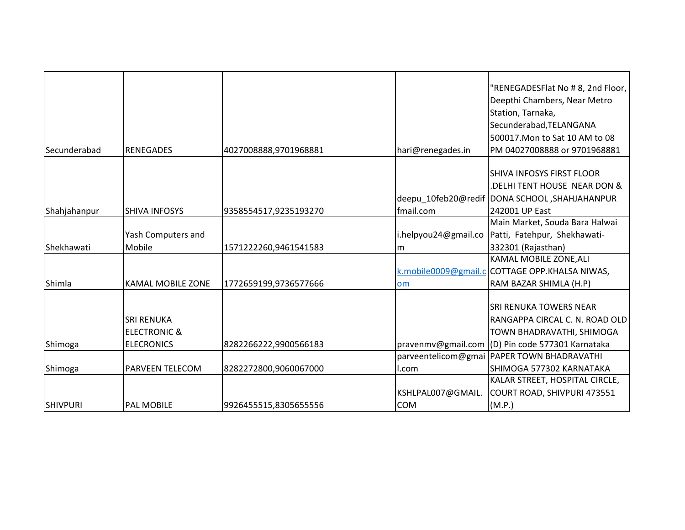|                 |                          |                       |                      | "RENEGADESFlat No # 8, 2nd Floor,  <br>Deepthi Chambers, Near Metro<br>Station, Tarnaka, |
|-----------------|--------------------------|-----------------------|----------------------|------------------------------------------------------------------------------------------|
|                 |                          |                       |                      | Secunderabad, TELANGANA                                                                  |
| Secunderabad    | <b>RENEGADES</b>         | 4027008888,9701968881 | hari@renegades.in    | 500017. Mon to Sat 10 AM to 08<br>PM 04027008888 or 9701968881                           |
|                 |                          |                       |                      |                                                                                          |
|                 |                          |                       |                      | <b>SHIVA INFOSYS FIRST FLOOR</b>                                                         |
|                 |                          |                       |                      | DELHI TENT HOUSE NEAR DON &                                                              |
|                 |                          |                       |                      | deepu 10feb20@redif DONA SCHOOL, SHAHJAHANPUR                                            |
| Shahjahanpur    | <b>SHIVA INFOSYS</b>     | 9358554517,9235193270 | fmail.com            | 242001 UP East                                                                           |
|                 |                          |                       |                      | Main Market, Souda Bara Halwai                                                           |
|                 | Yash Computers and       |                       | i.helpyou24@gmail.co | Patti, Fatehpur, Shekhawati-                                                             |
| Shekhawati      | Mobile                   | 1571222260,9461541583 | Im                   | 332301 (Rajasthan)                                                                       |
|                 |                          |                       |                      | KAMAL MOBILE ZONE, ALI                                                                   |
|                 |                          |                       |                      | k.mobile0009@gmail.c COTTAGE OPP.KHALSA NIWAS,                                           |
| Shimla          | <b>KAMAL MOBILE ZONE</b> | 1772659199,9736577666 | lom                  | RAM BAZAR SHIMLA (H.P)                                                                   |
|                 |                          |                       |                      |                                                                                          |
|                 |                          |                       |                      | <b>SRI RENUKA TOWERS NEAR</b>                                                            |
|                 | <b>SRI RENUKA</b>        |                       |                      | RANGAPPA CIRCAL C. N. ROAD OLD                                                           |
|                 | <b>ELECTRONIC &amp;</b>  |                       |                      | TOWN BHADRAVATHI, SHIMOGA                                                                |
| Shimoga         | <b>ELECRONICS</b>        | 8282266222,9900566183 |                      | pravenmv@gmail.com (D) Pin code 577301 Karnataka                                         |
|                 |                          |                       |                      | parveentelicom@gmai PAPER TOWN BHADRAVATHI                                               |
| Shimoga         | <b>PARVEEN TELECOM</b>   | 8282272800,9060067000 | I.com                | SHIMOGA 577302 KARNATAKA                                                                 |
|                 |                          |                       |                      | KALAR STREET, HOSPITAL CIRCLE,                                                           |
|                 |                          |                       | KSHLPAL007@GMAIL.    | COURT ROAD, SHIVPURI 473551                                                              |
| <b>SHIVPURI</b> | <b>PAL MOBILE</b>        | 9926455515,8305655556 | <b>COM</b>           | (M.P.)                                                                                   |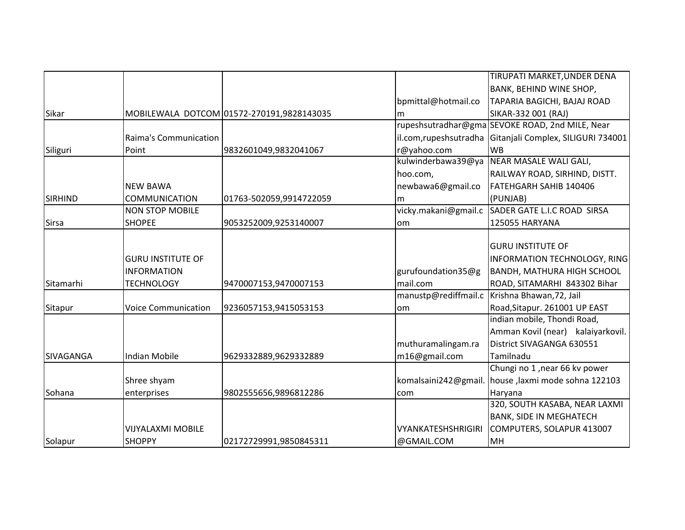|                |                            |                                           |                           | TIRUPATI MARKET, UNDER DENA                     |
|----------------|----------------------------|-------------------------------------------|---------------------------|-------------------------------------------------|
|                |                            |                                           |                           | BANK, BEHIND WINE SHOP,                         |
|                |                            |                                           | bpmittal@hotmail.co       | TAPARIA BAGICHI, BAJAJ ROAD                     |
|                |                            |                                           |                           |                                                 |
| Sikar          |                            | MOBILEWALA DOTCOM 01572-270191,9828143035 | m                         | SIKAR-332 001 (RAJ)                             |
|                |                            |                                           |                           | rupeshsutradhar@gma SEVOKE ROAD, 2nd MILE, Near |
|                | Raima's Communication      |                                           | il.com, rupesh sutradha   | Gitanjali Complex, SILIGURI 734001              |
| Siliguri       | Point                      | 9832601049,9832041067                     | r@yahoo.com               | <b>WB</b>                                       |
|                |                            |                                           | kulwinderbawa39@ya        | NEAR MASALE WALI GALI,                          |
|                |                            |                                           | hoo.com,                  | RAILWAY ROAD, SIRHIND, DISTT.                   |
|                | <b>NEW BAWA</b>            |                                           | newbawa6@gmail.co         | FATEHGARH SAHIB 140406                          |
| <b>SIRHIND</b> | <b>COMMUNICATION</b>       | 01763-502059,9914722059                   | m                         | (PUNJAB)                                        |
|                | <b>NON STOP MOBILE</b>     |                                           | vicky.makani@gmail.c      | SADER GATE L.I.C ROAD SIRSA                     |
| <b>Sirsa</b>   | <b>SHOPEE</b>              | 9053252009,9253140007                     | lom                       | <b>125055 HARYANA</b>                           |
|                |                            |                                           |                           |                                                 |
|                |                            |                                           |                           | <b>GURU INSTITUTE OF</b>                        |
|                | <b>GURU INSTITUTE OF</b>   |                                           |                           | INFORMATION TECHNOLOGY, RING                    |
|                | <b>INFORMATION</b>         |                                           | gurufoundation35@g        | <b>BANDH, MATHURA HIGH SCHOOL</b>               |
| Sitamarhi      | <b>TECHNOLOGY</b>          | 9470007153,9470007153                     | mail.com                  | ROAD, SITAMARHI 843302 Bihar                    |
|                |                            |                                           | manustp@rediffmail.c      | Krishna Bhawan, 72, Jail                        |
| Sitapur        | <b>Voice Communication</b> | 9236057153,9415053153                     | lom                       | Road, Sitapur. 261001 UP EAST                   |
|                |                            |                                           |                           | indian mobile, Thondi Road,                     |
|                |                            |                                           |                           | Amman Kovil (near) kalaiyarkovil.               |
|                |                            |                                           | muthuramalingam.ra        | District SIVAGANGA 630551                       |
| SIVAGANGA      | <b>Indian Mobile</b>       | 9629332889,9629332889                     | m16@gmail.com             | Tamilnadu                                       |
|                |                            |                                           |                           | Chungi no 1, near 66 kv power                   |
|                | Shree shyam                |                                           | komalsaini242@gmail       | house ,laxmi mode sohna 122103                  |
| Sohana         | enterprises                | 9802555656,9896812286                     | com                       | Haryana                                         |
|                |                            |                                           |                           | 320, SOUTH KASABA, NEAR LAXMI                   |
|                |                            |                                           |                           | <b>BANK, SIDE IN MEGHATECH</b>                  |
|                | VIJYALAXMI MOBILE          |                                           | <b>VYANKATESHSHRIGIRI</b> | COMPUTERS, SOLAPUR 413007                       |
| Solapur        | <b>SHOPPY</b>              | 02172729991,9850845311                    | @GMAIL.COM                | MH                                              |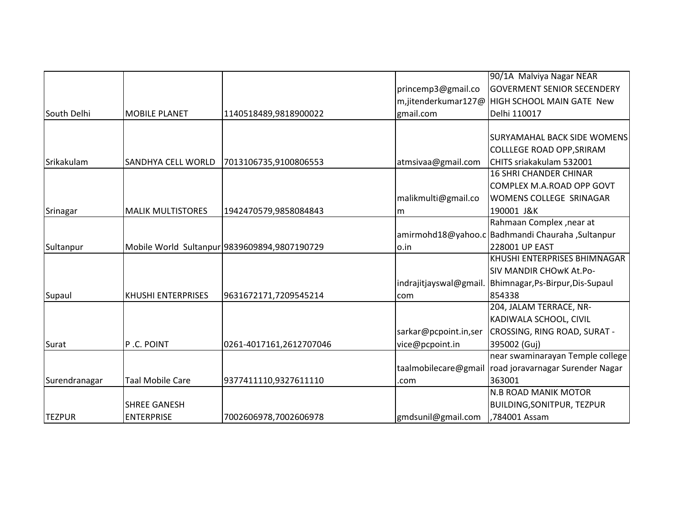|               |                           |                                              |                        | 90/1A Malviya Nagar NEAR                           |
|---------------|---------------------------|----------------------------------------------|------------------------|----------------------------------------------------|
|               |                           |                                              | princemp3@gmail.co     | <b>GOVERMENT SENIOR SECENDERY</b>                  |
|               |                           |                                              |                        | m,jitenderkumar127@ HIGH SCHOOL MAIN GATE New      |
| South Delhi   | <b>MOBILE PLANET</b>      | 1140518489,9818900022                        | gmail.com              | Delhi 110017                                       |
|               |                           |                                              |                        |                                                    |
|               |                           |                                              |                        | <b>SURYAMAHAL BACK SIDE WOMENS</b>                 |
|               |                           |                                              |                        | <b>COLLLEGE ROAD OPP, SRIRAM</b>                   |
| Srikakulam    | <b>SANDHYA CELL WORLD</b> | 7013106735,9100806553                        | atmsivaa@gmail.com     | CHITS sriakakulam 532001                           |
|               |                           |                                              |                        | <b>16 SHRI CHANDER CHINAR</b>                      |
|               |                           |                                              |                        | COMPLEX M.A.ROAD OPP GOVT                          |
|               |                           |                                              | malikmulti@gmail.co    | WOMENS COLLEGE SRINAGAR                            |
| Srinagar      | <b>MALIK MULTISTORES</b>  | 1942470579,9858084843                        | lm                     | 190001 J&K                                         |
|               |                           |                                              |                        | Rahmaan Complex , near at                          |
|               |                           |                                              |                        | amirmohd18@yahoo.c   Badhmandi Chauraha, Sultanpur |
| Sultanpur     |                           | Mobile World Sultanpur 9839609894,9807190729 | lo.in                  | 228001 UP EAST                                     |
|               |                           |                                              |                        | KHUSHI ENTERPRISES BHIMNAGAR                       |
|               |                           |                                              |                        | SIV MANDIR CHOWK At.Po-                            |
|               |                           |                                              | indrajitjayswal@gmail. | Bhimnagar, Ps-Birpur, Dis-Supaul                   |
| Supaul        | <b>KHUSHI ENTERPRISES</b> | 9631672171,7209545214                        | com                    | 854338                                             |
|               |                           |                                              |                        | 204, JALAM TERRACE, NR-                            |
|               |                           |                                              |                        | KADIWALA SCHOOL, CIVIL                             |
|               |                           |                                              | sarkar@pcpoint.in,ser  | CROSSING, RING ROAD, SURAT -                       |
| Surat         | P.C. POINT                | 0261-4017161,2612707046                      | vice@pcpoint.in        | 395002 (Guj)                                       |
|               |                           |                                              |                        | near swaminarayan Temple college                   |
|               |                           |                                              | taalmobilecare@gmail   | road joravarnagar Surender Nagar                   |
| Surendranagar | <b>Taal Mobile Care</b>   | 9377411110,9327611110                        | .com                   | 363001                                             |
|               |                           |                                              |                        | <b>N.B ROAD MANIK MOTOR</b>                        |
|               | <b>SHREE GANESH</b>       |                                              |                        | BUILDING, SONITPUR, TEZPUR                         |
| <b>TEZPUR</b> | <b>ENTERPRISE</b>         | 7002606978,7002606978                        | gmdsunil@gmail.com     | ,784001 Assam                                      |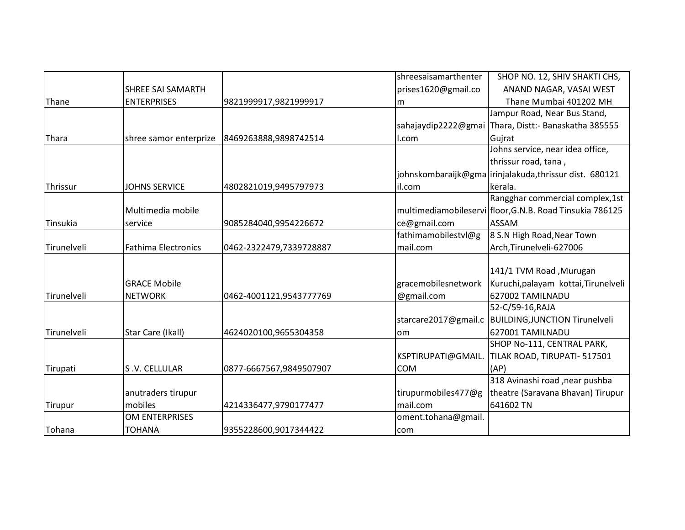|             |                            |                         | shreesaisamarthenter | SHOP NO. 12, SHIV SHAKTI CHS,                            |
|-------------|----------------------------|-------------------------|----------------------|----------------------------------------------------------|
|             | <b>SHREE SAI SAMARTH</b>   |                         | prises1620@gmail.co  | ANAND NAGAR, VASAI WEST                                  |
| Thane       | <b>ENTERPRISES</b>         | 9821999917,9821999917   | m                    | Thane Mumbai 401202 MH                                   |
|             |                            |                         |                      | Jampur Road, Near Bus Stand,                             |
|             |                            |                         | sahajaydip2222@gmai  | Thara, Distt: - Banaskatha 385555                        |
| Thara       | shree samor enterprize     | 8469263888,9898742514   | l.com                | Gujrat                                                   |
|             |                            |                         |                      | Johns service, near idea office,                         |
|             |                            |                         |                      | thrissur road, tana,                                     |
|             |                            |                         |                      | johnskombaraijk@gma irinjalakuda,thrissur dist. 680121   |
| Thrissur    | <b>JOHNS SERVICE</b>       | 4802821019,9495797973   | lil.com              | kerala.                                                  |
|             |                            |                         |                      | Rangghar commercial complex, 1st                         |
|             | Multimedia mobile          |                         |                      | multimediamobileservi floor, G.N.B. Road Tinsukia 786125 |
| Tinsukia    | service                    | 9085284040,9954226672   | ce@gmail.com         | <b>ASSAM</b>                                             |
|             |                            |                         | fathimamobilestvl@g  | 8 S.N High Road, Near Town                               |
| Tirunelveli | <b>Fathima Electronics</b> | 0462-2322479,7339728887 | mail.com             | Arch, Tirunelveli-627006                                 |
|             |                            |                         |                      |                                                          |
|             |                            |                         |                      |                                                          |
|             |                            |                         |                      | 141/1 TVM Road , Murugan                                 |
|             | <b>GRACE Mobile</b>        |                         | gracemobilesnetwork  | Kuruchi, palayam kottai, Tirunelveli                     |
| Tirunelveli | <b>NETWORK</b>             | 0462-4001121,9543777769 | @gmail.com           | 627002 TAMILNADU                                         |
|             |                            |                         |                      | 52-C/59-16, RAJA                                         |
|             |                            |                         | starcare2017@gmail.c | <b>BUILDING, JUNCTION Tirunelveli</b>                    |
| Tirunelveli | Star Care (Ikall)          | 4624020100,9655304358   | lom                  | 627001 TAMILNADU                                         |
|             |                            |                         |                      | SHOP No-111, CENTRAL PARK,                               |
|             |                            |                         | KSPTIRUPATI@GMAIL.   | TILAK ROAD, TIRUPATI- 517501                             |
| Tirupati    | S.V. CELLULAR              | 0877-6667567,9849507907 | <b>COM</b>           | (AP)                                                     |
|             |                            |                         |                      | 318 Avinashi road , near pushba                          |
|             | anutraders tirupur         |                         | tirupurmobiles477@g  | theatre (Saravana Bhavan) Tirupur                        |
| Tirupur     | mobiles                    | 4214336477,9790177477   | mail.com             | 641602 TN                                                |
|             | <b>OM ENTERPRISES</b>      |                         | oment.tohana@gmail.  |                                                          |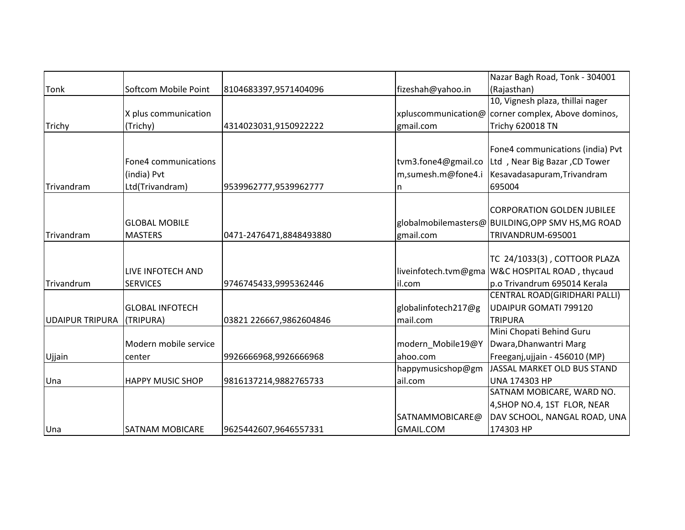|                           |                         |                         |                      | Nazar Bagh Road, Tonk - 304001                     |
|---------------------------|-------------------------|-------------------------|----------------------|----------------------------------------------------|
| <b>Tonk</b>               | Softcom Mobile Point    | 8104683397,9571404096   | fizeshah@yahoo.in    | (Rajasthan)                                        |
|                           |                         |                         |                      | 10, Vignesh plaza, thillai nager                   |
|                           | X plus communication    |                         |                      | xpluscommunication@ corner complex, Above dominos, |
| Trichy                    | (Trichy)                | 4314023031,9150922222   | gmail.com            | <b>Trichy 620018 TN</b>                            |
|                           |                         |                         |                      |                                                    |
|                           |                         |                         |                      | Fone4 communications (india) Pvt                   |
|                           | Fone4 communications    |                         | tvm3.fone4@gmail.co  | Ltd, Near Big Bazar, CD Tower                      |
|                           | (india) Pvt             |                         | m,sumesh.m@fone4.i   | Kesavadasapuram, Trivandram                        |
| Trivandram                | Ltd(Trivandram)         | 9539962777,9539962777   | n                    | 695004                                             |
|                           |                         |                         |                      |                                                    |
|                           |                         |                         |                      | <b>CORPORATION GOLDEN JUBILEE</b>                  |
|                           | <b>GLOBAL MOBILE</b>    |                         |                      | globalmobilemasters@ BUILDING, OPP SMV HS, MG ROAD |
| Trivandram                | <b>MASTERS</b>          | 0471-2476471,8848493880 | gmail.com            | TRIVANDRUM-695001                                  |
|                           |                         |                         |                      |                                                    |
|                           |                         |                         |                      | TC 24/1033(3), COTTOOR PLAZA                       |
|                           | LIVE INFOTECH AND       |                         | liveinfotech.tvm@gma | W&C HOSPITAL ROAD, thycaud                         |
| Trivandrum                | <b>SERVICES</b>         | 9746745433,9995362446   | il.com               | p.o Trivandrum 695014 Kerala                       |
|                           |                         |                         |                      | CENTRAL ROAD(GIRIDHARI PALLI)                      |
|                           | <b>GLOBAL INFOTECH</b>  |                         | globalinfotech217@g  | UDAIPUR GOMATI 799120                              |
| UDAIPUR TRIPURA (TRIPURA) |                         | 03821 226667,9862604846 | mail.com             | <b>TRIPURA</b>                                     |
|                           |                         |                         |                      | Mini Chopati Behind Guru                           |
|                           | Modern mobile service   |                         | modern_Mobile19@Y    | Dwara, Dhanwantri Marg                             |
| Ujjain                    | center                  | 9926666968,9926666968   | ahoo.com             | Freeganj, ujjain - 456010 (MP)                     |
|                           |                         |                         | happymusicshop@gm    | JASSAL MARKET OLD BUS STAND                        |
| Una                       | <b>HAPPY MUSIC SHOP</b> | 9816137214,9882765733   | ail.com              | UNA 174303 HP                                      |
|                           |                         |                         |                      | SATNAM MOBICARE, WARD NO.                          |
|                           |                         |                         |                      | 4, SHOP NO.4, 1ST FLOR, NEAR                       |
|                           |                         |                         | SATNAMMOBICARE@      | DAV SCHOOL, NANGAL ROAD, UNA                       |
| Una                       | <b>SATNAM MOBICARE</b>  | 9625442607,9646557331   | <b>GMAIL.COM</b>     | 174303 HP                                          |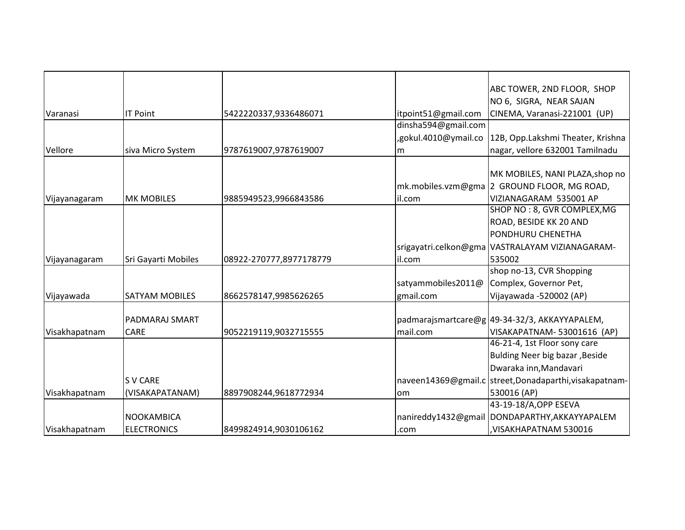|               |                       |                         |                      | ABC TOWER, 2ND FLOOR, SHOP                            |
|---------------|-----------------------|-------------------------|----------------------|-------------------------------------------------------|
|               |                       |                         |                      | NO 6, SIGRA, NEAR SAJAN                               |
| Varanasi      | <b>IT Point</b>       | 5422220337,9336486071   | itpoint51@gmail.com  | CINEMA, Varanasi-221001 (UP)                          |
|               |                       |                         | dinsha594@gmail.com  |                                                       |
|               |                       |                         | ,gokul.4010@ymail.co | 12B, Opp.Lakshmi Theater, Krishna                     |
| Vellore       | siva Micro System     | 9787619007,9787619007   | m                    | nagar, vellore 632001 Tamilnadu                       |
|               |                       |                         |                      |                                                       |
|               |                       |                         |                      | MK MOBILES, NANI PLAZA, shop no                       |
|               |                       |                         |                      | mk.mobiles.vzm@gma 2 GROUND FLOOR, MG ROAD,           |
| Vijayanagaram | <b>MK MOBILES</b>     | 9885949523,9966843586   | il.com               | VIZIANAGARAM 535001 AP                                |
|               |                       |                         |                      | SHOP NO: 8, GVR COMPLEX, MG                           |
|               |                       |                         |                      | ROAD, BESIDE KK 20 AND                                |
|               |                       |                         |                      | PONDHURU CHENETHA                                     |
|               |                       |                         |                      | srigayatri.celkon@gma VASTRALAYAM VIZIANAGARAM-       |
| Vijayanagaram | Sri Gayarti Mobiles   | 08922-270777,8977178779 | il.com               | 535002                                                |
|               |                       |                         |                      | shop no-13, CVR Shopping                              |
|               |                       |                         | satyammobiles2011@   | Complex, Governor Pet,                                |
| Vijayawada    | <b>SATYAM MOBILES</b> | 8662578147,9985626265   | gmail.com            | Vijayawada -520002 (AP)                               |
|               |                       |                         |                      |                                                       |
|               | PADMARAJ SMART        |                         |                      | padmarajsmartcare@g 49-34-32/3, AKKAYYAPALEM,         |
| Visakhapatnam | <b>CARE</b>           | 9052219119,9032715555   | mail.com             | VISAKAPATNAM-53001616 (AP)                            |
|               |                       |                         |                      | 46-21-4, 1st Floor sony care                          |
|               |                       |                         |                      | Bulding Neer big bazar, Beside                        |
|               |                       |                         |                      | Dwaraka inn, Mandavari                                |
|               | <b>SV CARE</b>        |                         |                      | naveen14369@gmail.c street,Donadaparthi,visakapatnam- |
| Visakhapatnam | (VISAKAPATANAM)       | 8897908244,9618772934   | lom                  | 530016 (AP)                                           |
|               |                       |                         |                      | 43-19-18/A, OPP ESEVA                                 |
|               | NOOKAMBICA            |                         |                      | nanireddy1432@gmail DONDAPARTHY, AKKAYYAPALEM         |
| Visakhapatnam | <b>ELECTRONICS</b>    | 8499824914,9030106162   | .com                 | VISAKHAPATNAM 530016                                  |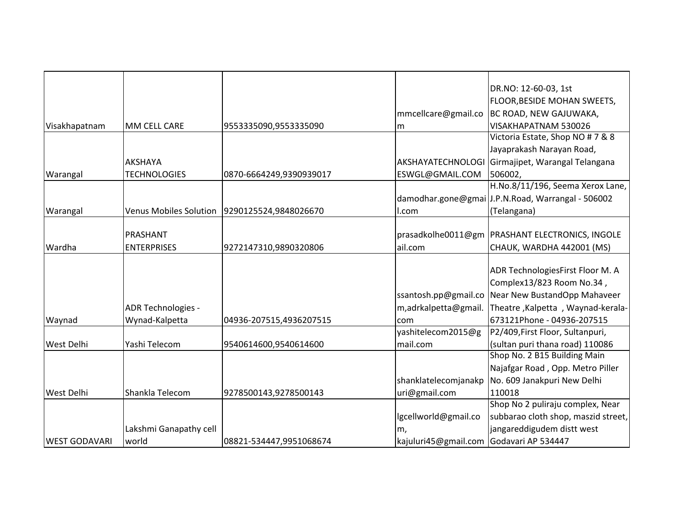|                      |                               |                         |                                         | DR.NO: 12-60-03, 1st                              |
|----------------------|-------------------------------|-------------------------|-----------------------------------------|---------------------------------------------------|
|                      |                               |                         |                                         | FLOOR, BESIDE MOHAN SWEETS,                       |
|                      |                               |                         | mmcellcare@gmail.co                     | BC ROAD, NEW GAJUWAKA,                            |
| Visakhapatnam        | MM CELL CARE                  | 9553335090,9553335090   | m                                       | VISAKHAPATNAM 530026                              |
|                      |                               |                         |                                         | Victoria Estate, Shop NO # 7 & 8                  |
|                      |                               |                         |                                         | Jayaprakash Narayan Road,                         |
|                      | <b>AKSHAYA</b>                |                         | AKSHAYATECHNOLOGI                       | Girmajipet, Warangal Telangana                    |
| Warangal             | <b>TECHNOLOGIES</b>           | 0870-6664249,9390939017 | ESWGL@GMAIL.COM                         | 506002,                                           |
|                      |                               |                         |                                         | H.No.8/11/196, Seema Xerox Lane,                  |
|                      |                               |                         |                                         | damodhar.gone@gmai J.P.N.Road, Warrangal - 506002 |
| Warangal             | <b>Venus Mobiles Solution</b> | 9290125524,9848026670   | l.com                                   | (Telangana)                                       |
|                      |                               |                         |                                         |                                                   |
|                      | PRASHANT                      |                         |                                         | prasadkolhe0011@gm   PRASHANT ELECTRONICS, INGOLE |
| Wardha               | <b>ENTERPRISES</b>            | 9272147310,9890320806   | ail.com                                 | CHAUK, WARDHA 442001 (MS)                         |
|                      |                               |                         |                                         |                                                   |
|                      |                               |                         |                                         | ADR TechnologiesFirst Floor M. A                  |
|                      |                               |                         |                                         | Complex13/823 Room No.34,                         |
|                      |                               |                         | ssantosh.pp@gmail.co                    | Near New BustandOpp Mahaveer                      |
|                      | ADR Technologies -            |                         | m,adrkalpetta@gmail.                    | Theatre, Kalpetta, Waynad-kerala-                 |
| Waynad               | Wynad-Kalpetta                | 04936-207515,4936207515 | com                                     | 673121Phone - 04936-207515                        |
|                      |                               |                         | yashitelecom2015@g                      | P2/409, First Floor, Sultanpuri,                  |
| <b>West Delhi</b>    | Yashi Telecom                 | 9540614600,9540614600   | mail.com                                | (sultan puri thana road) 110086                   |
|                      |                               |                         |                                         | Shop No. 2 B15 Building Main                      |
|                      |                               |                         |                                         | Najafgar Road, Opp. Metro Piller                  |
|                      |                               |                         | shanklatelecomjanakp                    | No. 609 Janakpuri New Delhi                       |
| <b>West Delhi</b>    | Shankla Telecom               | 9278500143,9278500143   | uri@gmail.com                           | 110018                                            |
|                      |                               |                         |                                         | Shop No 2 puliraju complex, Near                  |
|                      |                               |                         | lgcellworld@gmail.co                    | subbarao cloth shop, maszid street,               |
|                      | Lakshmi Ganapathy cell        |                         | m,                                      | jangareddigudem distt west                        |
| <b>WEST GODAVARI</b> | world                         | 08821-534447,9951068674 | kajuluri45@gmail.com Godavari AP 534447 |                                                   |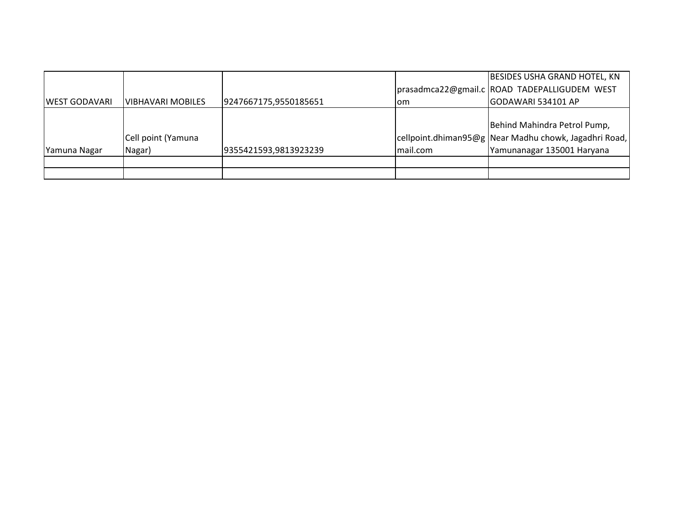|                      |                    |                       |          | <b>BESIDES USHA GRAND HOTEL, KN</b>                   |
|----------------------|--------------------|-----------------------|----------|-------------------------------------------------------|
|                      |                    |                       |          | prasadmca22@gmail.c ROAD TADEPALLIGUDEM WEST          |
| <b>WEST GODAVARI</b> | IVIBHAVARI MOBILES | 9247667175,9550185651 | lom      | GODAWARI 534101 AP                                    |
|                      |                    |                       |          |                                                       |
|                      |                    |                       |          | Behind Mahindra Petrol Pump,                          |
|                      | Cell point (Yamuna |                       |          | cellpoint.dhiman95@g Near Madhu chowk, Jagadhri Road, |
| Yamuna Nagar         | Nagar)             | 9355421593,9813923239 | mail.com | Yamunanagar 135001 Haryana                            |
|                      |                    |                       |          |                                                       |
|                      |                    |                       |          |                                                       |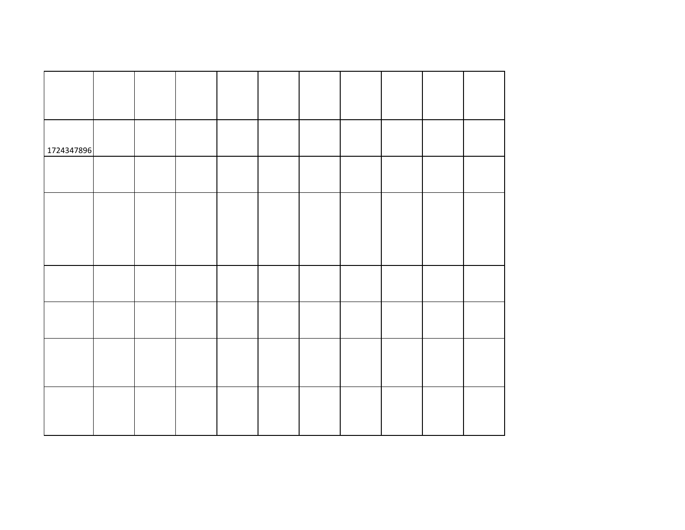| 1724347896 |  |  |  |  |  |
|------------|--|--|--|--|--|
|            |  |  |  |  |  |
|            |  |  |  |  |  |
|            |  |  |  |  |  |
|            |  |  |  |  |  |
|            |  |  |  |  |  |
|            |  |  |  |  |  |
|            |  |  |  |  |  |